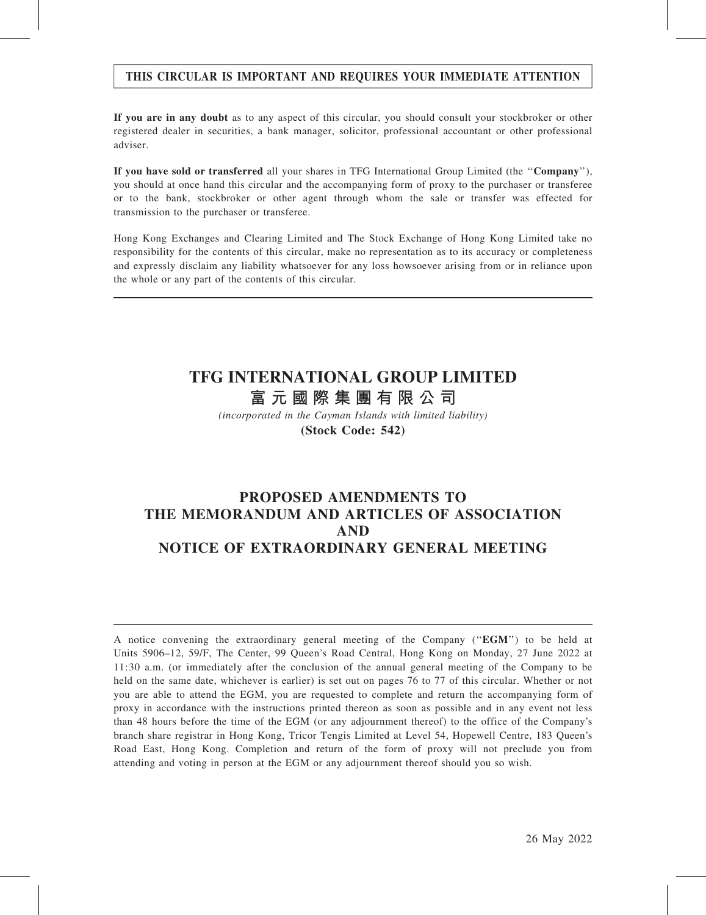### THIS CIRCULAR IS IMPORTANT AND REQUIRES YOUR IMMEDIATE ATTENTION

If you are in any doubt as to any aspect of this circular, you should consult your stockbroker or other registered dealer in securities, a bank manager, solicitor, professional accountant or other professional adviser.

If you have sold or transferred all your shares in TFG International Group Limited (the ''Company''), you should at once hand this circular and the accompanying form of proxy to the purchaser or transferee or to the bank, stockbroker or other agent through whom the sale or transfer was effected for transmission to the purchaser or transferee.

Hong Kong Exchanges and Clearing Limited and The Stock Exchange of Hong Kong Limited take no responsibility for the contents of this circular, make no representation as to its accuracy or completeness and expressly disclaim any liability whatsoever for any loss howsoever arising from or in reliance upon the whole or any part of the contents of this circular.

# **TFG INTERNATIONAL GROUP LIMITED**

**富元國際集團有限公司**

*(incorporated in the Cayman Islands with limited liability)* **(Stock Code: 542)**

## PROPOSED AMENDMENTS TO THE MEMORANDUM AND ARTICLES OF ASSOCIATION AND NOTICE OF EXTRAORDINARY GENERAL MEETING

A notice convening the extraordinary general meeting of the Company (''EGM'') to be held at Units 5906–12, 59/F, The Center, 99 Queen's Road Central, Hong Kong on Monday, 27 June 2022 at 11:30 a.m. (or immediately after the conclusion of the annual general meeting of the Company to be held on the same date, whichever is earlier) is set out on pages 76 to 77 of this circular. Whether or not you are able to attend the EGM, you are requested to complete and return the accompanying form of proxy in accordance with the instructions printed thereon as soon as possible and in any event not less than 48 hours before the time of the EGM (or any adjournment thereof) to the office of the Company's branch share registrar in Hong Kong, Tricor Tengis Limited at Level 54, Hopewell Centre, 183 Queen's Road East, Hong Kong. Completion and return of the form of proxy will not preclude you from attending and voting in person at the EGM or any adjournment thereof should you so wish.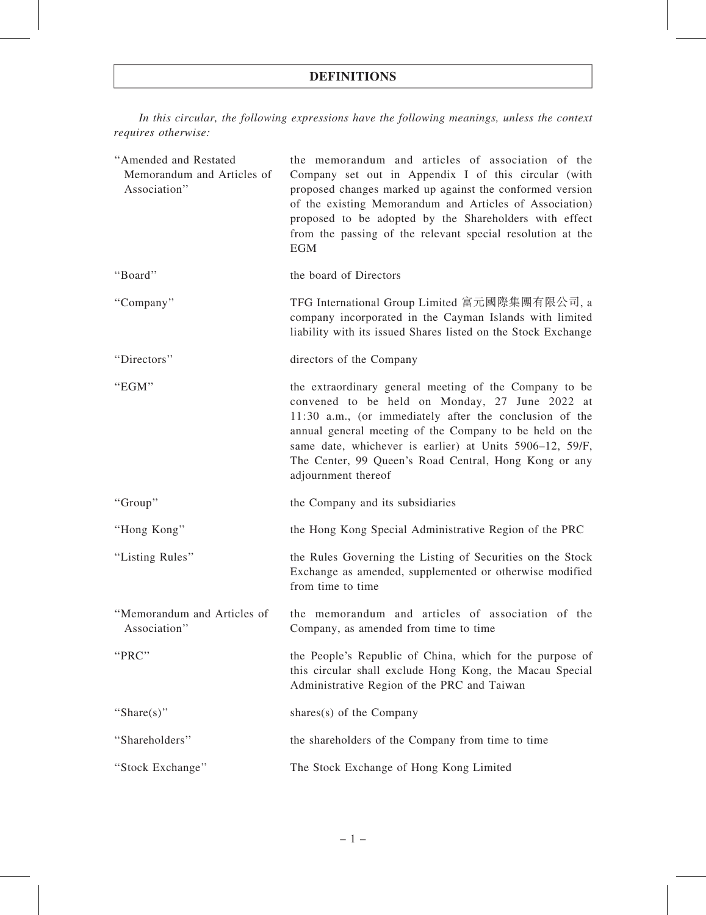## DEFINITIONS

In this circular, the following expressions have the following meanings, unless the context requires otherwise:

| "Amended and Restated<br>Memorandum and Articles of<br>Association" | the memorandum and articles of association of the<br>Company set out in Appendix I of this circular (with<br>proposed changes marked up against the conformed version<br>of the existing Memorandum and Articles of Association)<br>proposed to be adopted by the Shareholders with effect<br>from the passing of the relevant special resolution at the<br><b>EGM</b>     |
|---------------------------------------------------------------------|----------------------------------------------------------------------------------------------------------------------------------------------------------------------------------------------------------------------------------------------------------------------------------------------------------------------------------------------------------------------------|
| "Board"                                                             | the board of Directors                                                                                                                                                                                                                                                                                                                                                     |
| "Company"                                                           | TFG International Group Limited 富元國際集團有限公司, a<br>company incorporated in the Cayman Islands with limited<br>liability with its issued Shares listed on the Stock Exchange                                                                                                                                                                                                  |
| "Directors"                                                         | directors of the Company                                                                                                                                                                                                                                                                                                                                                   |
| "EGM"                                                               | the extraordinary general meeting of the Company to be<br>convened to be held on Monday, 27 June 2022 at<br>11:30 a.m., (or immediately after the conclusion of the<br>annual general meeting of the Company to be held on the<br>same date, whichever is earlier) at Units 5906-12, 59/F,<br>The Center, 99 Queen's Road Central, Hong Kong or any<br>adjournment thereof |
| "Group"                                                             | the Company and its subsidiaries                                                                                                                                                                                                                                                                                                                                           |
| "Hong Kong"                                                         | the Hong Kong Special Administrative Region of the PRC                                                                                                                                                                                                                                                                                                                     |
| "Listing Rules"                                                     | the Rules Governing the Listing of Securities on the Stock<br>Exchange as amended, supplemented or otherwise modified<br>from time to time                                                                                                                                                                                                                                 |
| "Memorandum and Articles of<br>Association"                         | the memorandum and articles of association of the<br>Company, as amended from time to time                                                                                                                                                                                                                                                                                 |
| "PRC"                                                               | the People's Republic of China, which for the purpose of<br>this circular shall exclude Hong Kong, the Macau Special<br>Administrative Region of the PRC and Taiwan                                                                                                                                                                                                        |
| "Share $(s)$ "                                                      | shares $(s)$ of the Company                                                                                                                                                                                                                                                                                                                                                |
| "Shareholders"                                                      | the shareholders of the Company from time to time                                                                                                                                                                                                                                                                                                                          |
| "Stock Exchange"                                                    | The Stock Exchange of Hong Kong Limited                                                                                                                                                                                                                                                                                                                                    |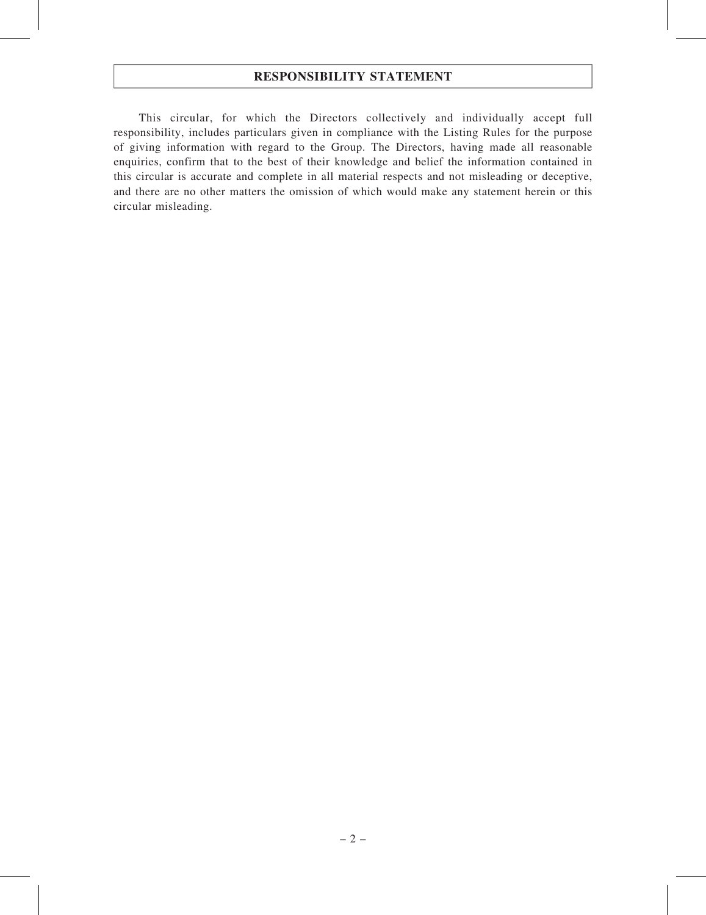### RESPONSIBILITY STATEMENT

This circular, for which the Directors collectively and individually accept full responsibility, includes particulars given in compliance with the Listing Rules for the purpose of giving information with regard to the Group. The Directors, having made all reasonable enquiries, confirm that to the best of their knowledge and belief the information contained in this circular is accurate and complete in all material respects and not misleading or deceptive, and there are no other matters the omission of which would make any statement herein or this circular misleading.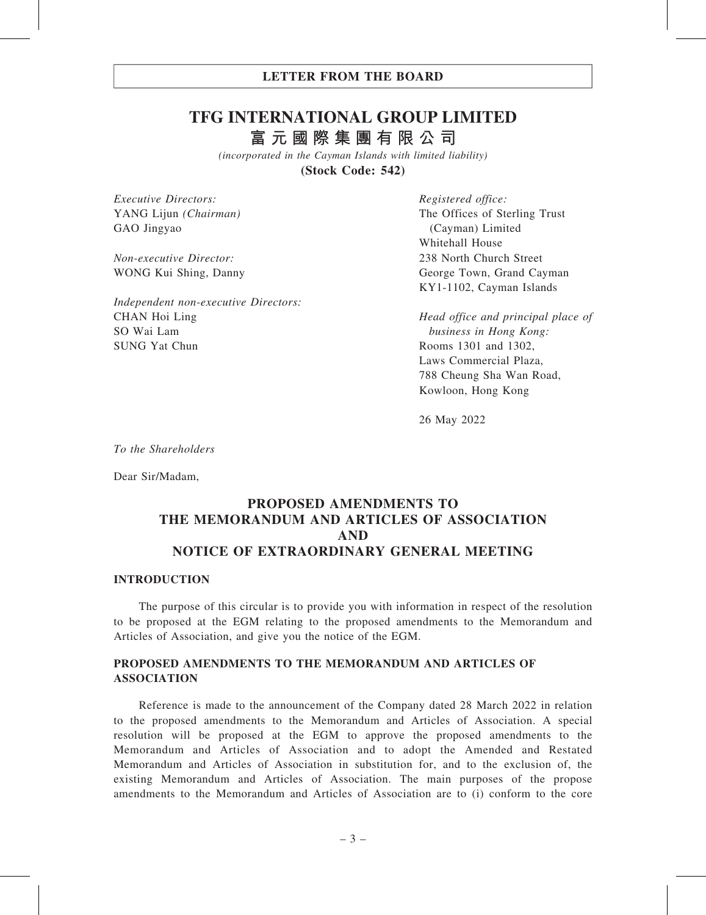### LETTER FROM THE BOARD

## **TFG INTERNATIONAL GROUP LIMITED 富元國際集團有限公司**

*(incorporated in the Cayman Islands with limited liability)* **(Stock Code: 542)**

Executive Directors: YANG Lijun (Chairman) GAO Jingyao

Non-executive Director: WONG Kui Shing, Danny

Independent non-executive Directors: CHAN Hoi Ling SO Wai Lam SUNG Yat Chun

Registered office: The Offices of Sterling Trust (Cayman) Limited Whitehall House 238 North Church Street George Town, Grand Cayman KY1-1102, Cayman Islands

Head office and principal place of business in Hong Kong: Rooms 1301 and 1302, Laws Commercial Plaza, 788 Cheung Sha Wan Road, Kowloon, Hong Kong

26 May 2022

To the Shareholders

Dear Sir/Madam,

## PROPOSED AMENDMENTS TO THE MEMORANDUM AND ARTICLES OF ASSOCIATION AND NOTICE OF EXTRAORDINARY GENERAL MEETING

#### INTRODUCTION

The purpose of this circular is to provide you with information in respect of the resolution to be proposed at the EGM relating to the proposed amendments to the Memorandum and Articles of Association, and give you the notice of the EGM.

### PROPOSED AMENDMENTS TO THE MEMORANDUM AND ARTICLES OF ASSOCIATION

Reference is made to the announcement of the Company dated 28 March 2022 in relation to the proposed amendments to the Memorandum and Articles of Association. A special resolution will be proposed at the EGM to approve the proposed amendments to the Memorandum and Articles of Association and to adopt the Amended and Restated Memorandum and Articles of Association in substitution for, and to the exclusion of, the existing Memorandum and Articles of Association. The main purposes of the propose amendments to the Memorandum and Articles of Association are to (i) conform to the core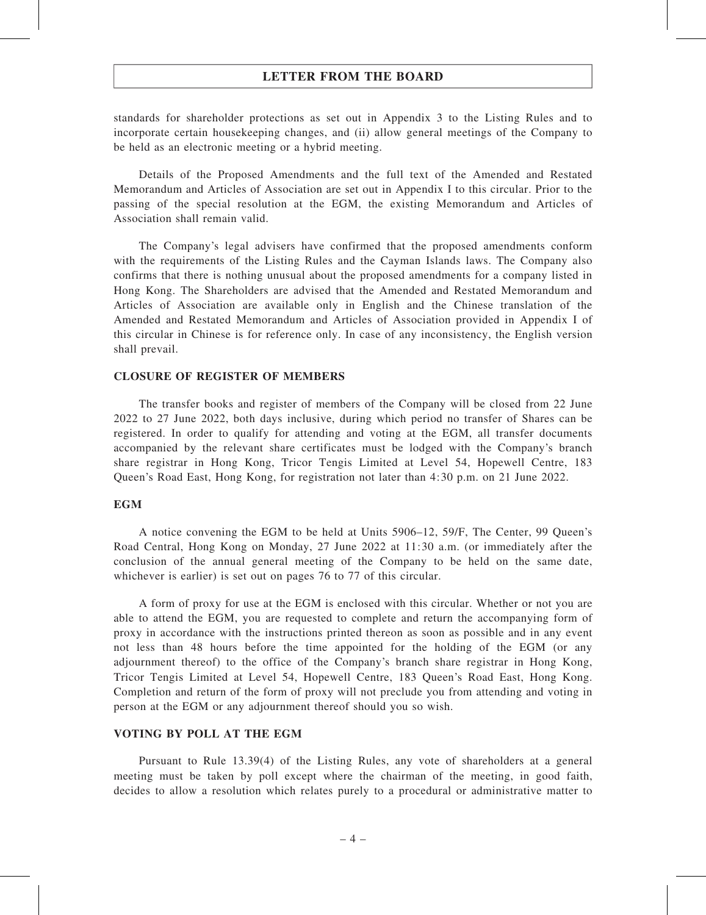#### LETTER FROM THE BOARD

standards for shareholder protections as set out in Appendix 3 to the Listing Rules and to incorporate certain housekeeping changes, and (ii) allow general meetings of the Company to be held as an electronic meeting or a hybrid meeting.

Details of the Proposed Amendments and the full text of the Amended and Restated Memorandum and Articles of Association are set out in Appendix I to this circular. Prior to the passing of the special resolution at the EGM, the existing Memorandum and Articles of Association shall remain valid.

The Company's legal advisers have confirmed that the proposed amendments conform with the requirements of the Listing Rules and the Cayman Islands laws. The Company also confirms that there is nothing unusual about the proposed amendments for a company listed in Hong Kong. The Shareholders are advised that the Amended and Restated Memorandum and Articles of Association are available only in English and the Chinese translation of the Amended and Restated Memorandum and Articles of Association provided in Appendix I of this circular in Chinese is for reference only. In case of any inconsistency, the English version shall prevail.

#### CLOSURE OF REGISTER OF MEMBERS

The transfer books and register of members of the Company will be closed from 22 June 2022 to 27 June 2022, both days inclusive, during which period no transfer of Shares can be registered. In order to qualify for attending and voting at the EGM, all transfer documents accompanied by the relevant share certificates must be lodged with the Company's branch share registrar in Hong Kong, Tricor Tengis Limited at Level 54, Hopewell Centre, 183 Queen's Road East, Hong Kong, for registration not later than 4:30 p.m. on 21 June 2022.

#### EGM

A notice convening the EGM to be held at Units 5906–12, 59/F, The Center, 99 Queen's Road Central, Hong Kong on Monday, 27 June 2022 at 11:30 a.m. (or immediately after the conclusion of the annual general meeting of the Company to be held on the same date, whichever is earlier) is set out on pages 76 to 77 of this circular.

A form of proxy for use at the EGM is enclosed with this circular. Whether or not you are able to attend the EGM, you are requested to complete and return the accompanying form of proxy in accordance with the instructions printed thereon as soon as possible and in any event not less than 48 hours before the time appointed for the holding of the EGM (or any adjournment thereof) to the office of the Company's branch share registrar in Hong Kong, Tricor Tengis Limited at Level 54, Hopewell Centre, 183 Queen's Road East, Hong Kong. Completion and return of the form of proxy will not preclude you from attending and voting in person at the EGM or any adjournment thereof should you so wish.

#### VOTING BY POLL AT THE EGM

Pursuant to Rule 13.39(4) of the Listing Rules, any vote of shareholders at a general meeting must be taken by poll except where the chairman of the meeting, in good faith, decides to allow a resolution which relates purely to a procedural or administrative matter to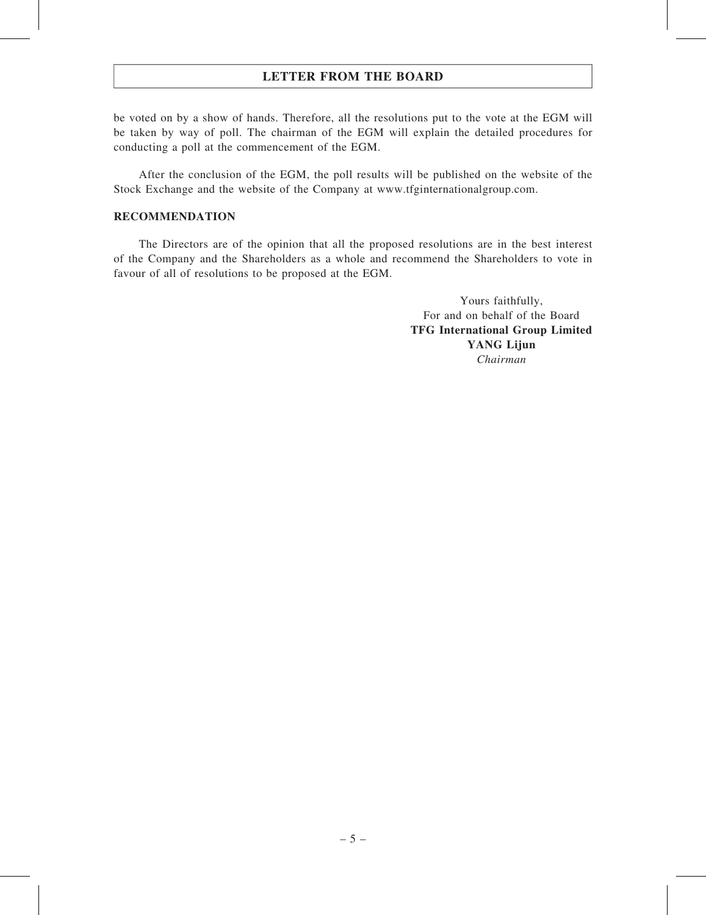## LETTER FROM THE BOARD

be voted on by a show of hands. Therefore, all the resolutions put to the vote at the EGM will be taken by way of poll. The chairman of the EGM will explain the detailed procedures for conducting a poll at the commencement of the EGM.

After the conclusion of the EGM, the poll results will be published on the website of the Stock Exchange and the website of the Company at www.tfginternationalgroup.com.

#### RECOMMENDATION

The Directors are of the opinion that all the proposed resolutions are in the best interest of the Company and the Shareholders as a whole and recommend the Shareholders to vote in favour of all of resolutions to be proposed at the EGM.

> Yours faithfully, For and on behalf of the Board TFG International Group Limited YANG Lijun Chairman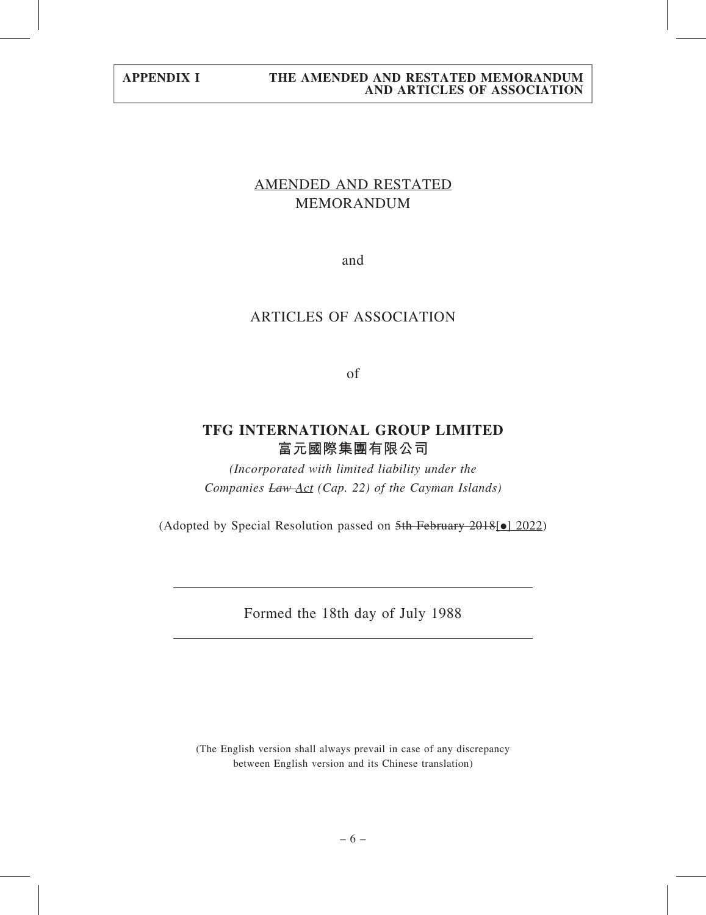## AMENDED AND RESTATED MEMORANDUM

and

## ARTICLES OF ASSOCIATION

of

## TFG INTERNATIONAL GROUP LIMITED 富元國際集團有限公司

(Incorporated with limited liability under the Companies Law Act (Cap. 22) of the Cayman Islands)

(Adopted by Special Resolution passed on  $5th$  February 2018[ $\bullet$ ] 2022)

Formed the 18th day of July 1988

(The English version shall always prevail in case of any discrepancy between English version and its Chinese translation)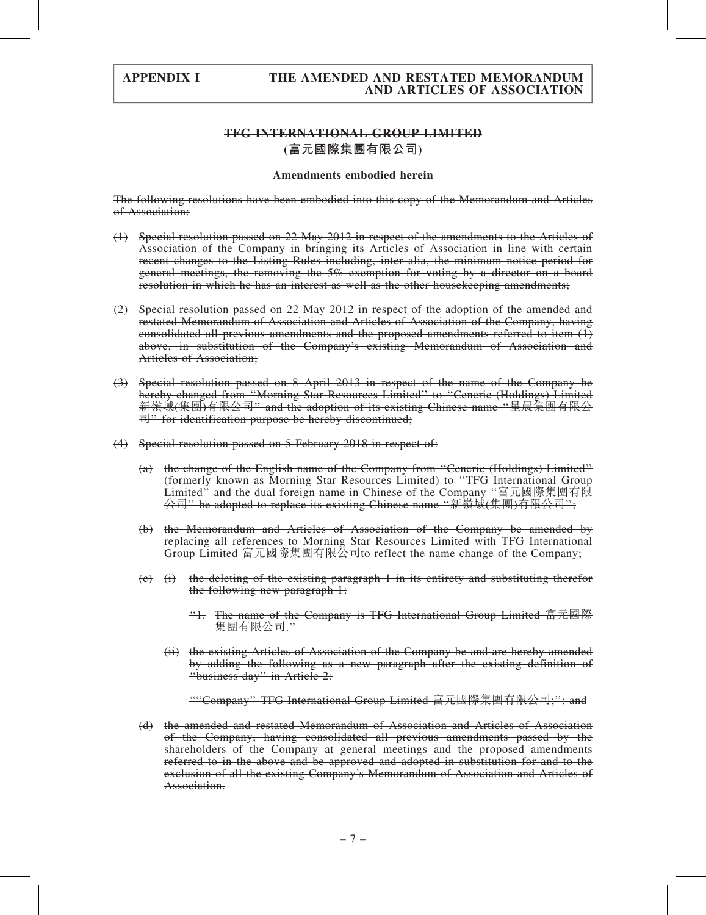### TFG INTERNATIONAL GROUP LIMITED (富元國際集團有限公司)

#### Amendments embodied herein

The following resolutions have been embodied into this copy of the Memorandum and Articles of Association:

- (1) Special resolution passed on 22 May 2012 in respect of the amendments to the Articles of Association of the Company in bringing its Articles of Association in line with certain recent changes to the Listing Rules including, inter alia, the minimum notice period for general meetings, the removing the 5% exemption for voting by a director on a board resolution in which he has an interest as well as the other housekeeping amendments;
- (2) Special resolution passed on 22 May 2012 in respect of the adoption of the amended and restated Memorandum of Association and Articles of Association of the Company, having consolidated all previous amendments and the proposed amendments referred to item (1) above, in substitution of the Company's existing Memorandum of Association and Articles of Association;
- (3) Special resolution passed on 8 April 2013 in respect of the name of the Company be hereby changed from ''Morning Star Resources Limited'' to ''Ceneric (Holdings) Limited 新嶺域(集團)有限公司'' and the adoption of its existing Chinese name ''星晨集團有限公 司" for identification purpose be hereby discontinued;
- (4) Special resolution passed on 5 February 2018 in respect of:
	- (a) the change of the English name of the Company from ''Ceneric (Holdings) Limited'' (formerly known as Morning Star Resources Limited) to ''TFG International Group Limited'' and the dual foreign name in Chinese of the Company ''富元國際集團有限 公司'' be adopted to replace its existing Chinese name ''新嶺域(集團)有限公司'';
	- (b) the Memorandum and Articles of Association of the Company be amended by replacing all references to Morning Star Resources Limited with TFG International Group Limited 富元國際集團有限公司to reflect the name change of the Company;
	- (c) (i) the deleting of the existing paragraph 1 in its entirety and substituting therefor the following new paragraph 1:
		- ''1. The name of the Company is TFG International Group Limited 富元國際 集團有限公司.''
		- (ii) the existing Articles of Association of the Company be and are hereby amended by adding the following as a new paragraph after the existing definition of "business day" in Article 2:

''''Company'' TFG International Group Limited 富元國際集團有限公司;''; and

(d) the amended and restated Memorandum of Association and Articles of Association of the Company, having consolidated all previous amendments passed by the shareholders of the Company at general meetings and the proposed amendments referred to in the above and be approved and adopted in substitution for and to the exclusion of all the existing Company's Memorandum of Association and Articles of Association.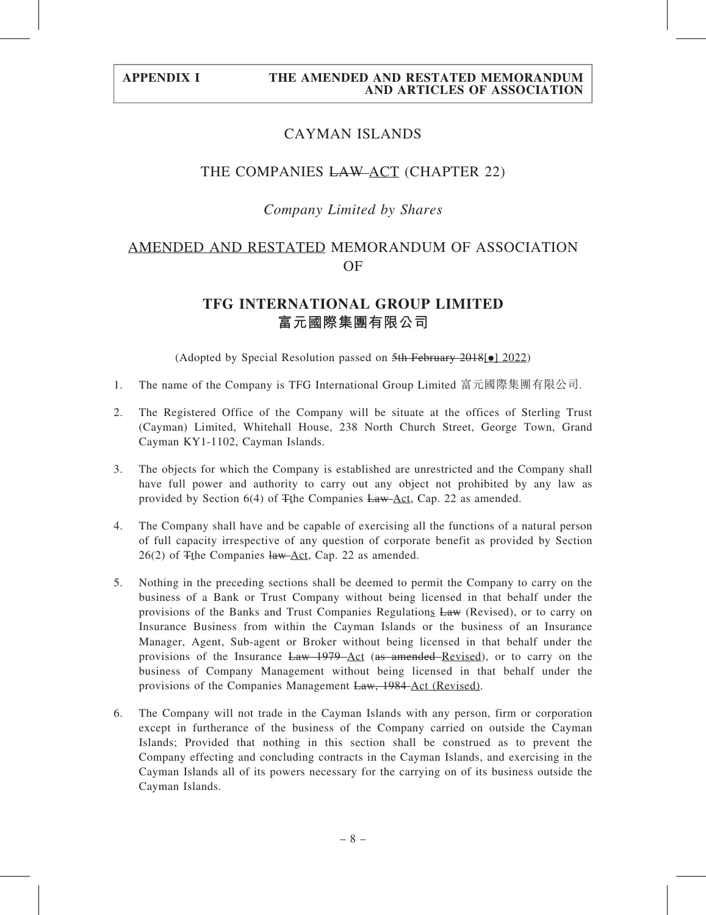## CAYMAN ISLANDS

### THE COMPANIES LAW ACT (CHAPTER 22)

### Company Limited by Shares

## AMENDED AND RESTATED MEMORANDUM OF ASSOCIATION OF

## TFG INTERNATIONAL GROUP LIMITED 富元國際集團有限公司

(Adopted by Special Resolution passed on  $5th$  February 2018[ $\bullet$ ] 2022)

- 1. The name of the Company is TFG International Group Limited 富元國際集團有限公司.
- 2. The Registered Office of the Company will be situate at the offices of Sterling Trust (Cayman) Limited, Whitehall House, 238 North Church Street, George Town, Grand Cayman KY1-1102, Cayman Islands.
- 3. The objects for which the Company is established are unrestricted and the Company shall have full power and authority to carry out any object not prohibited by any law as provided by Section 6(4) of  $\frac{2}{\pi}$ the Companies Law Act, Cap. 22 as amended.
- 4. The Company shall have and be capable of exercising all the functions of a natural person of full capacity irrespective of any question of corporate benefit as provided by Section  $26(2)$  of  $\frac{2}{3}$  The Companies  $\frac{1}{4}$  Act, Cap. 22 as amended.
- 5. Nothing in the preceding sections shall be deemed to permit the Company to carry on the business of a Bank or Trust Company without being licensed in that behalf under the provisions of the Banks and Trust Companies Regulations Law (Revised), or to carry on Insurance Business from within the Cayman Islands or the business of an Insurance Manager, Agent, Sub-agent or Broker without being licensed in that behalf under the provisions of the Insurance Law 1979 Act (as amended Revised), or to carry on the business of Company Management without being licensed in that behalf under the provisions of the Companies Management Law, 1984 Act (Revised).
- 6. The Company will not trade in the Cayman Islands with any person, firm or corporation except in furtherance of the business of the Company carried on outside the Cayman Islands; Provided that nothing in this section shall be construed as to prevent the Company effecting and concluding contracts in the Cayman Islands, and exercising in the Cayman Islands all of its powers necessary for the carrying on of its business outside the Cayman Islands.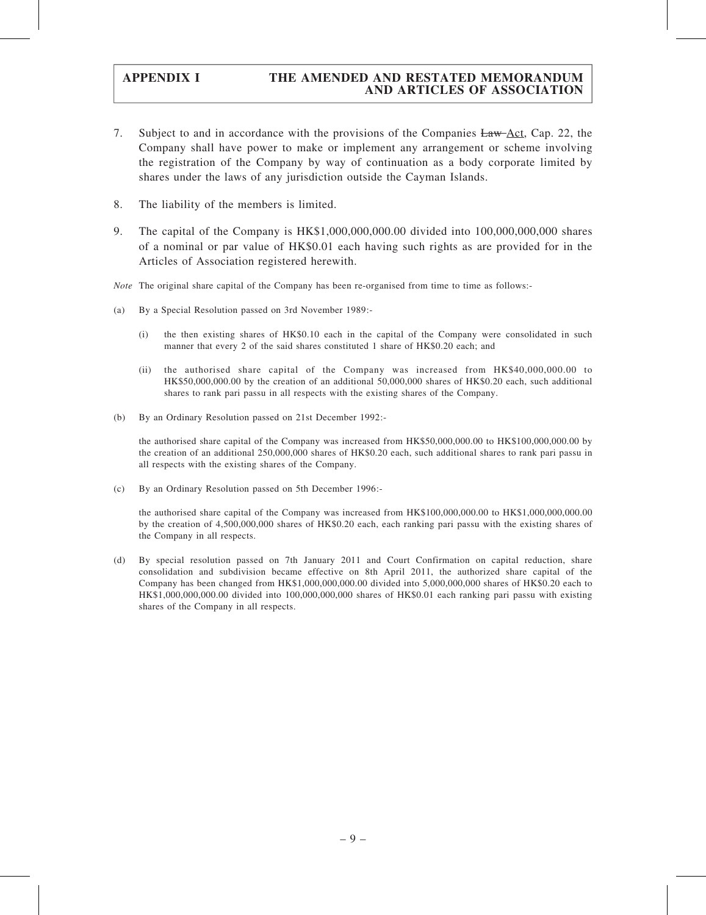- 7. Subject to and in accordance with the provisions of the Companies Law Act, Cap. 22, the Company shall have power to make or implement any arrangement or scheme involving the registration of the Company by way of continuation as a body corporate limited by shares under the laws of any jurisdiction outside the Cayman Islands.
- 8. The liability of the members is limited.
- 9. The capital of the Company is HK\$1,000,000,000.00 divided into 100,000,000,000 shares of a nominal or par value of HK\$0.01 each having such rights as are provided for in the Articles of Association registered herewith.
- Note The original share capital of the Company has been re-organised from time to time as follows:-
- (a) By a Special Resolution passed on 3rd November 1989:-
	- (i) the then existing shares of HK\$0.10 each in the capital of the Company were consolidated in such manner that every 2 of the said shares constituted 1 share of HK\$0.20 each; and
	- (ii) the authorised share capital of the Company was increased from HK\$40,000,000.00 to HK\$50,000,000.00 by the creation of an additional 50,000,000 shares of HK\$0.20 each, such additional shares to rank pari passu in all respects with the existing shares of the Company.
- (b) By an Ordinary Resolution passed on 21st December 1992:-

the authorised share capital of the Company was increased from HK\$50,000,000.00 to HK\$100,000,000.00 by the creation of an additional 250,000,000 shares of HK\$0.20 each, such additional shares to rank pari passu in all respects with the existing shares of the Company.

(c) By an Ordinary Resolution passed on 5th December 1996:-

the authorised share capital of the Company was increased from HK\$100,000,000.00 to HK\$1,000,000,000.00 by the creation of 4,500,000,000 shares of HK\$0.20 each, each ranking pari passu with the existing shares of the Company in all respects.

(d) By special resolution passed on 7th January 2011 and Court Confirmation on capital reduction, share consolidation and subdivision became effective on 8th April 2011, the authorized share capital of the Company has been changed from HK\$1,000,000,000.00 divided into 5,000,000,000 shares of HK\$0.20 each to HK\$1,000,000,000.00 divided into 100,000,000,000 shares of HK\$0.01 each ranking pari passu with existing shares of the Company in all respects.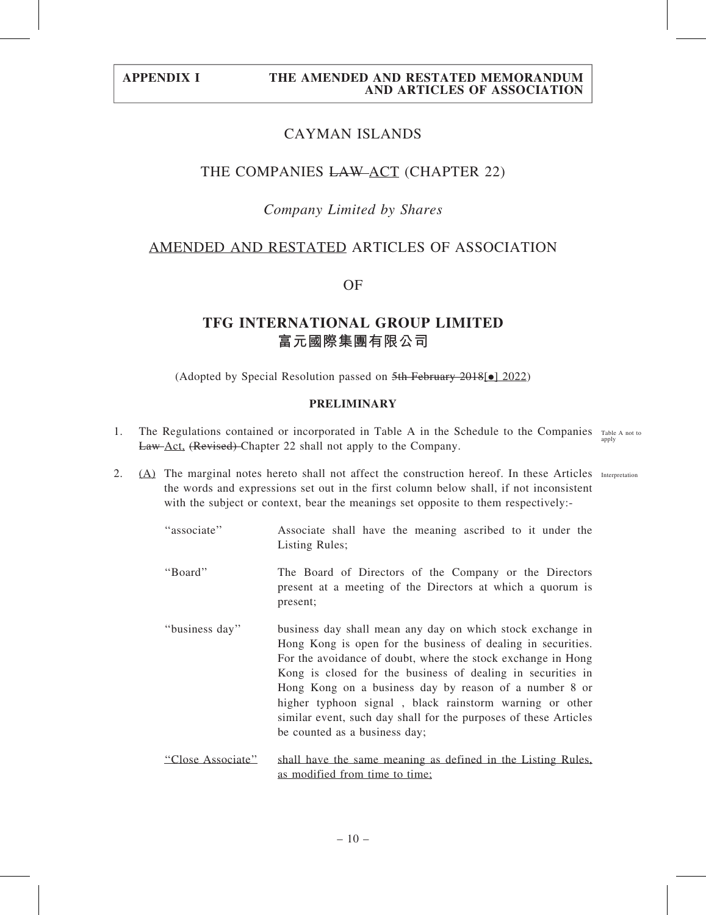## CAYMAN ISLANDS

### THE COMPANIES LAW ACT (CHAPTER 22)

### Company Limited by Shares

### AMENDED AND RESTATED ARTICLES OF ASSOCIATION

OF

## TFG INTERNATIONAL GROUP LIMITED 富元國際集團有限公司

(Adopted by Special Resolution passed on  $5th$  February 2018[ $\bullet$ ] 2022)

#### PRELIMINARY

- 1. The Regulations contained or incorporated in Table A in the Schedule to the Companies Table A not to Law Act, (Revised) Chapter 22 shall not apply to the Company. apply
- 2. (A) The marginal notes hereto shall not affect the construction hereof. In these Articles Interpretation the words and expressions set out in the first column below shall, if not inconsistent with the subject or context, bear the meanings set opposite to them respectively:-
	- ''associate'' Associate shall have the meaning ascribed to it under the Listing Rules;
	- ''Board'' The Board of Directors of the Company or the Directors present at a meeting of the Directors at which a quorum is present;
	- ''business day'' business day shall mean any day on which stock exchange in Hong Kong is open for the business of dealing in securities. For the avoidance of doubt, where the stock exchange in Hong Kong is closed for the business of dealing in securities in Hong Kong on a business day by reason of a number 8 or higher typhoon signal , black rainstorm warning or other similar event, such day shall for the purposes of these Articles be counted as a business day;
	- ''Close Associate'' shall have the same meaning as defined in the Listing Rules, as modified from time to time;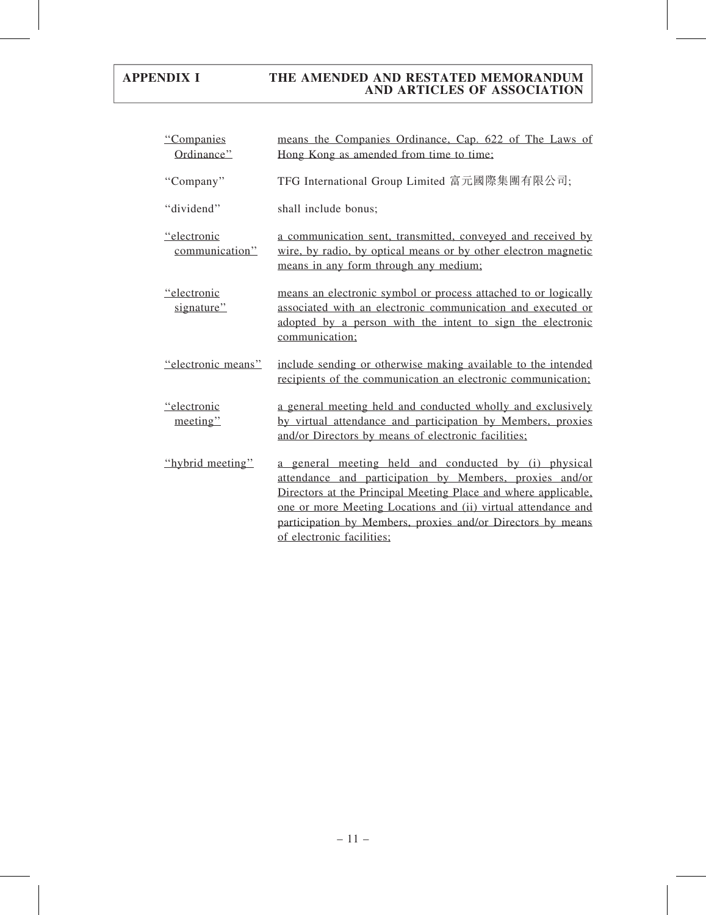| "Companies<br>Ordinance"      | means the Companies Ordinance, Cap. 622 of The Laws of<br>Hong Kong as amended from time to time;                                                                                                                                                                                                                                              |
|-------------------------------|------------------------------------------------------------------------------------------------------------------------------------------------------------------------------------------------------------------------------------------------------------------------------------------------------------------------------------------------|
| "Company"                     | TFG International Group Limited 富元國際集團有限公司;                                                                                                                                                                                                                                                                                                    |
| "dividend"                    | shall include bonus;                                                                                                                                                                                                                                                                                                                           |
| "electronic<br>communication" | a communication sent, transmitted, conveyed and received by<br>wire, by radio, by optical means or by other electron magnetic<br>means in any form through any medium;                                                                                                                                                                         |
| "electronic<br>signature"     | means an electronic symbol or process attached to or logically<br>associated with an electronic communication and executed or<br>adopted by a person with the intent to sign the electronic<br>communication;                                                                                                                                  |
| "electronic means"            | include sending or otherwise making available to the intended<br>recipients of the communication an electronic communication;                                                                                                                                                                                                                  |
| "electronic<br>meeting"       | a general meeting held and conducted wholly and exclusively<br>by virtual attendance and participation by Members, proxies<br>and/or Directors by means of electronic facilities;                                                                                                                                                              |
| "hybrid meeting"              | a general meeting held and conducted by (i) physical<br>attendance and participation by Members, proxies and/or<br>Directors at the Principal Meeting Place and where applicable,<br>one or more Meeting Locations and (ii) virtual attendance and<br>participation by Members, proxies and/or Directors by means<br>of electronic facilities: |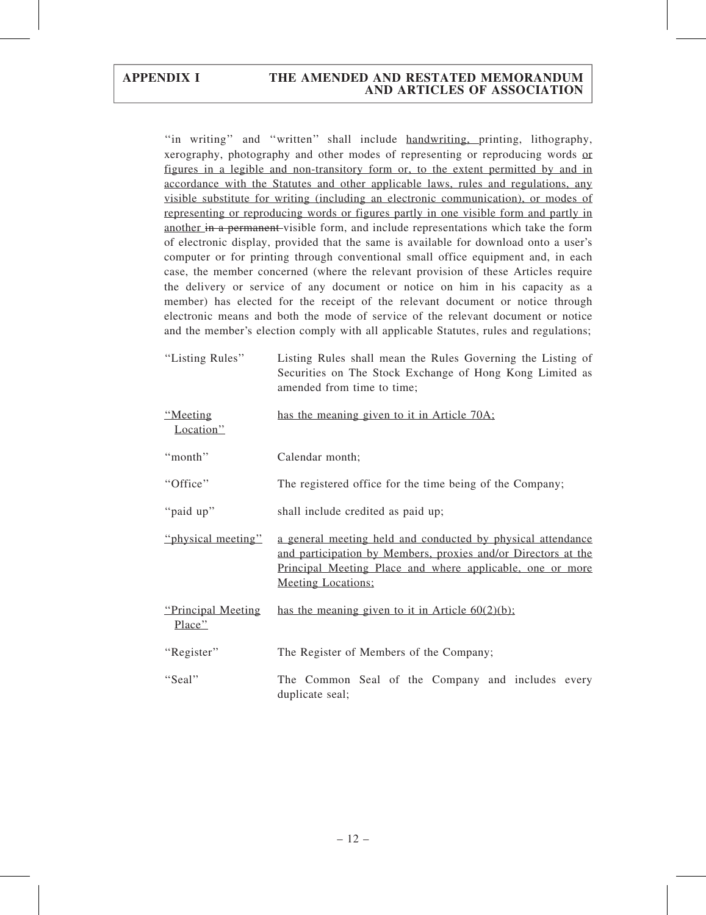"in writing" and "written" shall include handwriting, printing, lithography, xerography, photography and other modes of representing or reproducing words or figures in a legible and non-transitory form or, to the extent permitted by and in accordance with the Statutes and other applicable laws, rules and regulations, any visible substitute for writing (including an electronic communication), or modes of representing or reproducing words or figures partly in one visible form and partly in another in a permanent visible form, and include representations which take the form of electronic display, provided that the same is available for download onto a user's computer or for printing through conventional small office equipment and, in each case, the member concerned (where the relevant provision of these Articles require the delivery or service of any document or notice on him in his capacity as a member) has elected for the receipt of the relevant document or notice through electronic means and both the mode of service of the relevant document or notice and the member's election comply with all applicable Statutes, rules and regulations;

| "Listing Rules" | Listing Rules shall mean the Rules Governing the Listing of |
|-----------------|-------------------------------------------------------------|
|                 | Securities on The Stock Exchange of Hong Kong Limited as    |
|                 | amended from time to time;                                  |
|                 |                                                             |

| "Meeting"<br>Location"        | has the meaning given to it in Article 70A;                                                                                                                                                                            |
|-------------------------------|------------------------------------------------------------------------------------------------------------------------------------------------------------------------------------------------------------------------|
| "month"                       | Calendar month;                                                                                                                                                                                                        |
| "Office"                      | The registered office for the time being of the Company;                                                                                                                                                               |
| "paid up"                     | shall include credited as paid up;                                                                                                                                                                                     |
| "physical meeting"            | a general meeting held and conducted by physical attendance<br>and participation by Members, proxies and/or Directors at the<br>Principal Meeting Place and where applicable, one or more<br><b>Meeting Locations:</b> |
| "Principal Meeting"<br>Place" | has the meaning given to it in Article $60(2)(b)$ ;                                                                                                                                                                    |
| "Register"                    | The Register of Members of the Company;                                                                                                                                                                                |
| "Seal"                        | The Common Seal of the Company and includes every<br>duplicate seal;                                                                                                                                                   |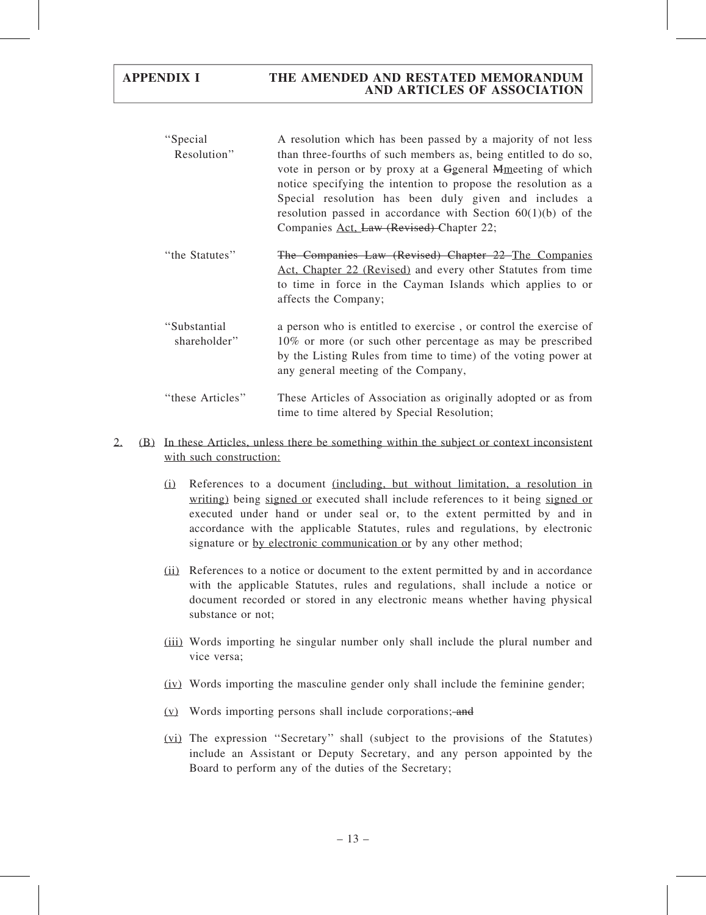- ''Special Resolution'' A resolution which has been passed by a majority of not less than three-fourths of such members as, being entitled to do so, vote in person or by proxy at a Ggeneral Mmeeting of which notice specifying the intention to propose the resolution as a Special resolution has been duly given and includes a resolution passed in accordance with Section 60(1)(b) of the Companies Act, Law (Revised) Chapter 22;
- ''the Statutes'' The Companies Law (Revised) Chapter 22 The Companies Act, Chapter 22 (Revised) and every other Statutes from time to time in force in the Cayman Islands which applies to or affects the Company;
- ''Substantial shareholder'' a person who is entitled to exercise , or control the exercise of 10% or more (or such other percentage as may be prescribed by the Listing Rules from time to time) of the voting power at any general meeting of the Company,
- ''these Articles'' These Articles of Association as originally adopted or as from time to time altered by Special Resolution;

### 2. (B) In these Articles, unless there be something within the subject or context inconsistent with such construction:

- (i) References to a document (including, but without limitation, a resolution in writing) being signed or executed shall include references to it being signed or executed under hand or under seal or, to the extent permitted by and in accordance with the applicable Statutes, rules and regulations, by electronic signature or by electronic communication or by any other method;
- (ii) References to a notice or document to the extent permitted by and in accordance with the applicable Statutes, rules and regulations, shall include a notice or document recorded or stored in any electronic means whether having physical substance or not;
- (iii) Words importing he singular number only shall include the plural number and vice versa;
- (iv) Words importing the masculine gender only shall include the feminine gender;
- $(v)$  Words importing persons shall include corporations; and
- (vi) The expression ''Secretary'' shall (subject to the provisions of the Statutes) include an Assistant or Deputy Secretary, and any person appointed by the Board to perform any of the duties of the Secretary;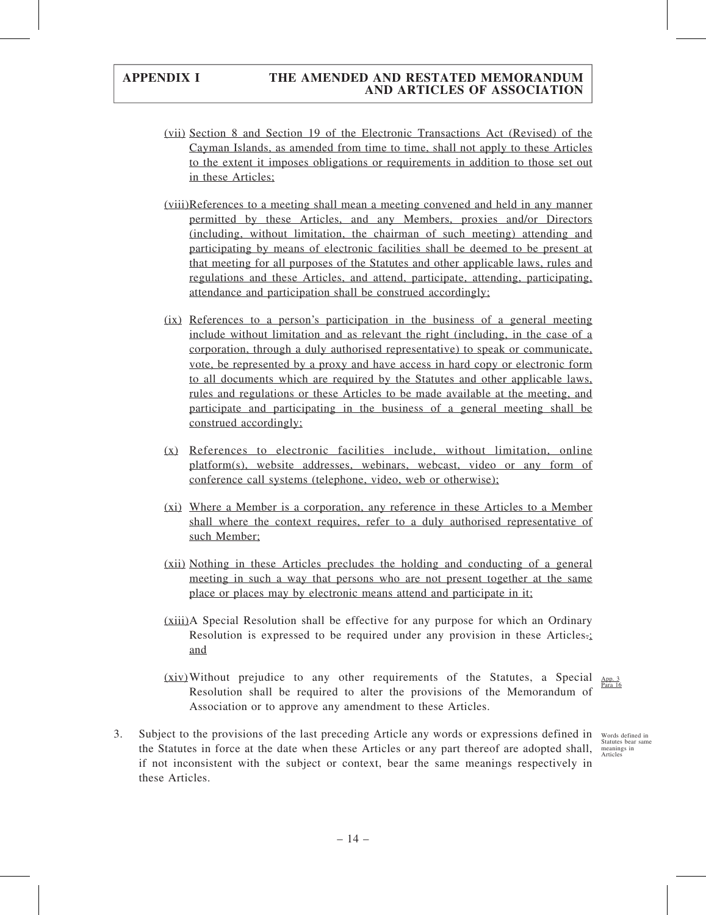- (vii) Section 8 and Section 19 of the Electronic Transactions Act (Revised) of the Cayman Islands, as amended from time to time, shall not apply to these Articles to the extent it imposes obligations or requirements in addition to those set out in these Articles;
- (viii)References to a meeting shall mean a meeting convened and held in any manner permitted by these Articles, and any Members, proxies and/or Directors (including, without limitation, the chairman of such meeting) attending and participating by means of electronic facilities shall be deemed to be present at that meeting for all purposes of the Statutes and other applicable laws, rules and regulations and these Articles, and attend, participate, attending, participating, attendance and participation shall be construed accordingly;
- (ix) References to a person's participation in the business of a general meeting include without limitation and as relevant the right (including, in the case of a corporation, through a duly authorised representative) to speak or communicate, vote, be represented by a proxy and have access in hard copy or electronic form to all documents which are required by the Statutes and other applicable laws, rules and regulations or these Articles to be made available at the meeting, and participate and participating in the business of a general meeting shall be construed accordingly;
- (x) References to electronic facilities include, without limitation, online platform(s), website addresses, webinars, webcast, video or any form of conference call systems (telephone, video, web or otherwise);
- (xi) Where a Member is a corporation, any reference in these Articles to a Member shall where the context requires, refer to a duly authorised representative of such Member;
- (xii) Nothing in these Articles precludes the holding and conducting of a general meeting in such a way that persons who are not present together at the same place or places may by electronic means attend and participate in it;
- (xiii)A Special Resolution shall be effective for any purpose for which an Ordinary Resolution is expressed to be required under any provision in these Articles.; and
- $(xiv)$  Without prejudice to any other requirements of the Statutes, a Special  $\frac{\text{App. 3}}{\text{Para 16}}$ Resolution shall be required to alter the provisions of the Memorandum of Association or to approve any amendment to these Articles.
- 3. Subject to the provisions of the last preceding Article any words or expressions defined in Words defined in the Statutes in force at the date when these Articles or any part thereof are adopted shall, if not inconsistent with the subject or context, bear the same meanings respectively in these Articles.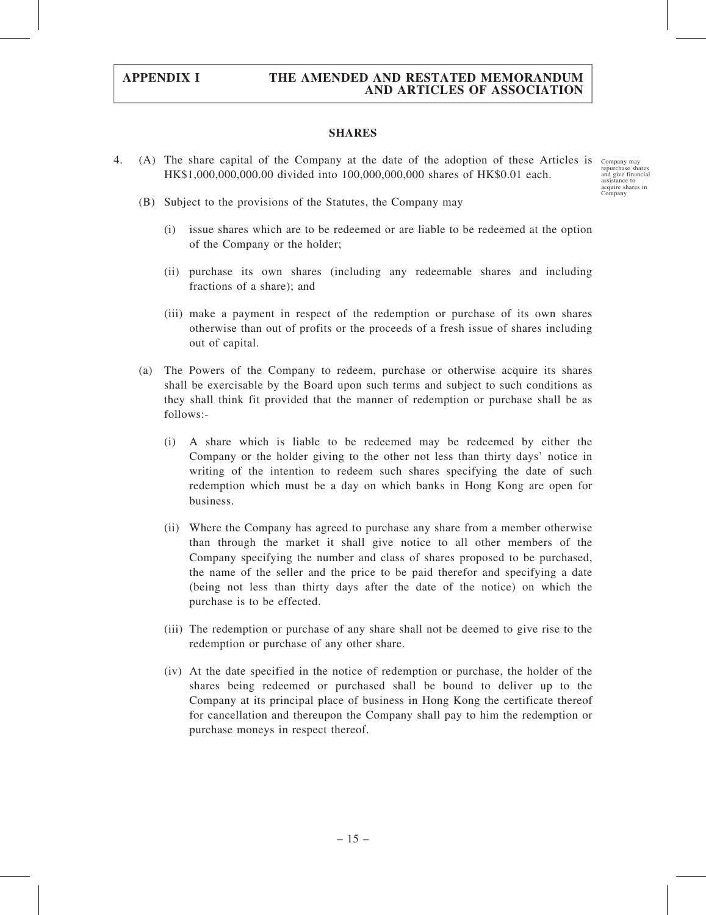#### SHARES

4. (A) The share capital of the Company at the date of the adoption of these Articles is Company may HK\$1,000,000,000.00 divided into 100,000,000,000 shares of HK\$0.01 each.

repurchase shares and give financial assistance to acquire shares in Company

- (B) Subject to the provisions of the Statutes, the Company may
	- (i) issue shares which are to be redeemed or are liable to be redeemed at the option of the Company or the holder;
	- (ii) purchase its own shares (including any redeemable shares and including fractions of a share); and
	- (iii) make a payment in respect of the redemption or purchase of its own shares otherwise than out of profits or the proceeds of a fresh issue of shares including out of capital.
- (a) The Powers of the Company to redeem, purchase or otherwise acquire its shares shall be exercisable by the Board upon such terms and subject to such conditions as they shall think fit provided that the manner of redemption or purchase shall be as follows:-
	- (i) A share which is liable to be redeemed may be redeemed by either the Company or the holder giving to the other not less than thirty days' notice in writing of the intention to redeem such shares specifying the date of such redemption which must be a day on which banks in Hong Kong are open for business.
	- (ii) Where the Company has agreed to purchase any share from a member otherwise than through the market it shall give notice to all other members of the Company specifying the number and class of shares proposed to be purchased, the name of the seller and the price to be paid therefor and specifying a date (being not less than thirty days after the date of the notice) on which the purchase is to be effected.
	- (iii) The redemption or purchase of any share shall not be deemed to give rise to the redemption or purchase of any other share.
	- (iv) At the date specified in the notice of redemption or purchase, the holder of the shares being redeemed or purchased shall be bound to deliver up to the Company at its principal place of business in Hong Kong the certificate thereof for cancellation and thereupon the Company shall pay to him the redemption or purchase moneys in respect thereof.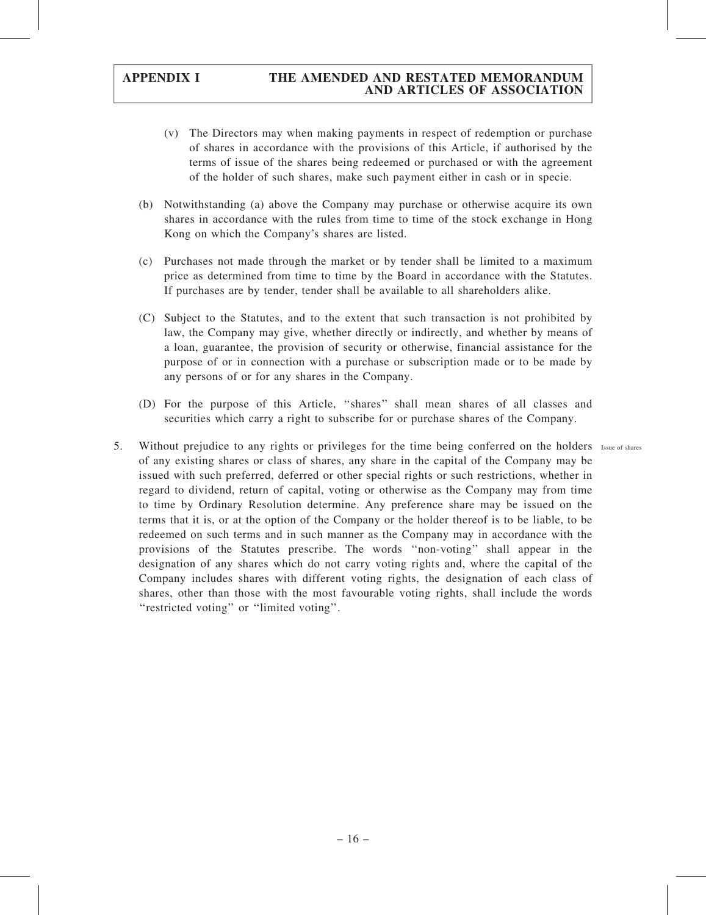- (v) The Directors may when making payments in respect of redemption or purchase of shares in accordance with the provisions of this Article, if authorised by the terms of issue of the shares being redeemed or purchased or with the agreement of the holder of such shares, make such payment either in cash or in specie.
- (b) Notwithstanding (a) above the Company may purchase or otherwise acquire its own shares in accordance with the rules from time to time of the stock exchange in Hong Kong on which the Company's shares are listed.
- (c) Purchases not made through the market or by tender shall be limited to a maximum price as determined from time to time by the Board in accordance with the Statutes. If purchases are by tender, tender shall be available to all shareholders alike.
- (C) Subject to the Statutes, and to the extent that such transaction is not prohibited by law, the Company may give, whether directly or indirectly, and whether by means of a loan, guarantee, the provision of security or otherwise, financial assistance for the purpose of or in connection with a purchase or subscription made or to be made by any persons of or for any shares in the Company.
- (D) For the purpose of this Article, ''shares'' shall mean shares of all classes and securities which carry a right to subscribe for or purchase shares of the Company.
- 5. Without prejudice to any rights or privileges for the time being conferred on the holders Issue of shares of any existing shares or class of shares, any share in the capital of the Company may be issued with such preferred, deferred or other special rights or such restrictions, whether in regard to dividend, return of capital, voting or otherwise as the Company may from time to time by Ordinary Resolution determine. Any preference share may be issued on the terms that it is, or at the option of the Company or the holder thereof is to be liable, to be redeemed on such terms and in such manner as the Company may in accordance with the provisions of the Statutes prescribe. The words ''non-voting'' shall appear in the designation of any shares which do not carry voting rights and, where the capital of the Company includes shares with different voting rights, the designation of each class of shares, other than those with the most favourable voting rights, shall include the words "restricted voting" or "limited voting".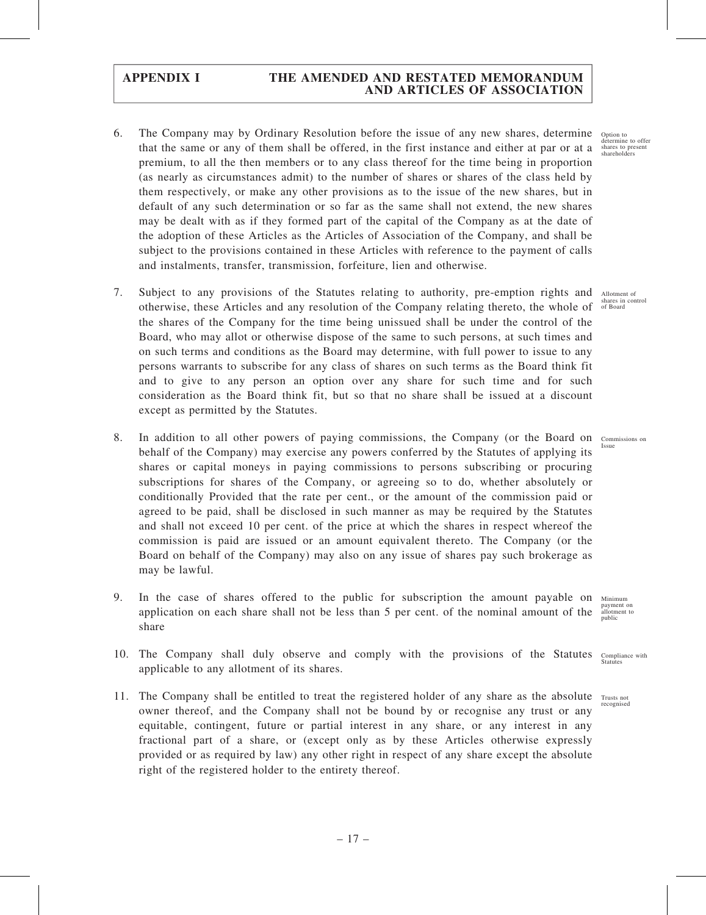- 6. The Company may by Ordinary Resolution before the issue of any new shares, determine that the same or any of them shall be offered, in the first instance and either at par or at a premium, to all the then members or to any class thereof for the time being in proportion (as nearly as circumstances admit) to the number of shares or shares of the class held by them respectively, or make any other provisions as to the issue of the new shares, but in default of any such determination or so far as the same shall not extend, the new shares may be dealt with as if they formed part of the capital of the Company as at the date of the adoption of these Articles as the Articles of Association of the Company, and shall be subject to the provisions contained in these Articles with reference to the payment of calls and instalments, transfer, transmission, forfeiture, lien and otherwise.
- 7. Subject to any provisions of the Statutes relating to authority, pre-emption rights and Allotment of otherwise, these Articles and any resolution of the Company relating thereto, the whole of <sup>shares in control</sup> the shares of the Company for the time being unissued shall be under the control of the Board, who may allot or otherwise dispose of the same to such persons, at such times and on such terms and conditions as the Board may determine, with full power to issue to any persons warrants to subscribe for any class of shares on such terms as the Board think fit and to give to any person an option over any share for such time and for such consideration as the Board think fit, but so that no share shall be issued at a discount except as permitted by the Statutes.
- 8. In addition to all other powers of paying commissions, the Company (or the Board on Commissions on behalf of the Company) may exercise any powers conferred by the Statutes of applying its shares or capital moneys in paying commissions to persons subscribing or procuring subscriptions for shares of the Company, or agreeing so to do, whether absolutely or conditionally Provided that the rate per cent., or the amount of the commission paid or agreed to be paid, shall be disclosed in such manner as may be required by the Statutes and shall not exceed 10 per cent. of the price at which the shares in respect whereof the commission is paid are issued or an amount equivalent thereto. The Company (or the Board on behalf of the Company) may also on any issue of shares pay such brokerage as may be lawful.
- 9. In the case of shares offered to the public for subscription the amount payable on application on each share shall not be less than 5 per cent. of the nominal amount of the share Minimum payment on allotment to public
- 10. The Company shall duly observe and comply with the provisions of the Statutes applicable to any allotment of its shares. Compliance with **Statutes**
- 11. The Company shall be entitled to treat the registered holder of any share as the absolute Trusts not owner thereof, and the Company shall not be bound by or recognise any trust or any equitable, contingent, future or partial interest in any share, or any interest in any fractional part of a share, or (except only as by these Articles otherwise expressly provided or as required by law) any other right in respect of any share except the absolute right of the registered holder to the entirety thereof.

Option to determine to offer shares to present shareholders

Issue

recognised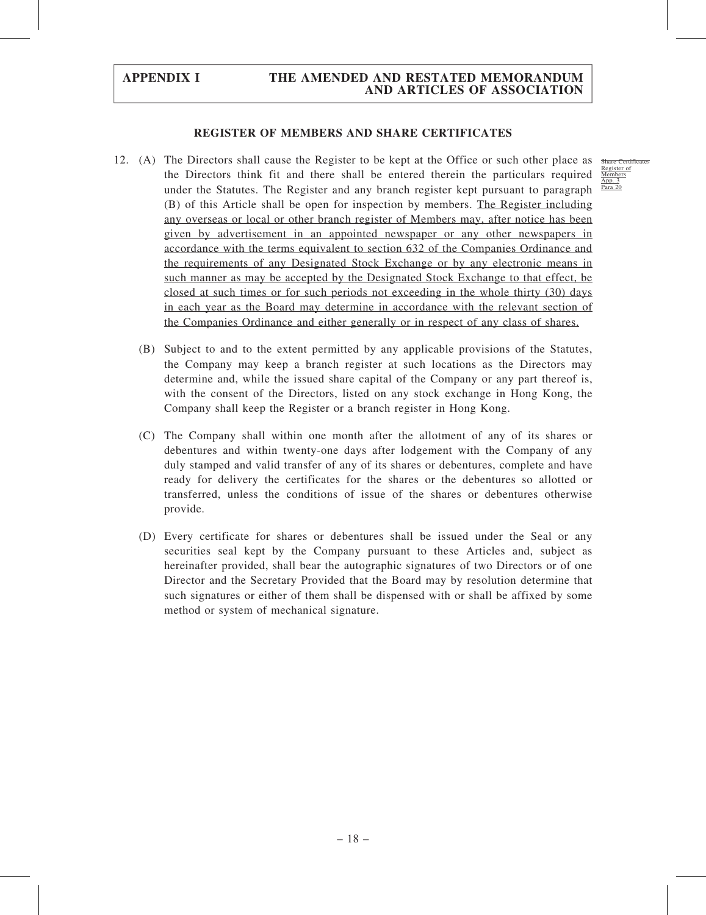#### REGISTER OF MEMBERS AND SHARE CERTIFICATES

- 12. (A) The Directors shall cause the Register to be kept at the Office or such other place as the Directors think fit and there shall be entered therein the particulars required under the Statutes. The Register and any branch register kept pursuant to paragraph (B) of this Article shall be open for inspection by members. The Register including any overseas or local or other branch register of Members may, after notice has been given by advertisement in an appointed newspaper or any other newspapers in accordance with the terms equivalent to section 632 of the Companies Ordinance and the requirements of any Designated Stock Exchange or by any electronic means in such manner as may be accepted by the Designated Stock Exchange to that effect, be closed at such times or for such periods not exceeding in the whole thirty (30) days in each year as the Board may determine in accordance with the relevant section of the Companies Ordinance and either generally or in respect of any class of shares.
	- (B) Subject to and to the extent permitted by any applicable provisions of the Statutes, the Company may keep a branch register at such locations as the Directors may determine and, while the issued share capital of the Company or any part thereof is, with the consent of the Directors, listed on any stock exchange in Hong Kong, the Company shall keep the Register or a branch register in Hong Kong.
	- (C) The Company shall within one month after the allotment of any of its shares or debentures and within twenty-one days after lodgement with the Company of any duly stamped and valid transfer of any of its shares or debentures, complete and have ready for delivery the certificates for the shares or the debentures so allotted or transferred, unless the conditions of issue of the shares or debentures otherwise provide.
	- (D) Every certificate for shares or debentures shall be issued under the Seal or any securities seal kept by the Company pursuant to these Articles and, subject as hereinafter provided, shall bear the autographic signatures of two Directors or of one Director and the Secretary Provided that the Board may by resolution determine that such signatures or either of them shall be dispensed with or shall be affixed by some method or system of mechanical signature.

Share Certif Register of Members App. 3 Para 20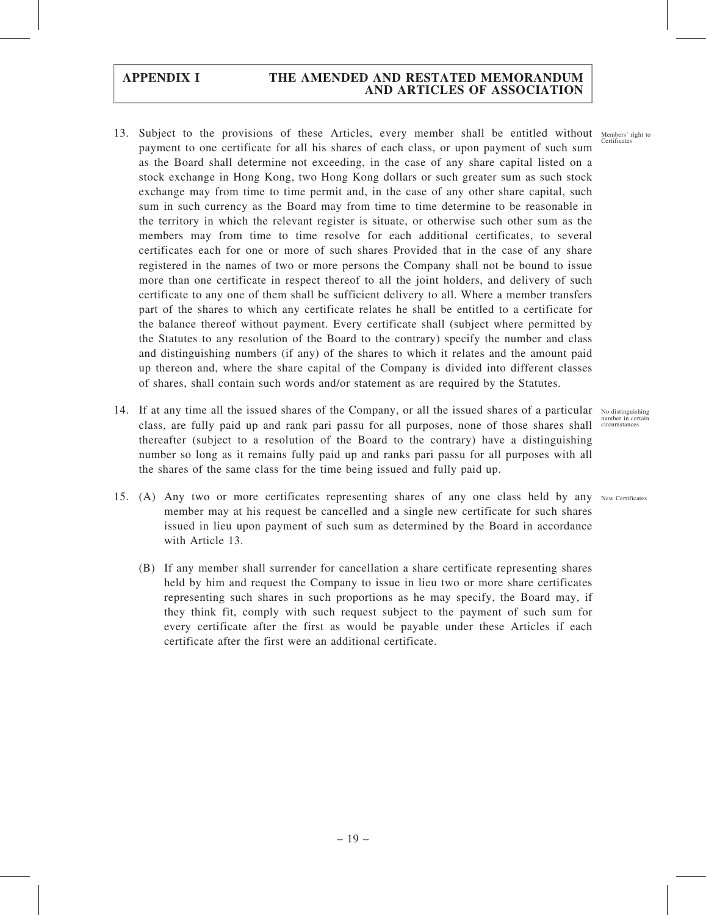- 13. Subject to the provisions of these Articles, every member shall be entitled without Members' right to payment to one certificate for all his shares of each class, or upon payment of such sum as the Board shall determine not exceeding, in the case of any share capital listed on a stock exchange in Hong Kong, two Hong Kong dollars or such greater sum as such stock exchange may from time to time permit and, in the case of any other share capital, such sum in such currency as the Board may from time to time determine to be reasonable in the territory in which the relevant register is situate, or otherwise such other sum as the members may from time to time resolve for each additional certificates, to several certificates each for one or more of such shares Provided that in the case of any share registered in the names of two or more persons the Company shall not be bound to issue more than one certificate in respect thereof to all the joint holders, and delivery of such certificate to any one of them shall be sufficient delivery to all. Where a member transfers part of the shares to which any certificate relates he shall be entitled to a certificate for the balance thereof without payment. Every certificate shall (subject where permitted by the Statutes to any resolution of the Board to the contrary) specify the number and class and distinguishing numbers (if any) of the shares to which it relates and the amount paid up thereon and, where the share capital of the Company is divided into different classes of shares, shall contain such words and/or statement as are required by the Statutes.
- 14. If at any time all the issued shares of the Company, or all the issued shares of a particular No distinguishing class, are fully paid up and rank pari passu for all purposes, none of those shares shall thereafter (subject to a resolution of the Board to the contrary) have a distinguishing number so long as it remains fully paid up and ranks pari passu for all purposes with all the shares of the same class for the time being issued and fully paid up.
- 15. (A) Any two or more certificates representing shares of any one class held by any New Certificates member may at his request be cancelled and a single new certificate for such shares issued in lieu upon payment of such sum as determined by the Board in accordance with Article 13.
	- (B) If any member shall surrender for cancellation a share certificate representing shares held by him and request the Company to issue in lieu two or more share certificates representing such shares in such proportions as he may specify, the Board may, if they think fit, comply with such request subject to the payment of such sum for every certificate after the first as would be payable under these Articles if each certificate after the first were an additional certificate.

number in certain circumstances

**Certificates**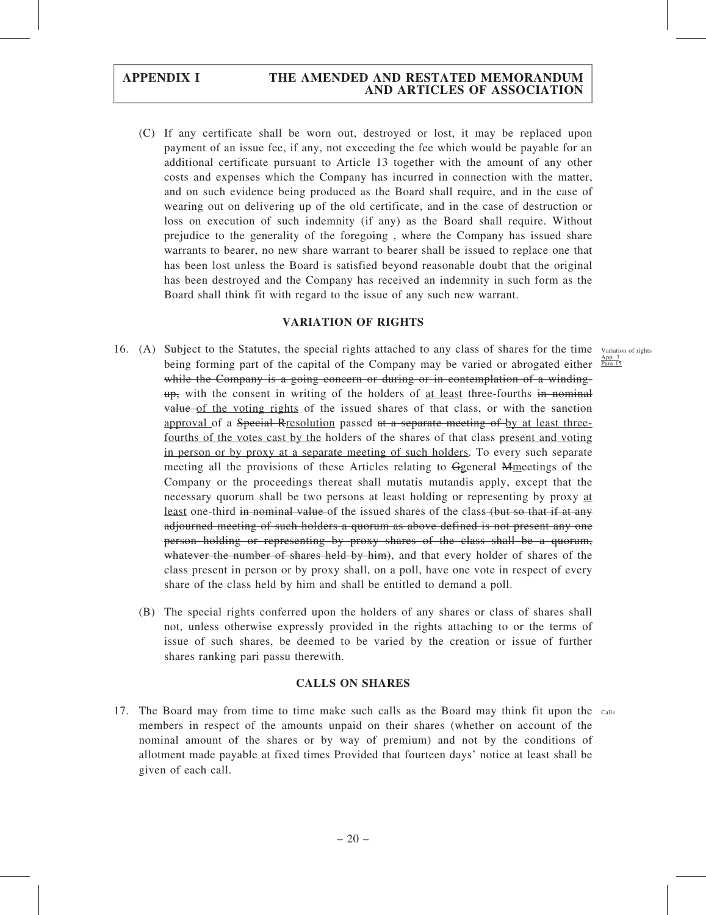(C) If any certificate shall be worn out, destroyed or lost, it may be replaced upon payment of an issue fee, if any, not exceeding the fee which would be payable for an additional certificate pursuant to Article 13 together with the amount of any other costs and expenses which the Company has incurred in connection with the matter, and on such evidence being produced as the Board shall require, and in the case of wearing out on delivering up of the old certificate, and in the case of destruction or loss on execution of such indemnity (if any) as the Board shall require. Without prejudice to the generality of the foregoing , where the Company has issued share warrants to bearer, no new share warrant to bearer shall be issued to replace one that has been lost unless the Board is satisfied beyond reasonable doubt that the original has been destroyed and the Company has received an indemnity in such form as the Board shall think fit with regard to the issue of any such new warrant.

#### VARIATION OF RIGHTS

- 16. (A) Subject to the Statutes, the special rights attached to any class of shares for the time Variation of rights being forming part of the capital of the Company may be varied or abrogated either **Para 15** while the Company is a going concern or during or in contemplation of a winding- $\frac{u}{v}$ , with the consent in writing of the holders of <u>at least</u> three-fourths in nominal value of the voting rights of the issued shares of that class, or with the sanction approval of a Special Rresolution passed at a separate meeting of by at least threefourths of the votes cast by the holders of the shares of that class present and voting in person or by proxy at a separate meeting of such holders. To every such separate meeting all the provisions of these Articles relating to Ggeneral Mmeetings of the Company or the proceedings thereat shall mutatis mutandis apply, except that the necessary quorum shall be two persons at least holding or representing by proxy at least one-third in nominal value of the issued shares of the class (but so that if at any adjourned meeting of such holders a quorum as above defined is not present any one person holding or representing by proxy shares of the class shall be a quorum, whatever the number of shares held by him), and that every holder of shares of the class present in person or by proxy shall, on a poll, have one vote in respect of every share of the class held by him and shall be entitled to demand a poll.
	- (B) The special rights conferred upon the holders of any shares or class of shares shall not, unless otherwise expressly provided in the rights attaching to or the terms of issue of such shares, be deemed to be varied by the creation or issue of further shares ranking pari passu therewith.

#### CALLS ON SHARES

17. The Board may from time to time make such calls as the Board may think fit upon the calls members in respect of the amounts unpaid on their shares (whether on account of the nominal amount of the shares or by way of premium) and not by the conditions of allotment made payable at fixed times Provided that fourteen days' notice at least shall be given of each call.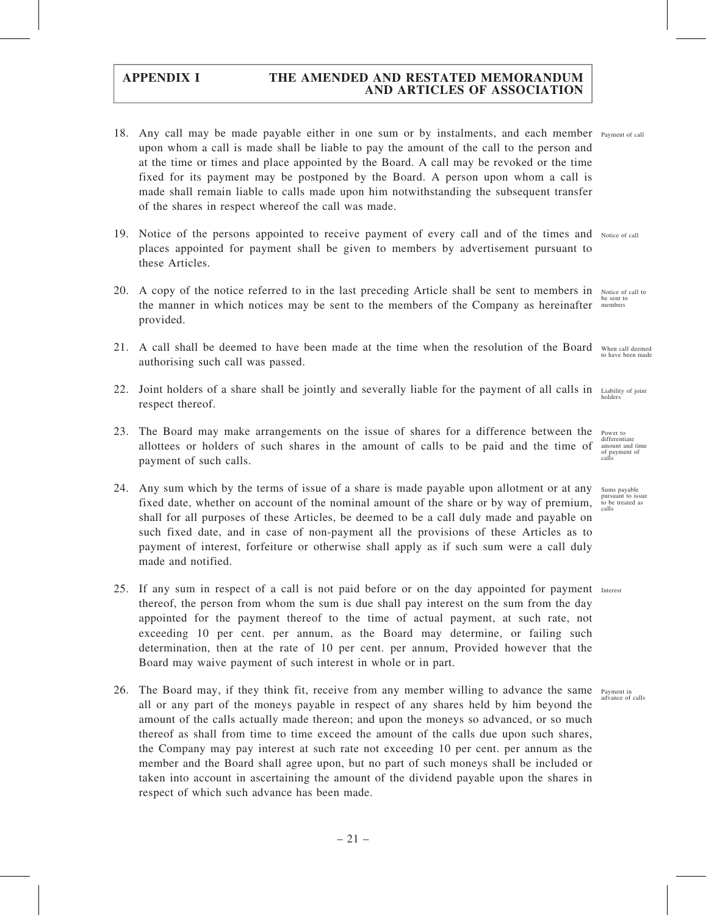- 18. Any call may be made payable either in one sum or by instalments, and each member Payment of call upon whom a call is made shall be liable to pay the amount of the call to the person and at the time or times and place appointed by the Board. A call may be revoked or the time fixed for its payment may be postponed by the Board. A person upon whom a call is made shall remain liable to calls made upon him notwithstanding the subsequent transfer of the shares in respect whereof the call was made.
- 19. Notice of the persons appointed to receive payment of every call and of the times and Notice of call places appointed for payment shall be given to members by advertisement pursuant to these Articles.
- 20. A copy of the notice referred to in the last preceding Article shall be sent to members in the manner in which notices may be sent to the members of the Company as hereinafter provided. members
- 21. A call shall be deemed to have been made at the time when the resolution of the Board authorising such call was passed.
- 22. Joint holders of a share shall be jointly and severally liable for the payment of all calls in respect thereof. holders
- 23. The Board may make arrangements on the issue of shares for a difference between the allottees or holders of such shares in the amount of calls to be paid and the time of payment of such calls.
- 24. Any sum which by the terms of issue of a share is made payable upon allotment or at any fixed date, whether on account of the nominal amount of the share or by way of premium, shall for all purposes of these Articles, be deemed to be a call duly made and payable on such fixed date, and in case of non-payment all the provisions of these Articles as to payment of interest, forfeiture or otherwise shall apply as if such sum were a call duly made and notified.
- 25. If any sum in respect of a call is not paid before or on the day appointed for payment Interest thereof, the person from whom the sum is due shall pay interest on the sum from the day appointed for the payment thereof to the time of actual payment, at such rate, not exceeding 10 per cent. per annum, as the Board may determine, or failing such determination, then at the rate of 10 per cent. per annum, Provided however that the Board may waive payment of such interest in whole or in part.
- 26. The Board may, if they think fit, receive from any member willing to advance the same Payment in all or any part of the moneys payable in respect of any shares held by him beyond the amount of the calls actually made thereon; and upon the moneys so advanced, or so much thereof as shall from time to time exceed the amount of the calls due upon such shares, the Company may pay interest at such rate not exceeding 10 per cent. per annum as the member and the Board shall agree upon, but no part of such moneys shall be included or taken into account in ascertaining the amount of the dividend payable upon the shares in respect of which such advance has been made.

Notice of call to be sent to

When call deemed to have been made

Liability of joint

Power to differentiate amount and time of payment of calls

Sums payable pursuant to issue to be treated as calls

ayment in<br>idvance of calls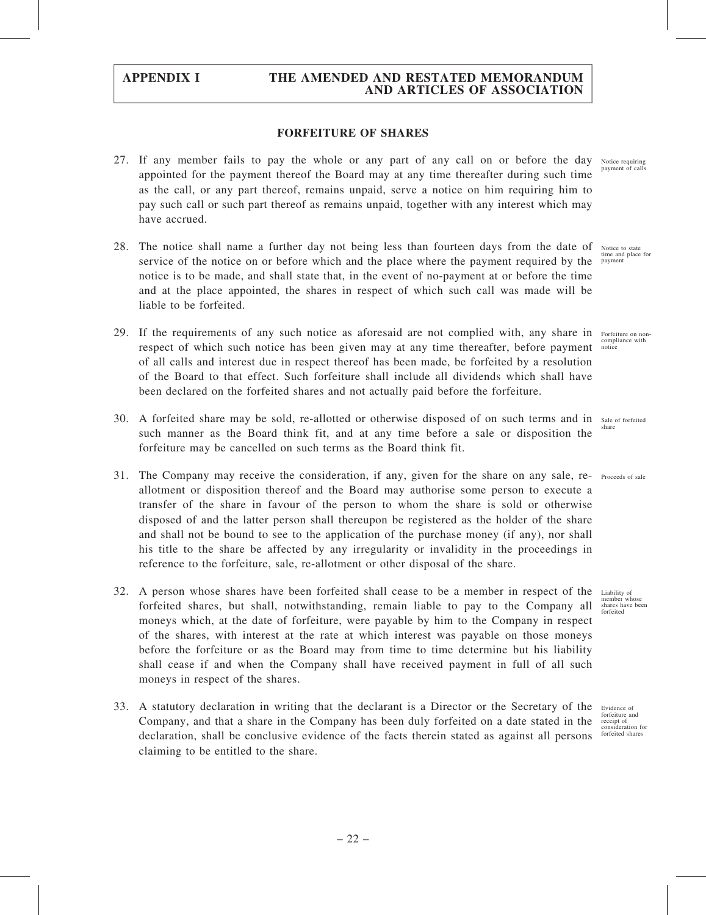#### FORFEITURE OF SHARES

- 27. If any member fails to pay the whole or any part of any call on or before the day Notice requiring appointed for the payment thereof the Board may at any time thereafter during such time as the call, or any part thereof, remains unpaid, serve a notice on him requiring him to pay such call or such part thereof as remains unpaid, together with any interest which may have accrued.
- 28. The notice shall name a further day not being less than fourteen days from the date of service of the notice on or before which and the place where the payment required by the notice is to be made, and shall state that, in the event of no-payment at or before the time and at the place appointed, the shares in respect of which such call was made will be liable to be forfeited.
- 29. If the requirements of any such notice as aforesaid are not complied with, any share in Forfeiture on nonrespect of which such notice has been given may at any time thereafter, before payment of all calls and interest due in respect thereof has been made, be forfeited by a resolution of the Board to that effect. Such forfeiture shall include all dividends which shall have been declared on the forfeited shares and not actually paid before the forfeiture.
- 30. A forfeited share may be sold, re-allotted or otherwise disposed of on such terms and in Sale of forfeited such manner as the Board think fit, and at any time before a sale or disposition the forfeiture may be cancelled on such terms as the Board think fit. share
- 31. The Company may receive the consideration, if any, given for the share on any sale, re- Proceeds of sale allotment or disposition thereof and the Board may authorise some person to execute a transfer of the share in favour of the person to whom the share is sold or otherwise disposed of and the latter person shall thereupon be registered as the holder of the share and shall not be bound to see to the application of the purchase money (if any), nor shall his title to the share be affected by any irregularity or invalidity in the proceedings in reference to the forfeiture, sale, re-allotment or other disposal of the share.
- 32. A person whose shares have been forfeited shall cease to be a member in respect of the forfeited shares, but shall, notwithstanding, remain liable to pay to the Company all moneys which, at the date of forfeiture, were payable by him to the Company in respect of the shares, with interest at the rate at which interest was payable on those moneys before the forfeiture or as the Board may from time to time determine but his liability shall cease if and when the Company shall have received payment in full of all such moneys in respect of the shares.
- 33. A statutory declaration in writing that the declarant is a Director or the Secretary of the Company, and that a share in the Company has been duly forfeited on a date stated in the declaration, shall be conclusive evidence of the facts therein stated as against all persons claiming to be entitled to the share.

payment of calls

Notice to state time and place for payment

compliance with notice

Liability of member whose shares have been forfeited

Evidence of forfeiture and receipt of consideration for forfeited share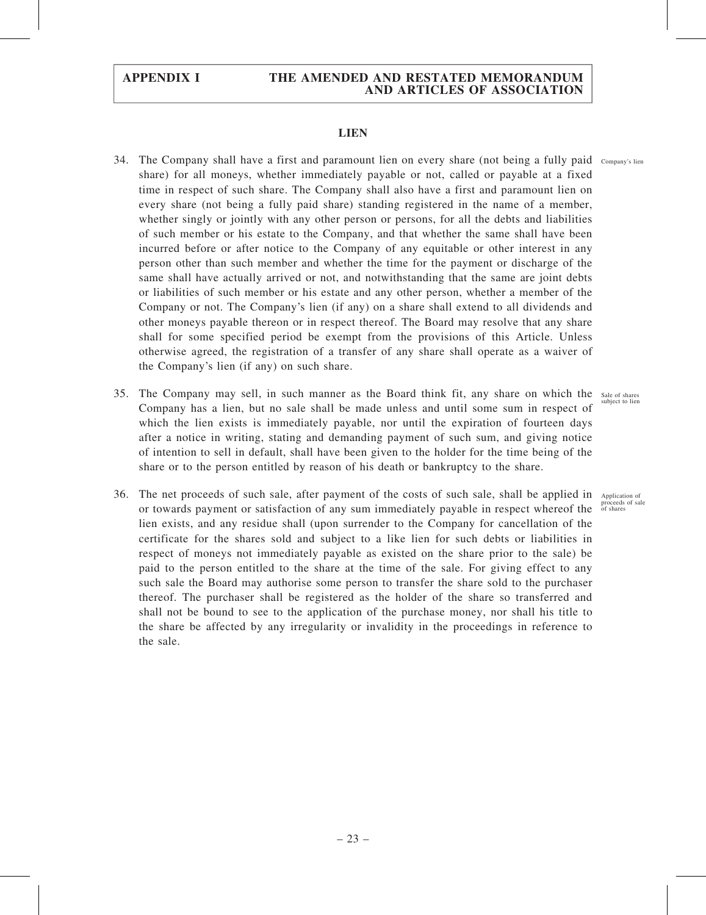#### LIEN

- 34. The Company shall have a first and paramount lien on every share (not being a fully paid Company's lien share) for all moneys, whether immediately payable or not, called or payable at a fixed time in respect of such share. The Company shall also have a first and paramount lien on every share (not being a fully paid share) standing registered in the name of a member, whether singly or jointly with any other person or persons, for all the debts and liabilities of such member or his estate to the Company, and that whether the same shall have been incurred before or after notice to the Company of any equitable or other interest in any person other than such member and whether the time for the payment or discharge of the same shall have actually arrived or not, and notwithstanding that the same are joint debts or liabilities of such member or his estate and any other person, whether a member of the Company or not. The Company's lien (if any) on a share shall extend to all dividends and other moneys payable thereon or in respect thereof. The Board may resolve that any share shall for some specified period be exempt from the provisions of this Article. Unless otherwise agreed, the registration of a transfer of any share shall operate as a waiver of the Company's lien (if any) on such share.
- 35. The Company may sell, in such manner as the Board think fit, any share on which the Sale of shares Company has a lien, but no sale shall be made unless and until some sum in respect of which the lien exists is immediately payable, nor until the expiration of fourteen days after a notice in writing, stating and demanding payment of such sum, and giving notice of intention to sell in default, shall have been given to the holder for the time being of the share or to the person entitled by reason of his death or bankruptcy to the share.
- 36. The net proceeds of such sale, after payment of the costs of such sale, shall be applied in Application of or towards payment or satisfaction of any sum immediately payable in respect whereof the lien exists, and any residue shall (upon surrender to the Company for cancellation of the certificate for the shares sold and subject to a like lien for such debts or liabilities in respect of moneys not immediately payable as existed on the share prior to the sale) be paid to the person entitled to the share at the time of the sale. For giving effect to any such sale the Board may authorise some person to transfer the share sold to the purchaser thereof. The purchaser shall be registered as the holder of the share so transferred and shall not be bound to see to the application of the purchase money, nor shall his title to the share be affected by any irregularity or invalidity in the proceedings in reference to the sale.

subject to lien

proceeds of sale of shares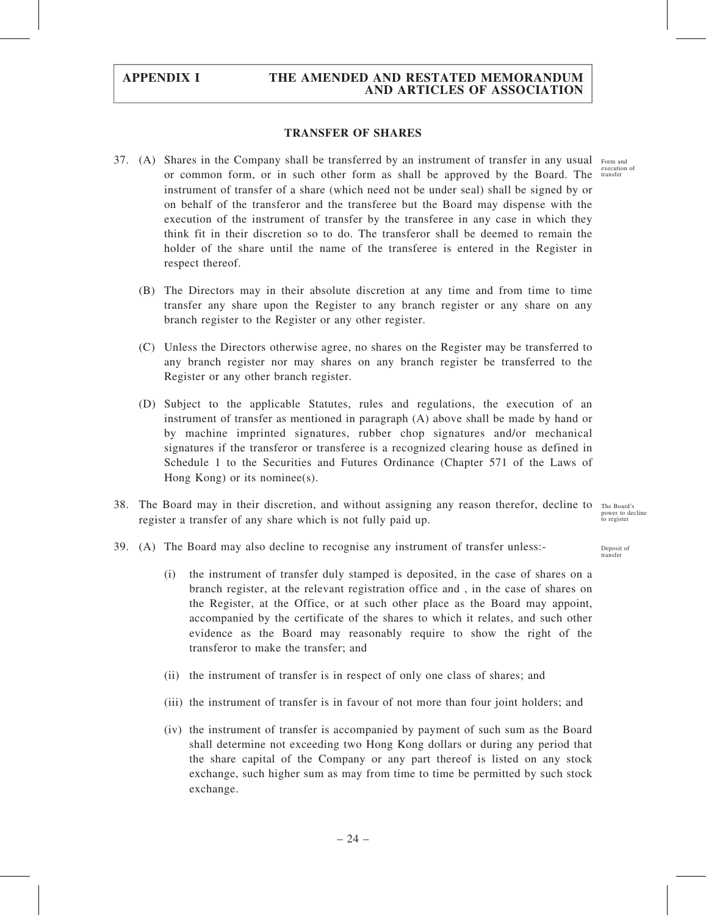#### TRANSFER OF SHARES

- 37. (A) Shares in the Company shall be transferred by an instrument of transfer in any usual Form and or common form, or in such other form as shall be approved by the Board. The transfer instrument of transfer of a share (which need not be under seal) shall be signed by or on behalf of the transferor and the transferee but the Board may dispense with the execution of the instrument of transfer by the transferee in any case in which they think fit in their discretion so to do. The transferor shall be deemed to remain the holder of the share until the name of the transferee is entered in the Register in respect thereof.
	- (B) The Directors may in their absolute discretion at any time and from time to time transfer any share upon the Register to any branch register or any share on any branch register to the Register or any other register.
	- (C) Unless the Directors otherwise agree, no shares on the Register may be transferred to any branch register nor may shares on any branch register be transferred to the Register or any other branch register.
	- (D) Subject to the applicable Statutes, rules and regulations, the execution of an instrument of transfer as mentioned in paragraph (A) above shall be made by hand or by machine imprinted signatures, rubber chop signatures and/or mechanical signatures if the transferor or transferee is a recognized clearing house as defined in Schedule 1 to the Securities and Futures Ordinance (Chapter 571 of the Laws of Hong Kong) or its nominee(s).
- 38. The Board may in their discretion, and without assigning any reason therefor, decline to The Board's register a transfer of any share which is not fully paid up. power to decline to register
- 39. (A) The Board may also decline to recognise any instrument of transfer unless:-
	- (i) the instrument of transfer duly stamped is deposited, in the case of shares on a branch register, at the relevant registration office and , in the case of shares on the Register, at the Office, or at such other place as the Board may appoint, accompanied by the certificate of the shares to which it relates, and such other evidence as the Board may reasonably require to show the right of the transferor to make the transfer; and
	- (ii) the instrument of transfer is in respect of only one class of shares; and
	- (iii) the instrument of transfer is in favour of not more than four joint holders; and
	- (iv) the instrument of transfer is accompanied by payment of such sum as the Board shall determine not exceeding two Hong Kong dollars or during any period that the share capital of the Company or any part thereof is listed on any stock exchange, such higher sum as may from time to time be permitted by such stock exchange.

execution of

Deposit of transfer

– 24 –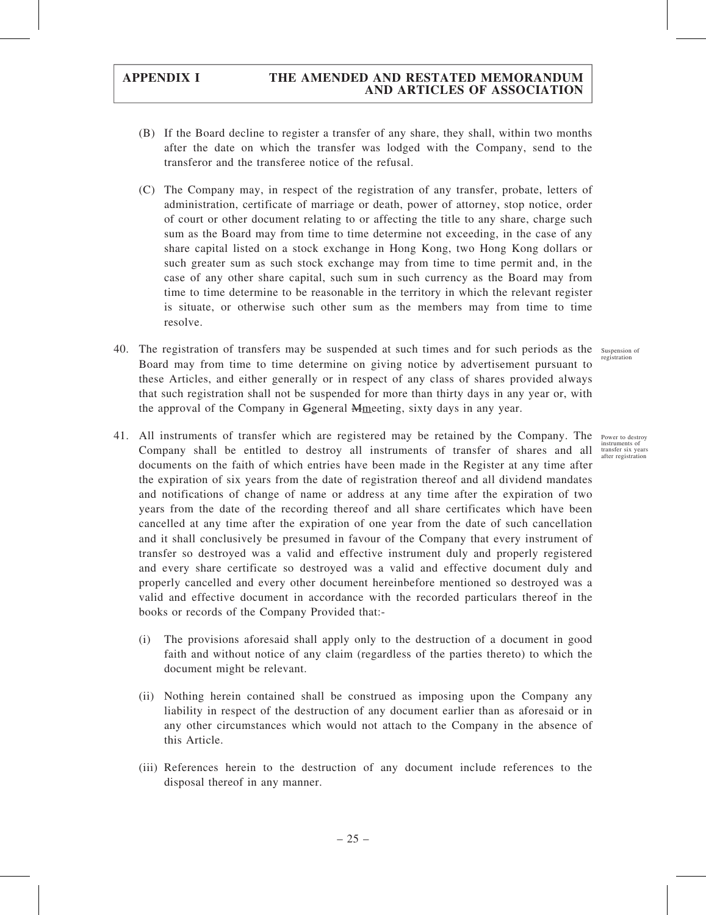- (B) If the Board decline to register a transfer of any share, they shall, within two months after the date on which the transfer was lodged with the Company, send to the transferor and the transferee notice of the refusal.
- (C) The Company may, in respect of the registration of any transfer, probate, letters of administration, certificate of marriage or death, power of attorney, stop notice, order of court or other document relating to or affecting the title to any share, charge such sum as the Board may from time to time determine not exceeding, in the case of any share capital listed on a stock exchange in Hong Kong, two Hong Kong dollars or such greater sum as such stock exchange may from time to time permit and, in the case of any other share capital, such sum in such currency as the Board may from time to time determine to be reasonable in the territory in which the relevant register is situate, or otherwise such other sum as the members may from time to time resolve.
- 40. The registration of transfers may be suspended at such times and for such periods as the suspension of Board may from time to time determine on giving notice by advertisement pursuant to these Articles, and either generally or in respect of any class of shares provided always that such registration shall not be suspended for more than thirty days in any year or, with the approval of the Company in Ggeneral Mmeeting, sixty days in any year.
- 41. All instruments of transfer which are registered may be retained by the Company. The Company shall be entitled to destroy all instruments of transfer of shares and all documents on the faith of which entries have been made in the Register at any time after the expiration of six years from the date of registration thereof and all dividend mandates and notifications of change of name or address at any time after the expiration of two years from the date of the recording thereof and all share certificates which have been cancelled at any time after the expiration of one year from the date of such cancellation and it shall conclusively be presumed in favour of the Company that every instrument of transfer so destroyed was a valid and effective instrument duly and properly registered and every share certificate so destroyed was a valid and effective document duly and properly cancelled and every other document hereinbefore mentioned so destroyed was a valid and effective document in accordance with the recorded particulars thereof in the books or records of the Company Provided that:-
	- (i) The provisions aforesaid shall apply only to the destruction of a document in good faith and without notice of any claim (regardless of the parties thereto) to which the document might be relevant.
	- (ii) Nothing herein contained shall be construed as imposing upon the Company any liability in respect of the destruction of any document earlier than as aforesaid or in any other circumstances which would not attach to the Company in the absence of this Article.
	- (iii) References herein to the destruction of any document include references to the disposal thereof in any manner.

registration

Power to destroy instruments of transfer six years after registration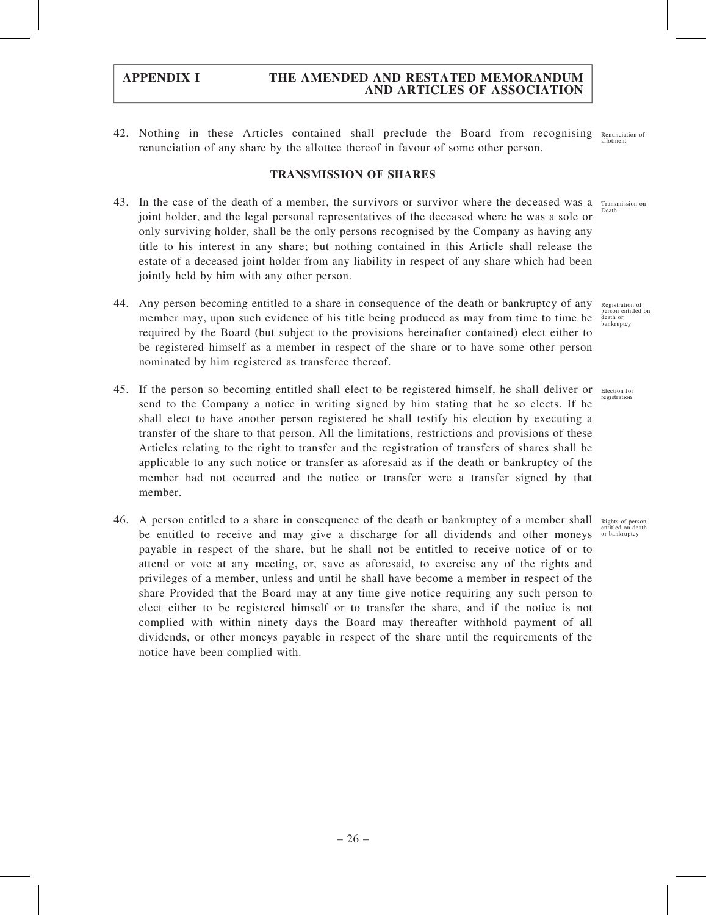42. Nothing in these Articles contained shall preclude the Board from recognising renunciation of any share by the allottee thereof in favour of some other person. Renunciation of allotment

#### TRANSMISSION OF SHARES

- 43. In the case of the death of a member, the survivors or survivor where the deceased was a Transmission on joint holder, and the legal personal representatives of the deceased where he was a sole or only surviving holder, shall be the only persons recognised by the Company as having any title to his interest in any share; but nothing contained in this Article shall release the estate of a deceased joint holder from any liability in respect of any share which had been jointly held by him with any other person. Death
- 44. Any person becoming entitled to a share in consequence of the death or bankruptcy of any member may, upon such evidence of his title being produced as may from time to time be required by the Board (but subject to the provisions hereinafter contained) elect either to be registered himself as a member in respect of the share or to have some other person nominated by him registered as transferee thereof.
- 45. If the person so becoming entitled shall elect to be registered himself, he shall deliver or Election for send to the Company a notice in writing signed by him stating that he so elects. If he shall elect to have another person registered he shall testify his election by executing a transfer of the share to that person. All the limitations, restrictions and provisions of these Articles relating to the right to transfer and the registration of transfers of shares shall be applicable to any such notice or transfer as aforesaid as if the death or bankruptcy of the member had not occurred and the notice or transfer were a transfer signed by that member.
- 46. A person entitled to a share in consequence of the death or bankruptcy of a member shall Rights of person be entitled to receive and may give a discharge for all dividends and other moneys or bankruptcy payable in respect of the share, but he shall not be entitled to receive notice of or to attend or vote at any meeting, or, save as aforesaid, to exercise any of the rights and privileges of a member, unless and until he shall have become a member in respect of the share Provided that the Board may at any time give notice requiring any such person to elect either to be registered himself or to transfer the share, and if the notice is not complied with within ninety days the Board may thereafter withhold payment of all dividends, or other moneys payable in respect of the share until the requirements of the notice have been complied with.

Registration of person entitled on death or bankruptcy

registration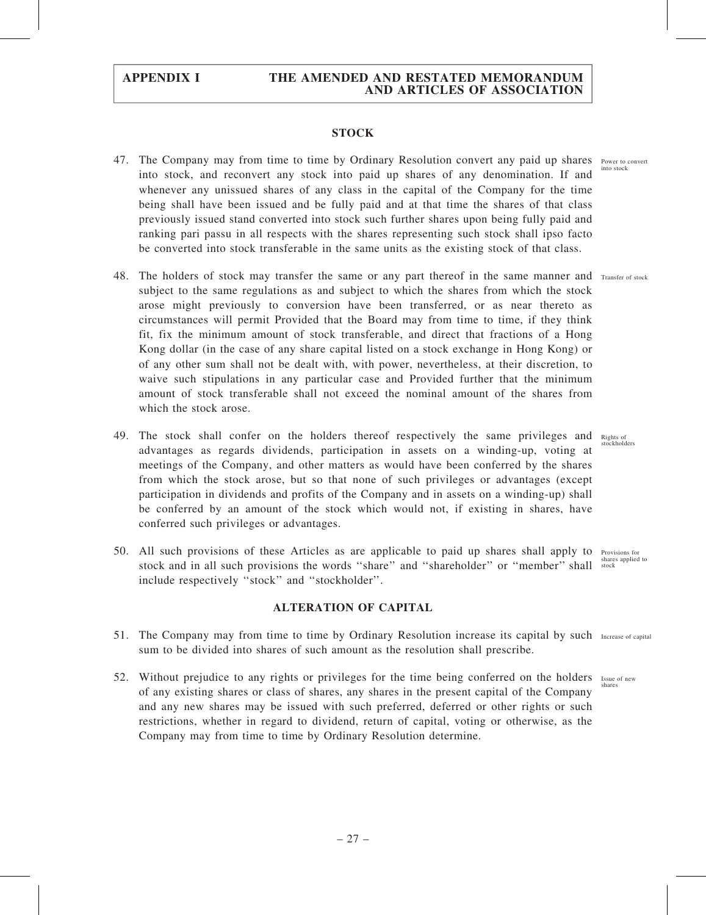#### **STOCK**

- 47. The Company may from time to time by Ordinary Resolution convert any paid up shares Power to convert into stock, and reconvert any stock into paid up shares of any denomination. If and whenever any unissued shares of any class in the capital of the Company for the time being shall have been issued and be fully paid and at that time the shares of that class previously issued stand converted into stock such further shares upon being fully paid and ranking pari passu in all respects with the shares representing such stock shall ipso facto be converted into stock transferable in the same units as the existing stock of that class.
- 48. The holders of stock may transfer the same or any part thereof in the same manner and Transfer of stock subject to the same regulations as and subject to which the shares from which the stock arose might previously to conversion have been transferred, or as near thereto as circumstances will permit Provided that the Board may from time to time, if they think fit, fix the minimum amount of stock transferable, and direct that fractions of a Hong Kong dollar (in the case of any share capital listed on a stock exchange in Hong Kong) or of any other sum shall not be dealt with, with power, nevertheless, at their discretion, to waive such stipulations in any particular case and Provided further that the minimum amount of stock transferable shall not exceed the nominal amount of the shares from which the stock arose.
- 49. The stock shall confer on the holders thereof respectively the same privileges and Rights of stockholders advantages as regards dividends, participation in assets on a winding-up, voting at meetings of the Company, and other matters as would have been conferred by the shares from which the stock arose, but so that none of such privileges or advantages (except participation in dividends and profits of the Company and in assets on a winding-up) shall be conferred by an amount of the stock which would not, if existing in shares, have conferred such privileges or advantages.
- 50. All such provisions of these Articles as are applicable to paid up shares shall apply to Provisions for stock and in all such provisions the words "share" and "shareholder" or "member" shall stock shares applied to include respectively ''stock'' and ''stockholder''.

#### ALTERATION OF CAPITAL

- 51. The Company may from time to time by Ordinary Resolution increase its capital by such Increase of capital sum to be divided into shares of such amount as the resolution shall prescribe.
- 52. Without prejudice to any rights or privileges for the time being conferred on the holders Issue of new of any existing shares or class of shares, any shares in the present capital of the Company and any new shares may be issued with such preferred, deferred or other rights or such restrictions, whether in regard to dividend, return of capital, voting or otherwise, as the Company may from time to time by Ordinary Resolution determine. shares

into stock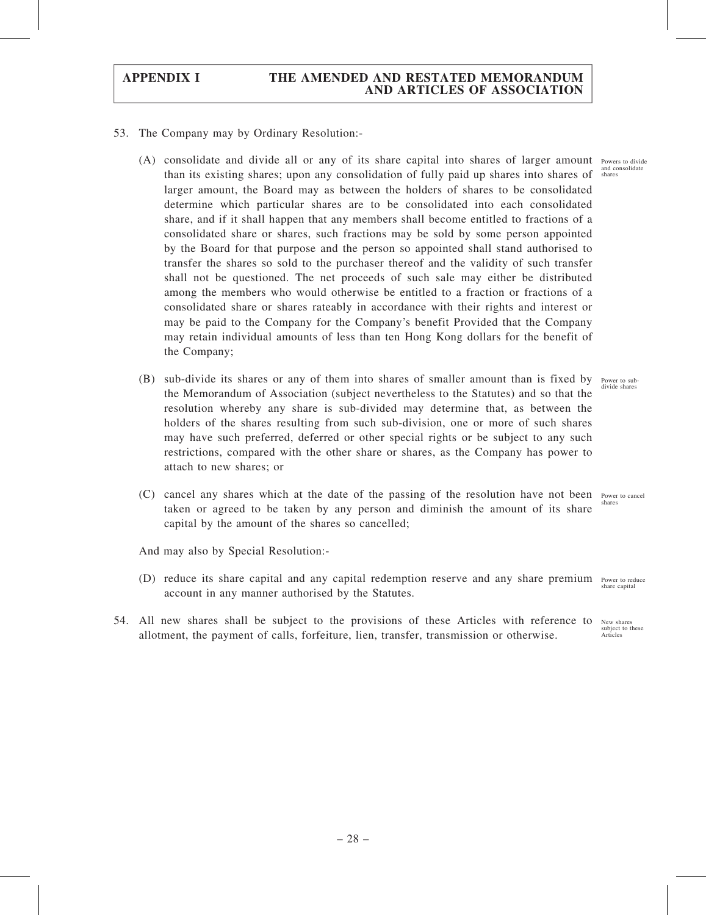- 53. The Company may by Ordinary Resolution:-
	- (A) consolidate and divide all or any of its share capital into shares of larger amount Powers to divide than its existing shares; upon any consolidation of fully paid up shares into shares of shares larger amount, the Board may as between the holders of shares to be consolidated determine which particular shares are to be consolidated into each consolidated share, and if it shall happen that any members shall become entitled to fractions of a consolidated share or shares, such fractions may be sold by some person appointed by the Board for that purpose and the person so appointed shall stand authorised to transfer the shares so sold to the purchaser thereof and the validity of such transfer shall not be questioned. The net proceeds of such sale may either be distributed among the members who would otherwise be entitled to a fraction or fractions of a consolidated share or shares rateably in accordance with their rights and interest or may be paid to the Company for the Company's benefit Provided that the Company may retain individual amounts of less than ten Hong Kong dollars for the benefit of the Company;
	- (B) sub-divide its shares or any of them into shares of smaller amount than is fixed by Power to subthe Memorandum of Association (subject nevertheless to the Statutes) and so that the resolution whereby any share is sub-divided may determine that, as between the holders of the shares resulting from such sub-division, one or more of such shares may have such preferred, deferred or other special rights or be subject to any such restrictions, compared with the other share or shares, as the Company has power to attach to new shares; or
	- (C) cancel any shares which at the date of the passing of the resolution have not been Power to cancel taken or agreed to be taken by any person and diminish the amount of its share capital by the amount of the shares so cancelled; shares

And may also by Special Resolution:-

- (D) reduce its share capital and any capital redemption reserve and any share premium Power to reduce account in any manner authorised by the Statutes.
- 54. All new shares shall be subject to the provisions of these Articles with reference to allotment, the payment of calls, forfeiture, lien, transfer, transmission or otherwise.

and consolidate

divide shares

share capital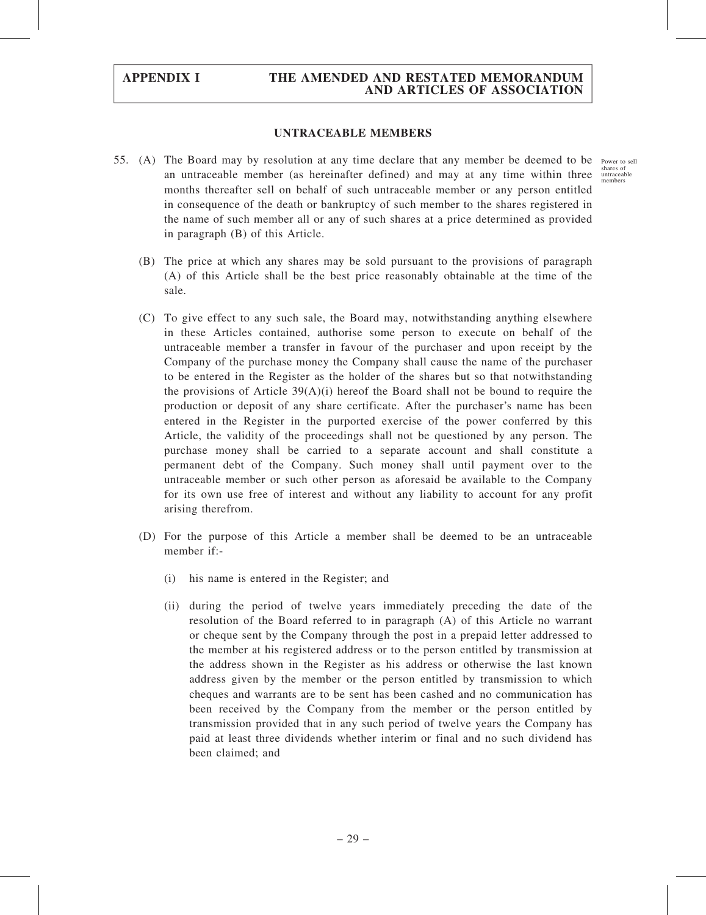#### UNTRACEABLE MEMBERS

- 55. (A) The Board may by resolution at any time declare that any member be deemed to be Power to sell an untraceable member (as hereinafter defined) and may at any time within three months thereafter sell on behalf of such untraceable member or any person entitled in consequence of the death or bankruptcy of such member to the shares registered in the name of such member all or any of such shares at a price determined as provided in paragraph (B) of this Article.
	- (B) The price at which any shares may be sold pursuant to the provisions of paragraph (A) of this Article shall be the best price reasonably obtainable at the time of the sale.
	- (C) To give effect to any such sale, the Board may, notwithstanding anything elsewhere in these Articles contained, authorise some person to execute on behalf of the untraceable member a transfer in favour of the purchaser and upon receipt by the Company of the purchase money the Company shall cause the name of the purchaser to be entered in the Register as the holder of the shares but so that notwithstanding the provisions of Article  $39(A)(i)$  hereof the Board shall not be bound to require the production or deposit of any share certificate. After the purchaser's name has been entered in the Register in the purported exercise of the power conferred by this Article, the validity of the proceedings shall not be questioned by any person. The purchase money shall be carried to a separate account and shall constitute a permanent debt of the Company. Such money shall until payment over to the untraceable member or such other person as aforesaid be available to the Company for its own use free of interest and without any liability to account for any profit arising therefrom.
	- (D) For the purpose of this Article a member shall be deemed to be an untraceable member if:-
		- (i) his name is entered in the Register; and
		- (ii) during the period of twelve years immediately preceding the date of the resolution of the Board referred to in paragraph (A) of this Article no warrant or cheque sent by the Company through the post in a prepaid letter addressed to the member at his registered address or to the person entitled by transmission at the address shown in the Register as his address or otherwise the last known address given by the member or the person entitled by transmission to which cheques and warrants are to be sent has been cashed and no communication has been received by the Company from the member or the person entitled by transmission provided that in any such period of twelve years the Company has paid at least three dividends whether interim or final and no such dividend has been claimed; and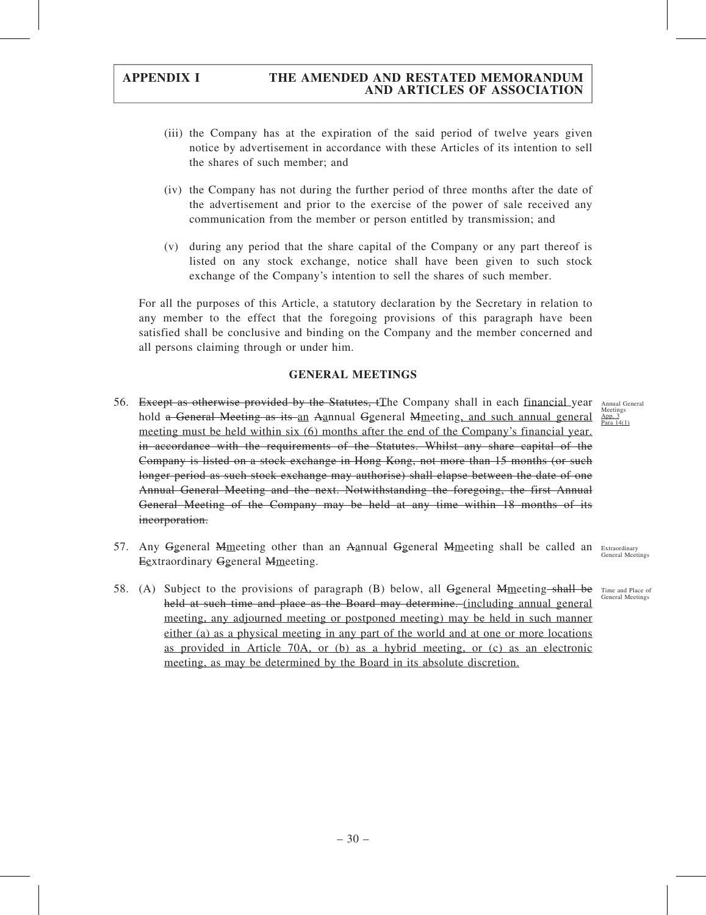- (iii) the Company has at the expiration of the said period of twelve years given notice by advertisement in accordance with these Articles of its intention to sell the shares of such member; and
- (iv) the Company has not during the further period of three months after the date of the advertisement and prior to the exercise of the power of sale received any communication from the member or person entitled by transmission; and
- (v) during any period that the share capital of the Company or any part thereof is listed on any stock exchange, notice shall have been given to such stock exchange of the Company's intention to sell the shares of such member.

For all the purposes of this Article, a statutory declaration by the Secretary in relation to any member to the effect that the foregoing provisions of this paragraph have been satisfied shall be conclusive and binding on the Company and the member concerned and all persons claiming through or under him.

#### GENERAL MEETINGS

- 56. Except as otherwise provided by the Statutes, tThe Company shall in each financial year Annual General hold a General Meeting as its an Aannual Ggeneral Mmeeting, and such annual general meeting must be held within six (6) months after the end of the Company's financial year. in accordance with the requirements of the Statutes. Whilst any share capital of the Company is listed on a stock exchange in Hong Kong, not more than 15 months (or such longer period as such stock exchange may authorise) shall elapse between the date of one Annual General Meeting and the next. Notwithstanding the foregoing, the first Annual General Meeting of the Company may be held at any time within 18 months of its incorporation.
- 57. Any Ggeneral Mmeeting other than an Aannual Ggeneral Mmeeting shall be called an Extraordinary Eextraordinary Ggeneral Mmeeting.
- 58. (A) Subject to the provisions of paragraph (B) below, all Ggeneral Mmeeting shall be Time and Place of held at such time and place as the Board may determine. (including annual general meeting, any adjourned meeting or postponed meeting) may be held in such manner either (a) as a physical meeting in any part of the world and at one or more locations as provided in Article 70A, or (b) as a hybrid meeting, or (c) as an electronic meeting, as may be determined by the Board in its absolute discretion.

Meetings App. 3 Para  $14(1)$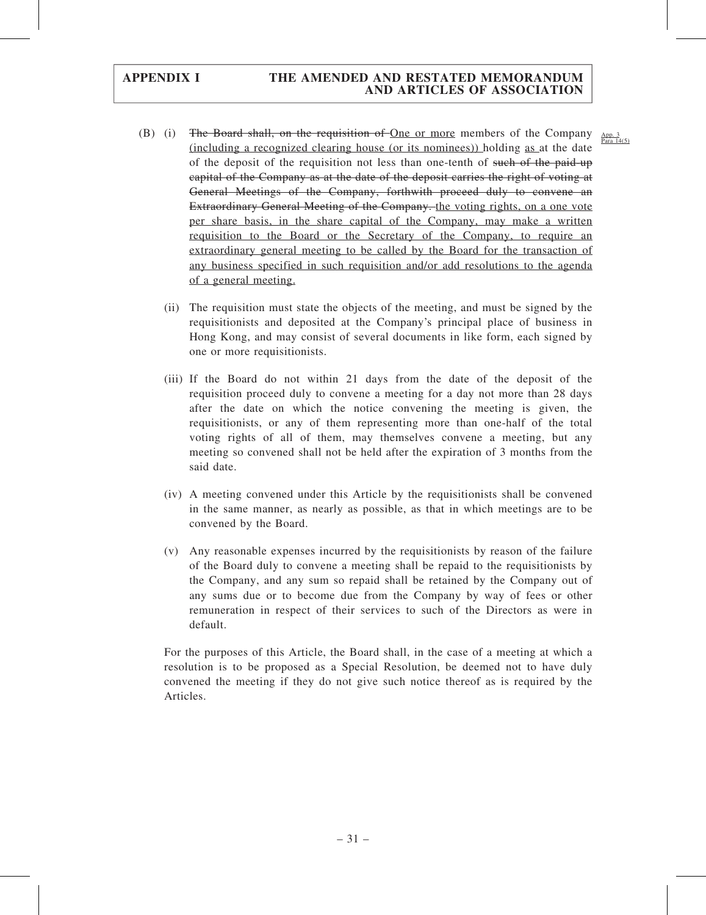- (B) (i) The Board shall, on the requisition of <u>One or more</u> members of the Company  $\frac{App. 3}{Para 14(5)}$ (including a recognized clearing house (or its nominees)) holding as at the date of the deposit of the requisition not less than one-tenth of such of the paid-up capital of the Company as at the date of the deposit carries the right of voting at General Meetings of the Company, forthwith proceed duly to convene an Extraordinary General Meeting of the Company. the voting rights, on a one vote per share basis, in the share capital of the Company, may make a written requisition to the Board or the Secretary of the Company, to require an extraordinary general meeting to be called by the Board for the transaction of any business specified in such requisition and/or add resolutions to the agenda of a general meeting.
	- (ii) The requisition must state the objects of the meeting, and must be signed by the requisitionists and deposited at the Company's principal place of business in Hong Kong, and may consist of several documents in like form, each signed by one or more requisitionists.
	- (iii) If the Board do not within 21 days from the date of the deposit of the requisition proceed duly to convene a meeting for a day not more than 28 days after the date on which the notice convening the meeting is given, the requisitionists, or any of them representing more than one-half of the total voting rights of all of them, may themselves convene a meeting, but any meeting so convened shall not be held after the expiration of 3 months from the said date.
	- (iv) A meeting convened under this Article by the requisitionists shall be convened in the same manner, as nearly as possible, as that in which meetings are to be convened by the Board.
	- (v) Any reasonable expenses incurred by the requisitionists by reason of the failure of the Board duly to convene a meeting shall be repaid to the requisitionists by the Company, and any sum so repaid shall be retained by the Company out of any sums due or to become due from the Company by way of fees or other remuneration in respect of their services to such of the Directors as were in default.

For the purposes of this Article, the Board shall, in the case of a meeting at which a resolution is to be proposed as a Special Resolution, be deemed not to have duly convened the meeting if they do not give such notice thereof as is required by the Articles.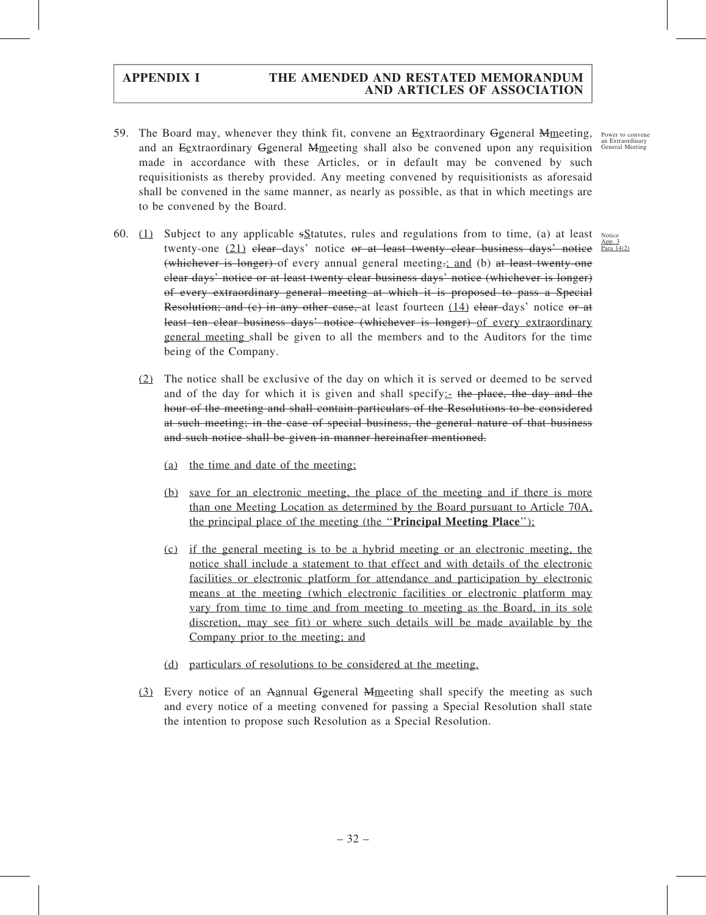59. The Board may, whenever they think fit, convene an Egxtraordinary Ggeneral Mmeeting, and an Eextraordinary Ggeneral Mmeeting shall also be convened upon any requisition made in accordance with these Articles, or in default may be convened by such requisitionists as thereby provided. Any meeting convened by requisitionists as aforesaid shall be convened in the same manner, as nearly as possible, as that in which meetings are to be convened by the Board.

Power to convene an Extraordinary General Meeting

- 60.  $(1)$  Subject to any applicable sStatutes, rules and regulations from to time, (a) at least Notice twenty-one  $(21)$  elear-days' notice or at least twenty elear business days' notice  $\frac{\text{App. 3}}{\text{Paral 14}(2)}$ (whichever is longer) of every annual general meeting.; and (b) at least twenty-one clear days' notice or at least twenty clear business days' notice (whichever is longer) of every extraordinary general meeting at which it is proposed to pass a Special Resolution; and (e) in any other case, at least fourteen  $(14)$  elear-days' notice or at least ten clear business days' notice (whichever is longer) of every extraordinary general meeting shall be given to all the members and to the Auditors for the time being of the Company.
	- (2) The notice shall be exclusive of the day on which it is served or deemed to be served and of the day for which it is given and shall specify:  $\pm$  the place, the day and the hour of the meeting and shall contain particulars of the Resolutions to be considered at such meeting; in the case of special business, the general nature of that business and such notice shall be given in manner hereinafter mentioned.
		- (a) the time and date of the meeting;
		- (b) save for an electronic meeting, the place of the meeting and if there is more than one Meeting Location as determined by the Board pursuant to Article 70A, the principal place of the meeting (the "Principal Meeting Place");
		- (c) if the general meeting is to be a hybrid meeting or an electronic meeting, the notice shall include a statement to that effect and with details of the electronic facilities or electronic platform for attendance and participation by electronic means at the meeting (which electronic facilities or electronic platform may vary from time to time and from meeting to meeting as the Board, in its sole discretion, may see fit) or where such details will be made available by the Company prior to the meeting; and
		- (d) particulars of resolutions to be considered at the meeting.
	- (3) Every notice of an Aannual Ggeneral Mmeeting shall specify the meeting as such and every notice of a meeting convened for passing a Special Resolution shall state the intention to propose such Resolution as a Special Resolution.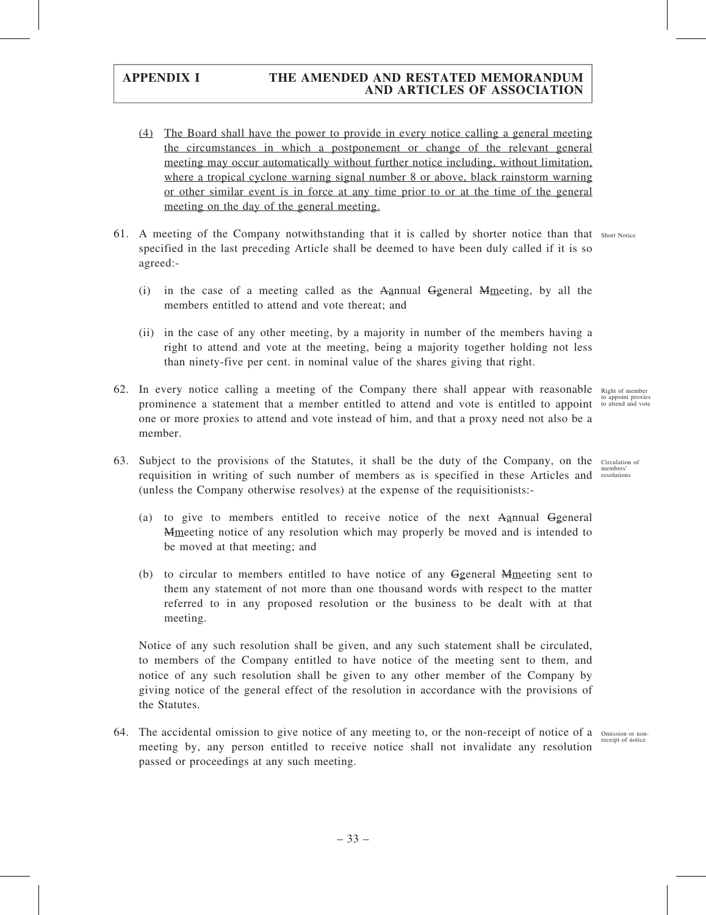- (4) The Board shall have the power to provide in every notice calling a general meeting the circumstances in which a postponement or change of the relevant general meeting may occur automatically without further notice including, without limitation, where a tropical cyclone warning signal number 8 or above, black rainstorm warning or other similar event is in force at any time prior to or at the time of the general meeting on the day of the general meeting.
- 61. A meeting of the Company notwithstanding that it is called by shorter notice than that Short Notice specified in the last preceding Article shall be deemed to have been duly called if it is so agreed:-
	- (i) in the case of a meeting called as the Aannual Ggeneral Mmeeting, by all the members entitled to attend and vote thereat; and
	- (ii) in the case of any other meeting, by a majority in number of the members having a right to attend and vote at the meeting, being a majority together holding not less than ninety-five per cent. in nominal value of the shares giving that right.
- 62. In every notice calling a meeting of the Company there shall appear with reasonable Right of member prominence a statement that a member entitled to attend and vote is entitled to appoint one or more proxies to attend and vote instead of him, and that a proxy need not also be a member.
- 63. Subject to the provisions of the Statutes, it shall be the duty of the Company, on the Circulation of requisition in writing of such number of members as is specified in these Articles and resolutions (unless the Company otherwise resolves) at the expense of the requisitionists:-
	- (a) to give to members entitled to receive notice of the next Aannual Ggeneral Mmeeting notice of any resolution which may properly be moved and is intended to be moved at that meeting; and
	- (b) to circular to members entitled to have notice of any Ggeneral Mmeeting sent to them any statement of not more than one thousand words with respect to the matter referred to in any proposed resolution or the business to be dealt with at that meeting.

Notice of any such resolution shall be given, and any such statement shall be circulated, to members of the Company entitled to have notice of the meeting sent to them, and notice of any such resolution shall be given to any other member of the Company by giving notice of the general effect of the resolution in accordance with the provisions of the Statutes.

64. The accidental omission to give notice of any meeting to, or the non-receipt of notice of a omission or nonmeeting by, any person entitled to receive notice shall not invalidate any resolution passed or proceedings at any such meeting.

to appoint proxies to attend and vote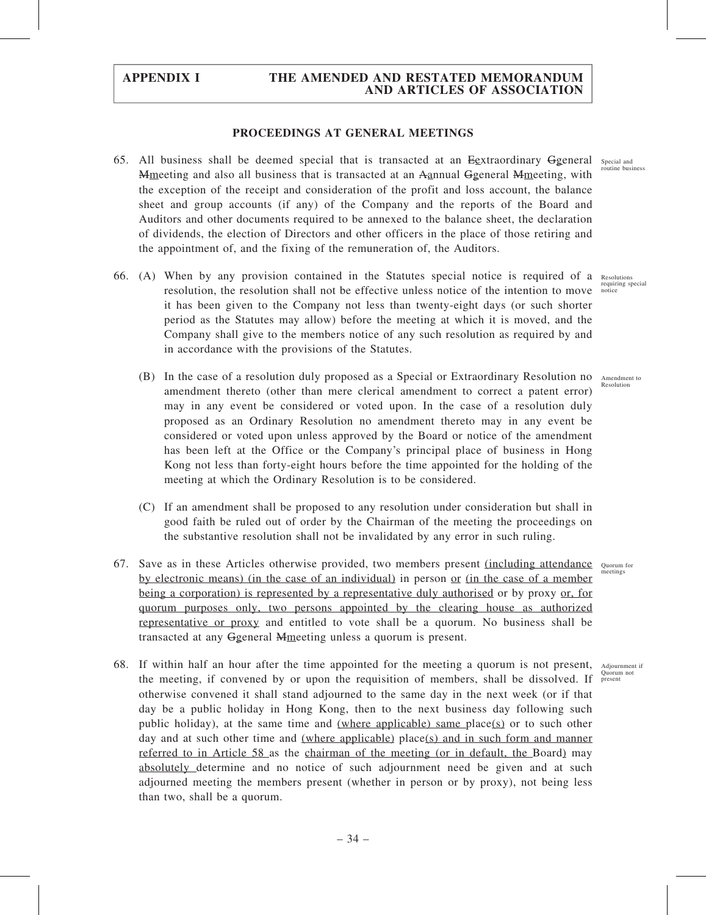#### PROCEEDINGS AT GENERAL MEETINGS

- 65. All business shall be deemed special that is transacted at an Eextraordinary Ggeneral special and Mmeeting and also all business that is transacted at an Aannual Ggeneral Mmeeting, with the exception of the receipt and consideration of the profit and loss account, the balance sheet and group accounts (if any) of the Company and the reports of the Board and Auditors and other documents required to be annexed to the balance sheet, the declaration of dividends, the election of Directors and other officers in the place of those retiring and the appointment of, and the fixing of the remuneration of, the Auditors.
- 66. (A) When by any provision contained in the Statutes special notice is required of a resolution, the resolution shall not be effective unless notice of the intention to move it has been given to the Company not less than twenty-eight days (or such shorter period as the Statutes may allow) before the meeting at which it is moved, and the Company shall give to the members notice of any such resolution as required by and in accordance with the provisions of the Statutes.
	- (B) In the case of a resolution duly proposed as a Special or Extraordinary Resolution no Amendment to amendment thereto (other than mere clerical amendment to correct a patent error) may in any event be considered or voted upon. In the case of a resolution duly proposed as an Ordinary Resolution no amendment thereto may in any event be considered or voted upon unless approved by the Board or notice of the amendment has been left at the Office or the Company's principal place of business in Hong Kong not less than forty-eight hours before the time appointed for the holding of the meeting at which the Ordinary Resolution is to be considered.
	- (C) If an amendment shall be proposed to any resolution under consideration but shall in good faith be ruled out of order by the Chairman of the meeting the proceedings on the substantive resolution shall not be invalidated by any error in such ruling.
- 67. Save as in these Articles otherwise provided, two members present (including attendance Quorum for by electronic means) (in the case of an individual) in person or (in the case of a member being a corporation) is represented by a representative duly authorised or by proxy or, for quorum purposes only, two persons appointed by the clearing house as authorized representative or proxy and entitled to vote shall be a quorum. No business shall be transacted at any Ggeneral Mmeeting unless a quorum is present.
- 68. If within half an hour after the time appointed for the meeting a quorum is not present, Adjournment if the meeting, if convened by or upon the requisition of members, shall be dissolved. If otherwise convened it shall stand adjourned to the same day in the next week (or if that day be a public holiday in Hong Kong, then to the next business day following such public holiday), at the same time and (where applicable) same place(s) or to such other day and at such other time and (where applicable) place(s) and in such form and manner referred to in Article 58 as the chairman of the meeting (or in default, the Board) may absolutely determine and no notice of such adjournment need be given and at such adjourned meeting the members present (whether in person or by proxy), not being less than two, shall be a quorum.

routine business

Resolutions requiring special notice

Resolution

meetings

Quorum not present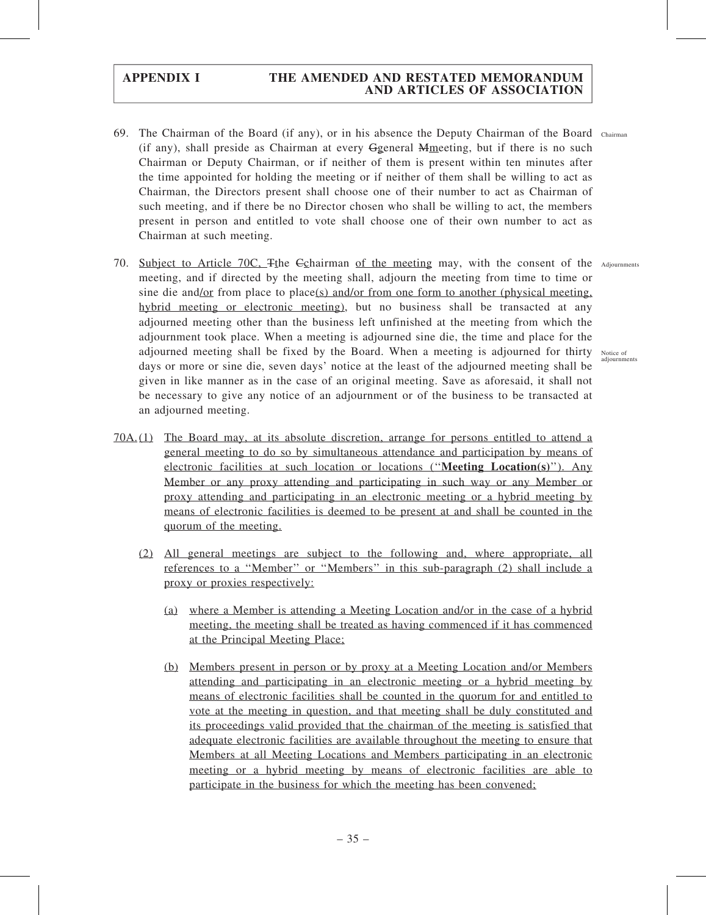- 69. The Chairman of the Board (if any), or in his absence the Deputy Chairman of the Board Chairman (if any), shall preside as Chairman at every Ggeneral Mmeeting, but if there is no such Chairman or Deputy Chairman, or if neither of them is present within ten minutes after the time appointed for holding the meeting or if neither of them shall be willing to act as Chairman, the Directors present shall choose one of their number to act as Chairman of such meeting, and if there be no Director chosen who shall be willing to act, the members present in person and entitled to vote shall choose one of their own number to act as Chairman at such meeting.
- 70. Subject to Article 70C, Tthe Echairman of the meeting may, with the consent of the Adjournments meeting, and if directed by the meeting shall, adjourn the meeting from time to time or sine die and/or from place to place(s) and/or from one form to another (physical meeting, hybrid meeting or electronic meeting), but no business shall be transacted at any adjourned meeting other than the business left unfinished at the meeting from which the adjournment took place. When a meeting is adjourned sine die, the time and place for the adjourned meeting shall be fixed by the Board. When a meeting is adjourned for thirty Notice of days or more or sine die, seven days' notice at the least of the adjourned meeting shall be given in like manner as in the case of an original meeting. Save as aforesaid, it shall not be necessary to give any notice of an adjournment or of the business to be transacted at an adjourned meeting.
- 70A. (1) The Board may, at its absolute discretion, arrange for persons entitled to attend a general meeting to do so by simultaneous attendance and participation by means of electronic facilities at such location or locations (''Meeting Location(s)''). Any Member or any proxy attending and participating in such way or any Member or proxy attending and participating in an electronic meeting or a hybrid meeting by means of electronic facilities is deemed to be present at and shall be counted in the quorum of the meeting.
	- (2) All general meetings are subject to the following and, where appropriate, all references to a ''Member'' or ''Members'' in this sub-paragraph (2) shall include a proxy or proxies respectively:
		- (a) where a Member is attending a Meeting Location and/or in the case of a hybrid meeting, the meeting shall be treated as having commenced if it has commenced at the Principal Meeting Place;
		- (b) Members present in person or by proxy at a Meeting Location and/or Members attending and participating in an electronic meeting or a hybrid meeting by means of electronic facilities shall be counted in the quorum for and entitled to vote at the meeting in question, and that meeting shall be duly constituted and its proceedings valid provided that the chairman of the meeting is satisfied that adequate electronic facilities are available throughout the meeting to ensure that Members at all Meeting Locations and Members participating in an electronic meeting or a hybrid meeting by means of electronic facilities are able to participate in the business for which the meeting has been convened;

. . . **. . . . .**<br>adiournments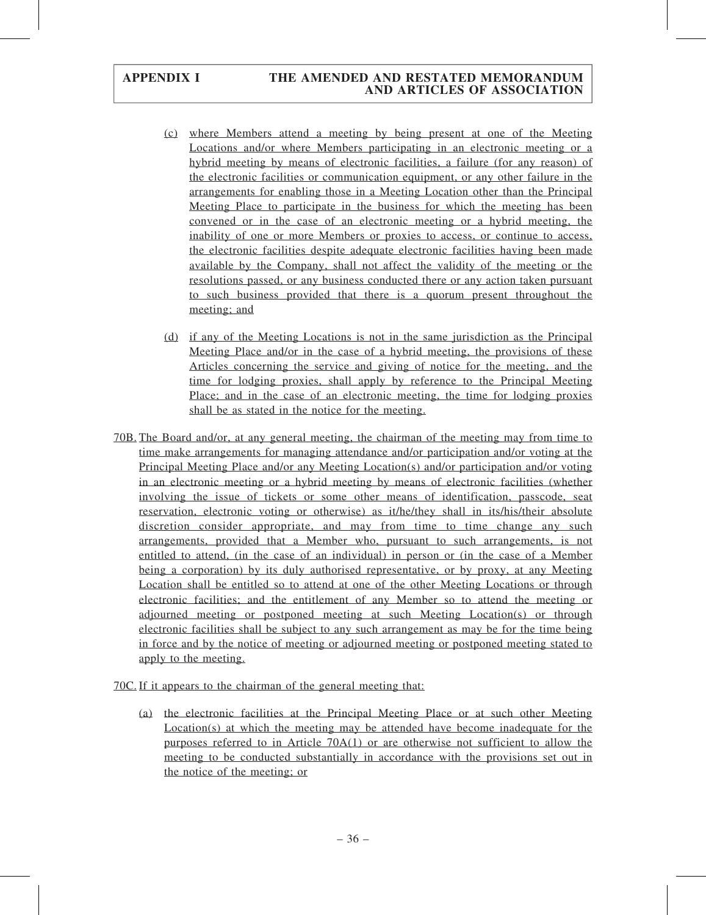- (c) where Members attend a meeting by being present at one of the Meeting Locations and/or where Members participating in an electronic meeting or a hybrid meeting by means of electronic facilities, a failure (for any reason) of the electronic facilities or communication equipment, or any other failure in the arrangements for enabling those in a Meeting Location other than the Principal Meeting Place to participate in the business for which the meeting has been convened or in the case of an electronic meeting or a hybrid meeting, the inability of one or more Members or proxies to access, or continue to access, the electronic facilities despite adequate electronic facilities having been made available by the Company, shall not affect the validity of the meeting or the resolutions passed, or any business conducted there or any action taken pursuant to such business provided that there is a quorum present throughout the meeting; and
- (d) if any of the Meeting Locations is not in the same jurisdiction as the Principal Meeting Place and/or in the case of a hybrid meeting, the provisions of these Articles concerning the service and giving of notice for the meeting, and the time for lodging proxies, shall apply by reference to the Principal Meeting Place; and in the case of an electronic meeting, the time for lodging proxies shall be as stated in the notice for the meeting.
- 70B. The Board and/or, at any general meeting, the chairman of the meeting may from time to time make arrangements for managing attendance and/or participation and/or voting at the Principal Meeting Place and/or any Meeting Location(s) and/or participation and/or voting in an electronic meeting or a hybrid meeting by means of electronic facilities (whether involving the issue of tickets or some other means of identification, passcode, seat reservation, electronic voting or otherwise) as it/he/they shall in its/his/their absolute discretion consider appropriate, and may from time to time change any such arrangements, provided that a Member who, pursuant to such arrangements, is not entitled to attend, (in the case of an individual) in person or (in the case of a Member being a corporation) by its duly authorised representative, or by proxy, at any Meeting Location shall be entitled so to attend at one of the other Meeting Locations or through electronic facilities; and the entitlement of any Member so to attend the meeting or adjourned meeting or postponed meeting at such Meeting Location(s) or through electronic facilities shall be subject to any such arrangement as may be for the time being in force and by the notice of meeting or adjourned meeting or postponed meeting stated to apply to the meeting.

70C. If it appears to the chairman of the general meeting that:

(a) the electronic facilities at the Principal Meeting Place or at such other Meeting Location(s) at which the meeting may be attended have become inadequate for the purposes referred to in Article 70A(1) or are otherwise not sufficient to allow the meeting to be conducted substantially in accordance with the provisions set out in the notice of the meeting; or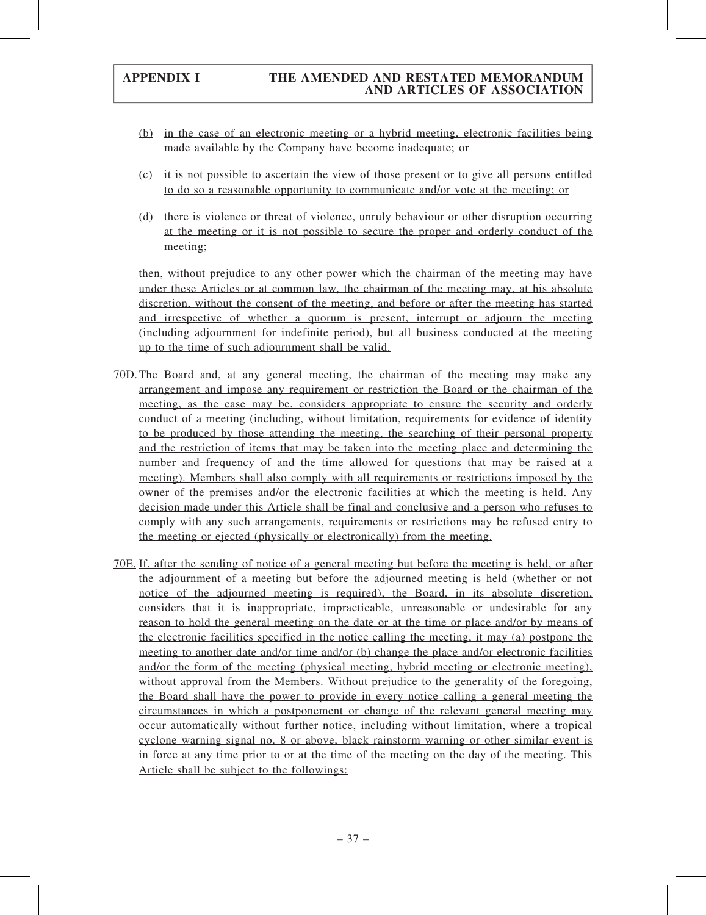- (b) in the case of an electronic meeting or a hybrid meeting, electronic facilities being made available by the Company have become inadequate; or
- (c) it is not possible to ascertain the view of those present or to give all persons entitled to do so a reasonable opportunity to communicate and/or vote at the meeting; or
- (d) there is violence or threat of violence, unruly behaviour or other disruption occurring at the meeting or it is not possible to secure the proper and orderly conduct of the meeting;

then, without prejudice to any other power which the chairman of the meeting may have under these Articles or at common law, the chairman of the meeting may, at his absolute discretion, without the consent of the meeting, and before or after the meeting has started and irrespective of whether a quorum is present, interrupt or adjourn the meeting (including adjournment for indefinite period), but all business conducted at the meeting up to the time of such adjournment shall be valid.

- 70D.The Board and, at any general meeting, the chairman of the meeting may make any arrangement and impose any requirement or restriction the Board or the chairman of the meeting, as the case may be, considers appropriate to ensure the security and orderly conduct of a meeting (including, without limitation, requirements for evidence of identity to be produced by those attending the meeting, the searching of their personal property and the restriction of items that may be taken into the meeting place and determining the number and frequency of and the time allowed for questions that may be raised at a meeting). Members shall also comply with all requirements or restrictions imposed by the owner of the premises and/or the electronic facilities at which the meeting is held. Any decision made under this Article shall be final and conclusive and a person who refuses to comply with any such arrangements, requirements or restrictions may be refused entry to the meeting or ejected (physically or electronically) from the meeting.
- 70E. If, after the sending of notice of a general meeting but before the meeting is held, or after the adjournment of a meeting but before the adjourned meeting is held (whether or not notice of the adjourned meeting is required), the Board, in its absolute discretion, considers that it is inappropriate, impracticable, unreasonable or undesirable for any reason to hold the general meeting on the date or at the time or place and/or by means of the electronic facilities specified in the notice calling the meeting, it may (a) postpone the meeting to another date and/or time and/or (b) change the place and/or electronic facilities and/or the form of the meeting (physical meeting, hybrid meeting or electronic meeting), without approval from the Members. Without prejudice to the generality of the foregoing, the Board shall have the power to provide in every notice calling a general meeting the circumstances in which a postponement or change of the relevant general meeting may occur automatically without further notice, including without limitation, where a tropical cyclone warning signal no. 8 or above, black rainstorm warning or other similar event is in force at any time prior to or at the time of the meeting on the day of the meeting. This Article shall be subject to the followings: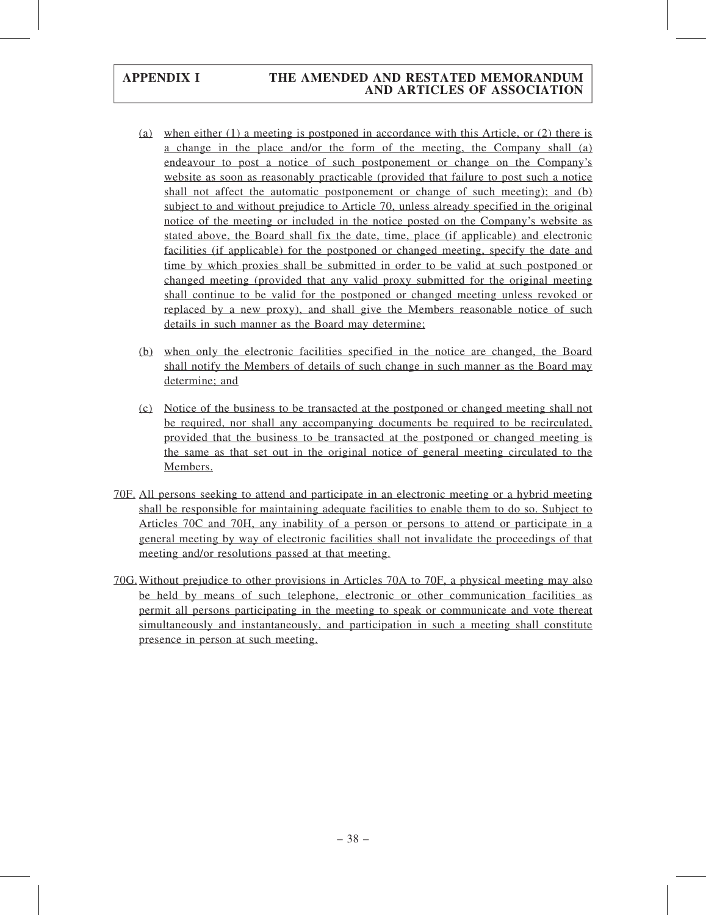- (a) when either (1) a meeting is postponed in accordance with this Article, or (2) there is a change in the place and/or the form of the meeting, the Company shall (a) endeavour to post a notice of such postponement or change on the Company's website as soon as reasonably practicable (provided that failure to post such a notice shall not affect the automatic postponement or change of such meeting); and (b) subject to and without prejudice to Article 70, unless already specified in the original notice of the meeting or included in the notice posted on the Company's website as stated above, the Board shall fix the date, time, place (if applicable) and electronic facilities (if applicable) for the postponed or changed meeting, specify the date and time by which proxies shall be submitted in order to be valid at such postponed or changed meeting (provided that any valid proxy submitted for the original meeting shall continue to be valid for the postponed or changed meeting unless revoked or replaced by a new proxy), and shall give the Members reasonable notice of such details in such manner as the Board may determine;
- (b) when only the electronic facilities specified in the notice are changed, the Board shall notify the Members of details of such change in such manner as the Board may determine; and
- (c) Notice of the business to be transacted at the postponed or changed meeting shall not be required, nor shall any accompanying documents be required to be recirculated, provided that the business to be transacted at the postponed or changed meeting is the same as that set out in the original notice of general meeting circulated to the Members.
- 70F. All persons seeking to attend and participate in an electronic meeting or a hybrid meeting shall be responsible for maintaining adequate facilities to enable them to do so. Subject to Articles 70C and 70H, any inability of a person or persons to attend or participate in a general meeting by way of electronic facilities shall not invalidate the proceedings of that meeting and/or resolutions passed at that meeting.
- 70G.Without prejudice to other provisions in Articles 70A to 70F, a physical meeting may also be held by means of such telephone, electronic or other communication facilities as permit all persons participating in the meeting to speak or communicate and vote thereat simultaneously and instantaneously, and participation in such a meeting shall constitute presence in person at such meeting.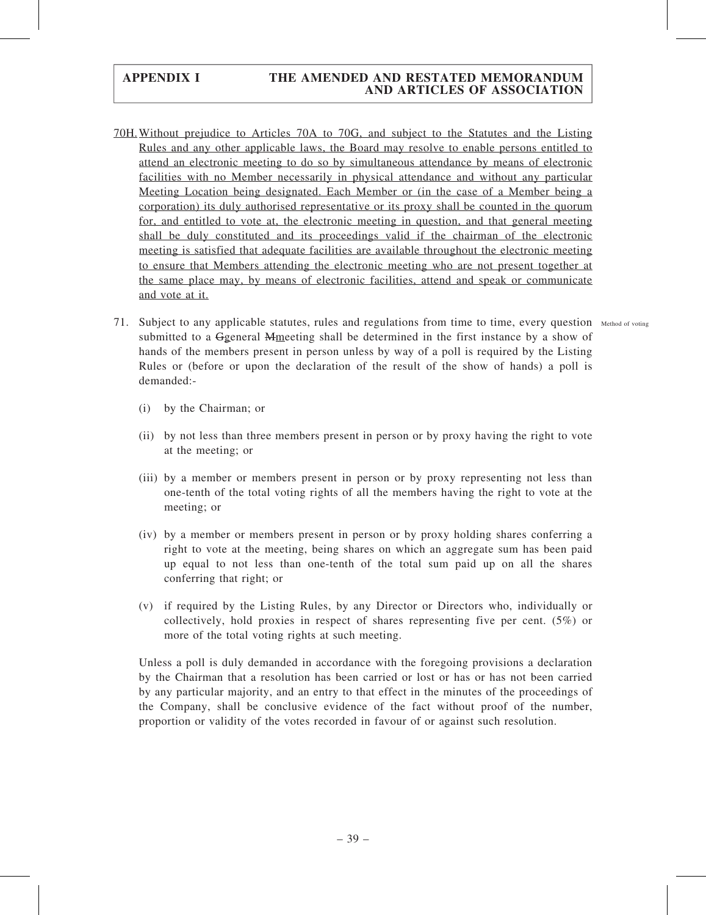- 70H.Without prejudice to Articles 70A to 70G, and subject to the Statutes and the Listing Rules and any other applicable laws, the Board may resolve to enable persons entitled to attend an electronic meeting to do so by simultaneous attendance by means of electronic facilities with no Member necessarily in physical attendance and without any particular Meeting Location being designated. Each Member or (in the case of a Member being a corporation) its duly authorised representative or its proxy shall be counted in the quorum for, and entitled to vote at, the electronic meeting in question, and that general meeting shall be duly constituted and its proceedings valid if the chairman of the electronic meeting is satisfied that adequate facilities are available throughout the electronic meeting to ensure that Members attending the electronic meeting who are not present together at the same place may, by means of electronic facilities, attend and speak or communicate and vote at it.
- 71. Subject to any applicable statutes, rules and regulations from time to time, every question Method of voting submitted to a Ggeneral Mmeeting shall be determined in the first instance by a show of hands of the members present in person unless by way of a poll is required by the Listing Rules or (before or upon the declaration of the result of the show of hands) a poll is demanded:-
	- (i) by the Chairman; or
	- (ii) by not less than three members present in person or by proxy having the right to vote at the meeting; or
	- (iii) by a member or members present in person or by proxy representing not less than one-tenth of the total voting rights of all the members having the right to vote at the meeting; or
	- (iv) by a member or members present in person or by proxy holding shares conferring a right to vote at the meeting, being shares on which an aggregate sum has been paid up equal to not less than one-tenth of the total sum paid up on all the shares conferring that right; or
	- (v) if required by the Listing Rules, by any Director or Directors who, individually or collectively, hold proxies in respect of shares representing five per cent. (5%) or more of the total voting rights at such meeting.

Unless a poll is duly demanded in accordance with the foregoing provisions a declaration by the Chairman that a resolution has been carried or lost or has or has not been carried by any particular majority, and an entry to that effect in the minutes of the proceedings of the Company, shall be conclusive evidence of the fact without proof of the number, proportion or validity of the votes recorded in favour of or against such resolution.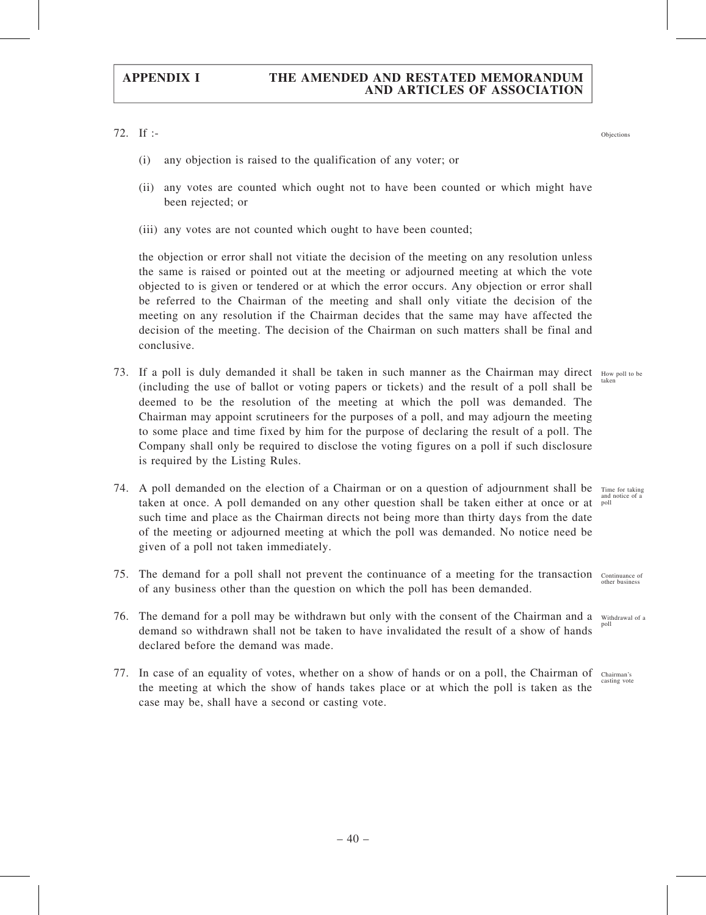72. If :-

- (i) any objection is raised to the qualification of any voter; or
- (ii) any votes are counted which ought not to have been counted or which might have been rejected; or
- (iii) any votes are not counted which ought to have been counted;

the objection or error shall not vitiate the decision of the meeting on any resolution unless the same is raised or pointed out at the meeting or adjourned meeting at which the vote objected to is given or tendered or at which the error occurs. Any objection or error shall be referred to the Chairman of the meeting and shall only vitiate the decision of the meeting on any resolution if the Chairman decides that the same may have affected the decision of the meeting. The decision of the Chairman on such matters shall be final and conclusive.

- 73. If a poll is duly demanded it shall be taken in such manner as the Chairman may direct How poll to be (including the use of ballot or voting papers or tickets) and the result of a poll shall be deemed to be the resolution of the meeting at which the poll was demanded. The Chairman may appoint scrutineers for the purposes of a poll, and may adjourn the meeting to some place and time fixed by him for the purpose of declaring the result of a poll. The Company shall only be required to disclose the voting figures on a poll if such disclosure is required by the Listing Rules. taken
- 74. A poll demanded on the election of a Chairman or on a question of adjournment shall be taken at once. A poll demanded on any other question shall be taken either at once or at such time and place as the Chairman directs not being more than thirty days from the date of the meeting or adjourned meeting at which the poll was demanded. No notice need be given of a poll not taken immediately. Time for taking
- 75. The demand for a poll shall not prevent the continuance of a meeting for the transaction Continuance of of any business other than the question on which the poll has been demanded. other busines
- 76. The demand for a poll may be withdrawn but only with the consent of the Chairman and a Withdrawal of a demand so withdrawn shall not be taken to have invalidated the result of a show of hands declared before the demand was made. poll
- 77. In case of an equality of votes, whether on a show of hands or on a poll, the Chairman of Chairman's casting vote the meeting at which the show of hands takes place or at which the poll is taken as the case may be, shall have a second or casting vote.

and notice of a poll

Objections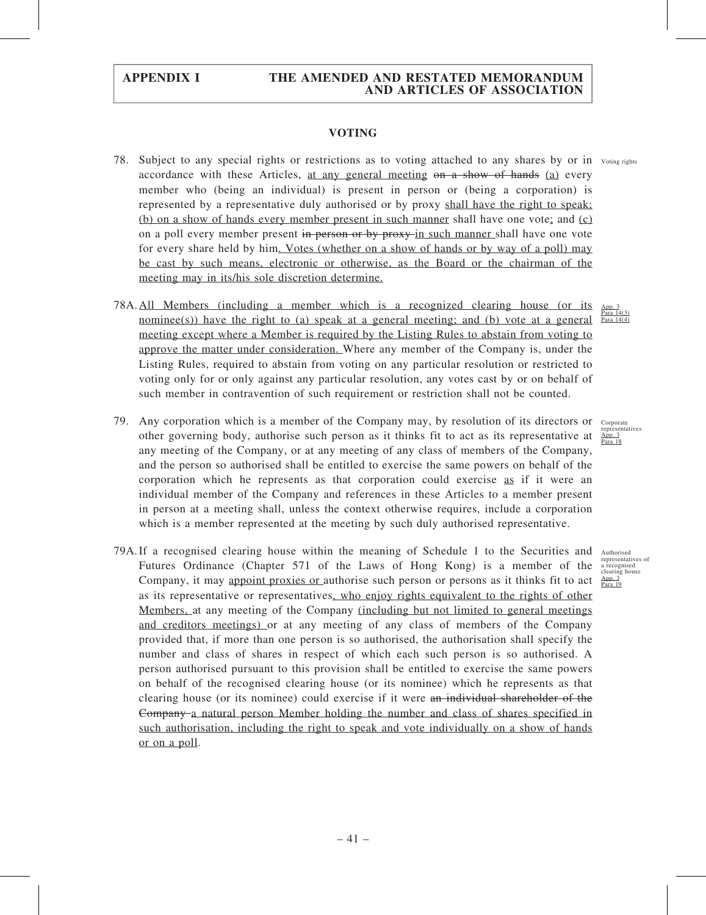### VOTING

- 78. Subject to any special rights or restrictions as to voting attached to any shares by or in Voting rights accordance with these Articles, at any general meeting on a show of hands (a) every member who (being an individual) is present in person or (being a corporation) is represented by a representative duly authorised or by proxy shall have the right to speak; (b) on a show of hands every member present in such manner shall have one vote; and  $(c)$ on a poll every member present in person or by proxy in such manner shall have one vote for every share held by him. Votes (whether on a show of hands or by way of a poll) may be cast by such means, electronic or otherwise, as the Board or the chairman of the meeting may in its/his sole discretion determine.
- 78A.All Members (including a member which is a recognized clearing house (or its nominee(s)) have the right to (a) speak at a general meeting; and (b) vote at a general meeting except where a Member is required by the Listing Rules to abstain from voting to approve the matter under consideration. Where any member of the Company is, under the Listing Rules, required to abstain from voting on any particular resolution or restricted to voting only for or only against any particular resolution, any votes cast by or on behalf of such member in contravention of such requirement or restriction shall not be counted. App. 3 Para 14(4)
- 79. Any corporation which is a member of the Company may, by resolution of its directors or Corporate other governing body, authorise such person as it thinks fit to act as its representative at any meeting of the Company, or at any meeting of any class of members of the Company, and the person so authorised shall be entitled to exercise the same powers on behalf of the corporation which he represents as that corporation could exercise as if it were an individual member of the Company and references in these Articles to a member present in person at a meeting shall, unless the context otherwise requires, include a corporation which is a member represented at the meeting by such duly authorised representative.
- 79A. If a recognised clearing house within the meaning of Schedule 1 to the Securities and Futures Ordinance (Chapter 571 of the Laws of Hong Kong) is a member of the Company, it may appoint proxies or authorise such person or persons as it thinks fit to act as its representative or representatives, who enjoy rights equivalent to the rights of other Members, at any meeting of the Company (including but not limited to general meetings and creditors meetings) or at any meeting of any class of members of the Company provided that, if more than one person is so authorised, the authorisation shall specify the number and class of shares in respect of which each such person is so authorised. A person authorised pursuant to this provision shall be entitled to exercise the same powers on behalf of the recognised clearing house (or its nominee) which he represents as that clearing house (or its nominee) could exercise if it were an individual shareholder of the Company a natural person Member holding the number and class of shares specified in such authorisation, including the right to speak and vote individually on a show of hands or on a poll.



Authorised representatives of a recognised clearing house App. 3 Para 19

Para 14(3)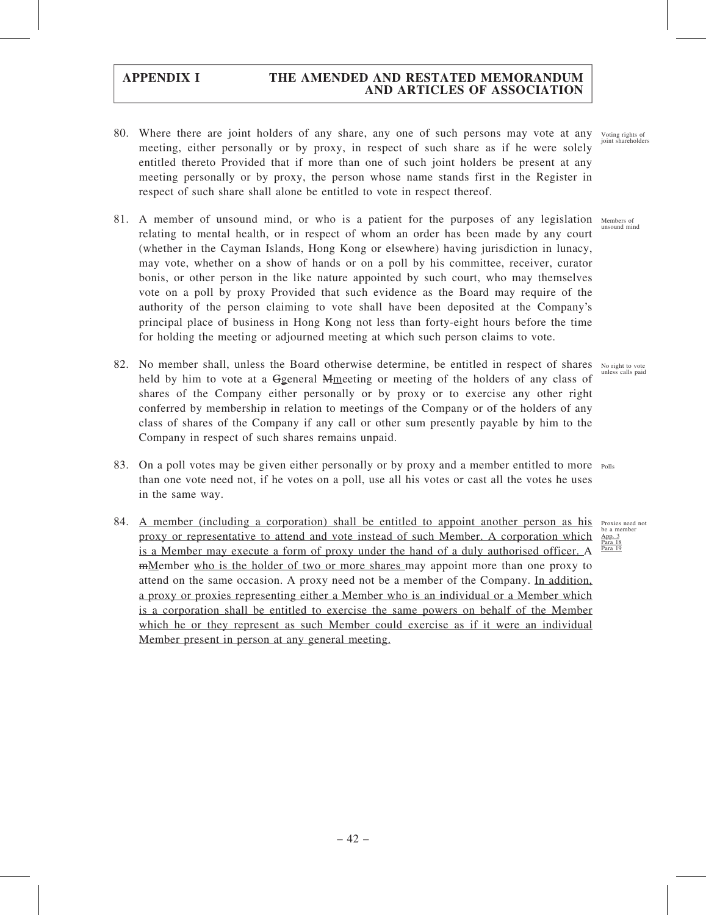- 80. Where there are joint holders of any share, any one of such persons may vote at any voting rights of such that the point shareholders meeting, either personally or by proxy, in respect of such share as if he were solely entitled thereto Provided that if more than one of such joint holders be present at any meeting personally or by proxy, the person whose name stands first in the Register in respect of such share shall alone be entitled to vote in respect thereof.
- 81. A member of unsound mind, or who is a patient for the purposes of any legislation Members of relating to mental health, or in respect of whom an order has been made by any court (whether in the Cayman Islands, Hong Kong or elsewhere) having jurisdiction in lunacy, may vote, whether on a show of hands or on a poll by his committee, receiver, curator bonis, or other person in the like nature appointed by such court, who may themselves vote on a poll by proxy Provided that such evidence as the Board may require of the authority of the person claiming to vote shall have been deposited at the Company's principal place of business in Hong Kong not less than forty-eight hours before the time for holding the meeting or adjourned meeting at which such person claims to vote.
- 82. No member shall, unless the Board otherwise determine, be entitled in respect of shares No right to vote held by him to vote at a Ggeneral Mmeeting or meeting of the holders of any class of shares of the Company either personally or by proxy or to exercise any other right conferred by membership in relation to meetings of the Company or of the holders of any class of shares of the Company if any call or other sum presently payable by him to the Company in respect of such shares remains unpaid.
- 83. On a poll votes may be given either personally or by proxy and a member entitled to more Polls than one vote need not, if he votes on a poll, use all his votes or cast all the votes he uses in the same way.
- 84. A member (including a corporation) shall be entitled to appoint another person as his Proxies need not proxy or representative to attend and vote instead of such Member. A corporation which is a Member may execute a form of proxy under the hand of a duly authorised officer. A mMember who is the holder of two or more shares may appoint more than one proxy to attend on the same occasion. A proxy need not be a member of the Company. In addition, a proxy or proxies representing either a Member who is an individual or a Member which is a corporation shall be entitled to exercise the same powers on behalf of the Member which he or they represent as such Member could exercise as if it were an individual Member present in person at any general meeting.

unsound mind

unless calls paid

be a membe App. 3 Para 18 Para 19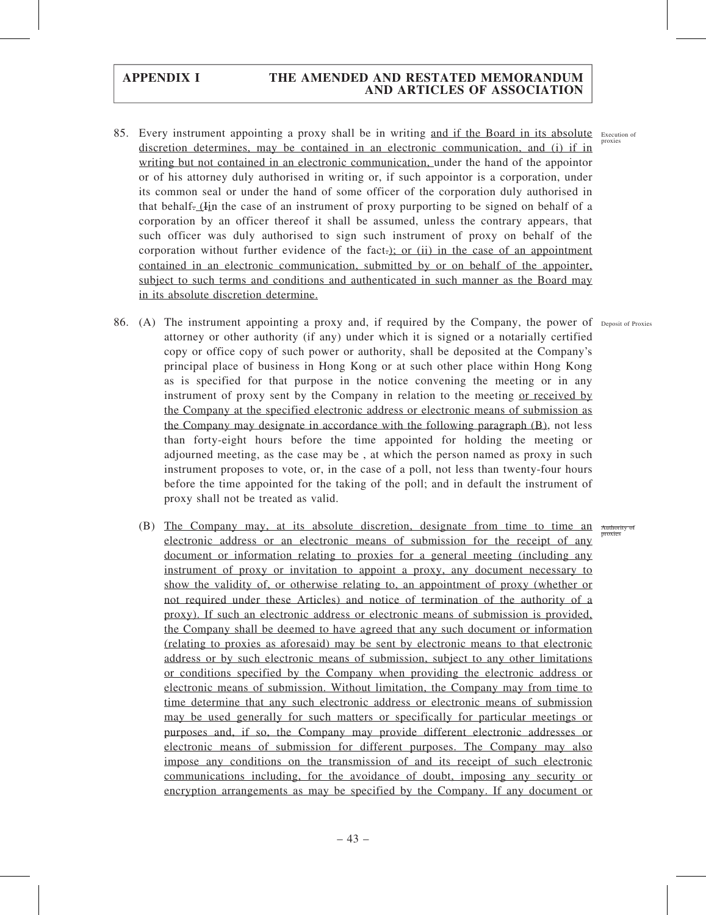- 85. Every instrument appointing a proxy shall be in writing and if the Board in its absolute Execution of discretion determines, may be contained in an electronic communication, and (i) if in writing but not contained in an electronic communication, under the hand of the appointor or of his attorney duly authorised in writing or, if such appointor is a corporation, under its common seal or under the hand of some officer of the corporation duly authorised in that behalf. (Iin the case of an instrument of proxy purporting to be signed on behalf of a corporation by an officer thereof it shall be assumed, unless the contrary appears, that such officer was duly authorised to sign such instrument of proxy on behalf of the corporation without further evidence of the fact.); or (ii) in the case of an appointment contained in an electronic communication, submitted by or on behalf of the appointer, subject to such terms and conditions and authenticated in such manner as the Board may in its absolute discretion determine.
- 86. (A) The instrument appointing a proxy and, if required by the Company, the power of Deposit of Proxies attorney or other authority (if any) under which it is signed or a notarially certified copy or office copy of such power or authority, shall be deposited at the Company's principal place of business in Hong Kong or at such other place within Hong Kong as is specified for that purpose in the notice convening the meeting or in any instrument of proxy sent by the Company in relation to the meeting or received by the Company at the specified electronic address or electronic means of submission as the Company may designate in accordance with the following paragraph (B), not less than forty-eight hours before the time appointed for holding the meeting or adjourned meeting, as the case may be , at which the person named as proxy in such instrument proposes to vote, or, in the case of a poll, not less than twenty-four hours before the time appointed for the taking of the poll; and in default the instrument of proxy shall not be treated as valid.
	- (B) The Company may, at its absolute discretion, designate from time to time an electronic address or an electronic means of submission for the receipt of any document or information relating to proxies for a general meeting (including any instrument of proxy or invitation to appoint a proxy, any document necessary to show the validity of, or otherwise relating to, an appointment of proxy (whether or not required under these Articles) and notice of termination of the authority of a proxy). If such an electronic address or electronic means of submission is provided, the Company shall be deemed to have agreed that any such document or information (relating to proxies as aforesaid) may be sent by electronic means to that electronic address or by such electronic means of submission, subject to any other limitations or conditions specified by the Company when providing the electronic address or electronic means of submission. Without limitation, the Company may from time to time determine that any such electronic address or electronic means of submission may be used generally for such matters or specifically for particular meetings or purposes and, if so, the Company may provide different electronic addresses or electronic means of submission for different purposes. The Company may also impose any conditions on the transmission of and its receipt of such electronic communications including, for the avoidance of doubt, imposing any security or encryption arrangements as may be specified by the Company. If any document or

Authority of proxies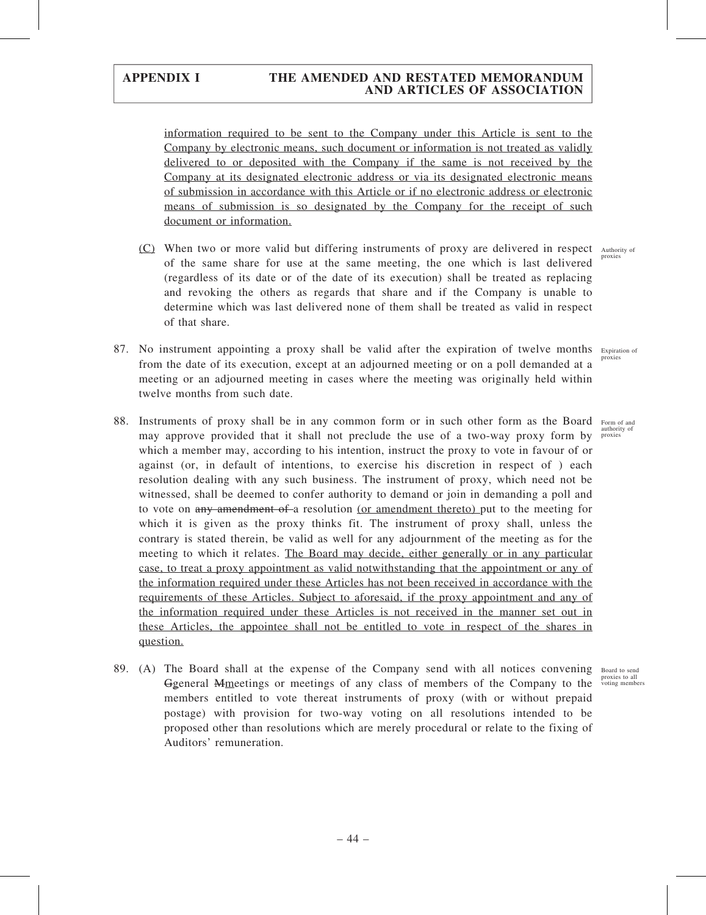information required to be sent to the Company under this Article is sent to the Company by electronic means, such document or information is not treated as validly delivered to or deposited with the Company if the same is not received by the Company at its designated electronic address or via its designated electronic means of submission in accordance with this Article or if no electronic address or electronic means of submission is so designated by the Company for the receipt of such document or information.

- (C) When two or more valid but differing instruments of proxy are delivered in respect Authority of of the same share for use at the same meeting, the one which is last delivered (regardless of its date or of the date of its execution) shall be treated as replacing and revoking the others as regards that share and if the Company is unable to determine which was last delivered none of them shall be treated as valid in respect of that share.
- 87. No instrument appointing a proxy shall be valid after the expiration of twelve months Expiration of from the date of its execution, except at an adjourned meeting or on a poll demanded at a meeting or an adjourned meeting in cases where the meeting was originally held within twelve months from such date. proxies
- 88. Instruments of proxy shall be in any common form or in such other form as the Board may approve provided that it shall not preclude the use of a two-way proxy form by which a member may, according to his intention, instruct the proxy to vote in favour of or against (or, in default of intentions, to exercise his discretion in respect of ) each resolution dealing with any such business. The instrument of proxy, which need not be witnessed, shall be deemed to confer authority to demand or join in demanding a poll and to vote on any amendment of a resolution (or amendment thereto) put to the meeting for which it is given as the proxy thinks fit. The instrument of proxy shall, unless the contrary is stated therein, be valid as well for any adjournment of the meeting as for the meeting to which it relates. The Board may decide, either generally or in any particular case, to treat a proxy appointment as valid notwithstanding that the appointment or any of the information required under these Articles has not been received in accordance with the requirements of these Articles. Subject to aforesaid, if the proxy appointment and any of the information required under these Articles is not received in the manner set out in these Articles, the appointee shall not be entitled to vote in respect of the shares in question.
- 89. (A) The Board shall at the expense of the Company send with all notices convening Board to send Ggeneral Mmeetings or meetings of any class of members of the Company to the members entitled to vote thereat instruments of proxy (with or without prepaid postage) with provision for two-way voting on all resolutions intended to be proposed other than resolutions which are merely procedural or relate to the fixing of Auditors' remuneration.

proxies

Form of and authority of proxies

proxies to all voting members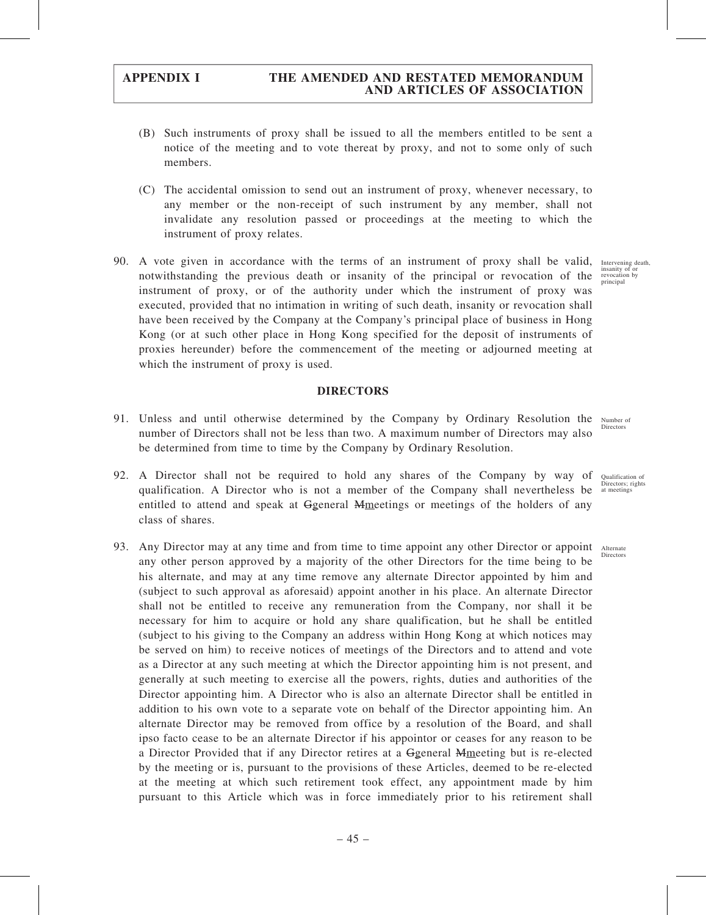- (B) Such instruments of proxy shall be issued to all the members entitled to be sent a notice of the meeting and to vote thereat by proxy, and not to some only of such members.
- (C) The accidental omission to send out an instrument of proxy, whenever necessary, to any member or the non-receipt of such instrument by any member, shall not invalidate any resolution passed or proceedings at the meeting to which the instrument of proxy relates.
- 90. A vote given in accordance with the terms of an instrument of proxy shall be valid, notwithstanding the previous death or insanity of the principal or revocation of the instrument of proxy, or of the authority under which the instrument of proxy was executed, provided that no intimation in writing of such death, insanity or revocation shall have been received by the Company at the Company's principal place of business in Hong Kong (or at such other place in Hong Kong specified for the deposit of instruments of proxies hereunder) before the commencement of the meeting or adjourned meeting at which the instrument of proxy is used.

### DIRECTORS

- 91. Unless and until otherwise determined by the Company by Ordinary Resolution the Number of number of Directors shall not be less than two. A maximum number of Directors may also be determined from time to time by the Company by Ordinary Resolution.
- 92. A Director shall not be required to hold any shares of the Company by way of qualification. A Director who is not a member of the Company shall nevertheless be entitled to attend and speak at Ggeneral Mmeetings or meetings of the holders of any class of shares.
- 93. Any Director may at any time and from time to time appoint any other Director or appoint Alternate any other person approved by a majority of the other Directors for the time being to be his alternate, and may at any time remove any alternate Director appointed by him and (subject to such approval as aforesaid) appoint another in his place. An alternate Director shall not be entitled to receive any remuneration from the Company, nor shall it be necessary for him to acquire or hold any share qualification, but he shall be entitled (subject to his giving to the Company an address within Hong Kong at which notices may be served on him) to receive notices of meetings of the Directors and to attend and vote as a Director at any such meeting at which the Director appointing him is not present, and generally at such meeting to exercise all the powers, rights, duties and authorities of the Director appointing him. A Director who is also an alternate Director shall be entitled in addition to his own vote to a separate vote on behalf of the Director appointing him. An alternate Director may be removed from office by a resolution of the Board, and shall ipso facto cease to be an alternate Director if his appointor or ceases for any reason to be a Director Provided that if any Director retires at a Ggeneral Mmeeting but is re-elected by the meeting or is, pursuant to the provisions of these Articles, deemed to be re-elected at the meeting at which such retirement took effect, any appointment made by him pursuant to this Article which was in force immediately prior to his retirement shall

Intervening death, insanity of or revocation by principal

Directors

Qualification of Directors; rights at meetings

Directors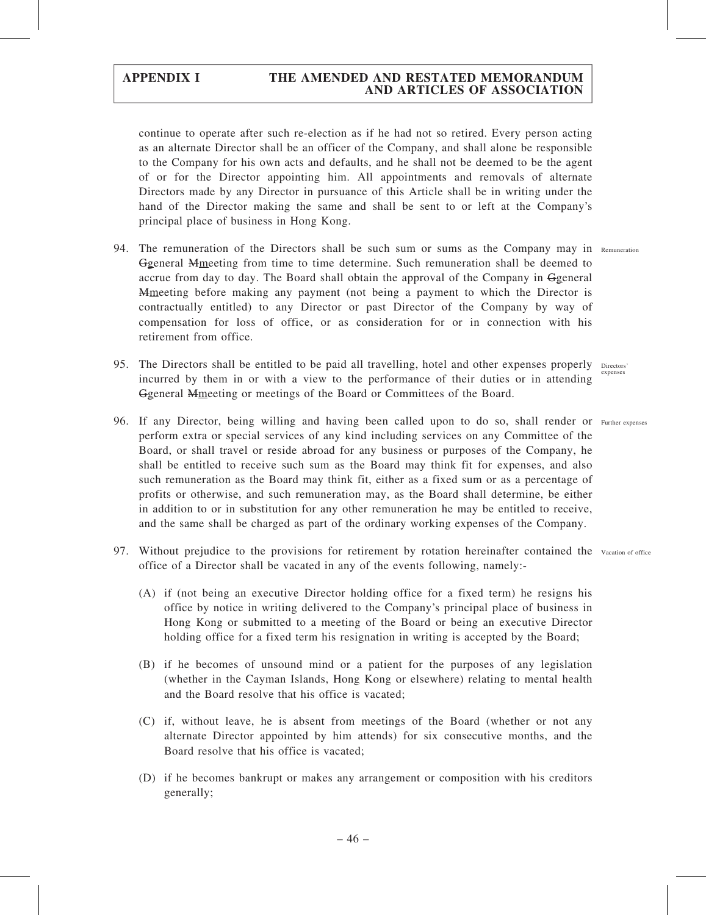continue to operate after such re-election as if he had not so retired. Every person acting as an alternate Director shall be an officer of the Company, and shall alone be responsible to the Company for his own acts and defaults, and he shall not be deemed to be the agent of or for the Director appointing him. All appointments and removals of alternate Directors made by any Director in pursuance of this Article shall be in writing under the hand of the Director making the same and shall be sent to or left at the Company's principal place of business in Hong Kong.

- 94. The remuneration of the Directors shall be such sum or sums as the Company may in Remuneration Ggeneral Mmeeting from time to time determine. Such remuneration shall be deemed to accrue from day to day. The Board shall obtain the approval of the Company in Ggeneral **M**meeting before making any payment (not being a payment to which the Director is contractually entitled) to any Director or past Director of the Company by way of compensation for loss of office, or as consideration for or in connection with his retirement from office.
- 95. The Directors shall be entitled to be paid all travelling, hotel and other expenses properly Directors' incurred by them in or with a view to the performance of their duties or in attending Ggeneral Mmeeting or meetings of the Board or Committees of the Board.
- 96. If any Director, being willing and having been called upon to do so, shall render or Further expenses perform extra or special services of any kind including services on any Committee of the Board, or shall travel or reside abroad for any business or purposes of the Company, he shall be entitled to receive such sum as the Board may think fit for expenses, and also such remuneration as the Board may think fit, either as a fixed sum or as a percentage of profits or otherwise, and such remuneration may, as the Board shall determine, be either in addition to or in substitution for any other remuneration he may be entitled to receive, and the same shall be charged as part of the ordinary working expenses of the Company.
- 97. Without prejudice to the provisions for retirement by rotation hereinafter contained the Vacation of office office of a Director shall be vacated in any of the events following, namely:-
	- (A) if (not being an executive Director holding office for a fixed term) he resigns his office by notice in writing delivered to the Company's principal place of business in Hong Kong or submitted to a meeting of the Board or being an executive Director holding office for a fixed term his resignation in writing is accepted by the Board;
	- (B) if he becomes of unsound mind or a patient for the purposes of any legislation (whether in the Cayman Islands, Hong Kong or elsewhere) relating to mental health and the Board resolve that his office is vacated;
	- (C) if, without leave, he is absent from meetings of the Board (whether or not any alternate Director appointed by him attends) for six consecutive months, and the Board resolve that his office is vacated;
	- (D) if he becomes bankrupt or makes any arrangement or composition with his creditors generally;

expenses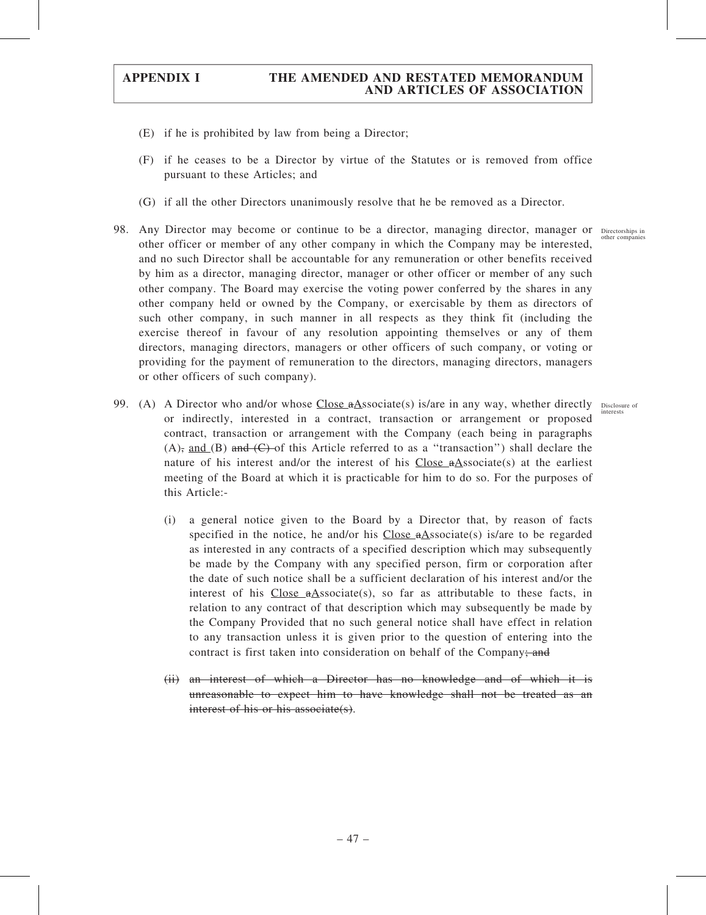- (E) if he is prohibited by law from being a Director;
- (F) if he ceases to be a Director by virtue of the Statutes or is removed from office pursuant to these Articles; and
- (G) if all the other Directors unanimously resolve that he be removed as a Director.
- 98. Any Director may become or continue to be a director, managing director, manager or Directorships in other officer or member of any other company in which the Company may be interested, and no such Director shall be accountable for any remuneration or other benefits received by him as a director, managing director, manager or other officer or member of any such other company. The Board may exercise the voting power conferred by the shares in any other company held or owned by the Company, or exercisable by them as directors of such other company, in such manner in all respects as they think fit (including the exercise thereof in favour of any resolution appointing themselves or any of them directors, managing directors, managers or other officers of such company, or voting or providing for the payment of remuneration to the directors, managing directors, managers or other officers of such company).
- 99. (A) A Director who and/or whose Close  $a\Delta$ ssociate(s) is/are in any way, whether directly Disclosure of or indirectly, interested in a contract, transaction or arrangement or proposed contract, transaction or arrangement with the Company (each being in paragraphs (A), and (B) and  $(C)$  of this Article referred to as a "transaction") shall declare the nature of his interest and/or the interest of his Close  $\alpha$ Associate(s) at the earliest meeting of the Board at which it is practicable for him to do so. For the purposes of this Article:-
	- (i) a general notice given to the Board by a Director that, by reason of facts specified in the notice, he and/or his  $Close \cdot A$ ssociate(s) is/are to be regarded as interested in any contracts of a specified description which may subsequently be made by the Company with any specified person, firm or corporation after the date of such notice shall be a sufficient declaration of his interest and/or the interest of his  $Close_aAsociate(s)$ , so far as attributable to these facts, in relation to any contract of that description which may subsequently be made by the Company Provided that no such general notice shall have effect in relation to any transaction unless it is given prior to the question of entering into the contract is first taken into consideration on behalf of the Company; and
	- (ii) an interest of which a Director has no knowledge and of which it is unreasonable to expect him to have knowledge shall not be treated as an interest of his or his associate(s).

other companies

interests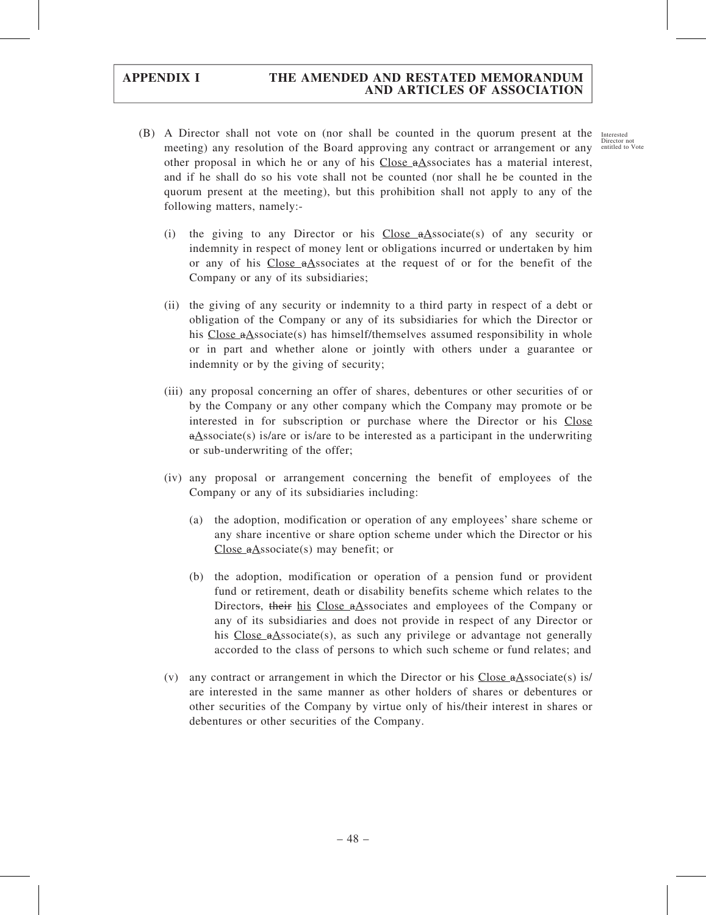- (B) A Director shall not vote on (nor shall be counted in the quorum present at the Interested meeting) any resolution of the Board approving any contract or arrangement or any **Director** not Director not other proposal in which he or any of his Close  $\alpha$ Associates has a material interest, and if he shall do so his vote shall not be counted (nor shall he be counted in the quorum present at the meeting), but this prohibition shall not apply to any of the following matters, namely:-
	- (i) the giving to any Director or his Close  $\theta$ Associate(s) of any security or indemnity in respect of money lent or obligations incurred or undertaken by him or any of his Close aAssociates at the request of or for the benefit of the Company or any of its subsidiaries;
	- (ii) the giving of any security or indemnity to a third party in respect of a debt or obligation of the Company or any of its subsidiaries for which the Director or his Close  $a\Delta$ ssociate(s) has himself/themselves assumed responsibility in whole or in part and whether alone or jointly with others under a guarantee or indemnity or by the giving of security;
	- (iii) any proposal concerning an offer of shares, debentures or other securities of or by the Company or any other company which the Company may promote or be interested in for subscription or purchase where the Director or his Close  $a\Delta$ ssociate(s) is/are or is/are to be interested as a participant in the underwriting or sub-underwriting of the offer;
	- (iv) any proposal or arrangement concerning the benefit of employees of the Company or any of its subsidiaries including:
		- (a) the adoption, modification or operation of any employees' share scheme or any share incentive or share option scheme under which the Director or his Close aAssociate(s) may benefit; or
		- (b) the adoption, modification or operation of a pension fund or provident fund or retirement, death or disability benefits scheme which relates to the Directors, their his Close aAssociates and employees of the Company or any of its subsidiaries and does not provide in respect of any Director or his Close  $a$ Associate(s), as such any privilege or advantage not generally accorded to the class of persons to which such scheme or fund relates; and
	- (v) any contract or arrangement in which the Director or his Close  $\alpha$ Associate(s) is/ are interested in the same manner as other holders of shares or debentures or other securities of the Company by virtue only of his/their interest in shares or debentures or other securities of the Company.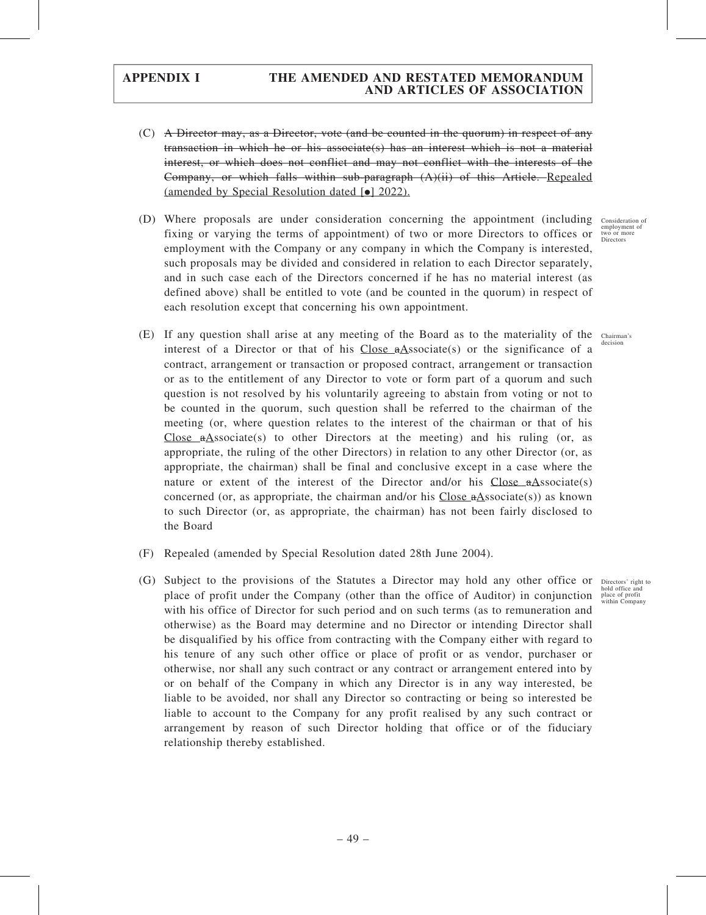- (C) A Director may, as a Director, vote (and be counted in the quorum) in respect of any transaction in which he or his associate(s) has an interest which is not a material interest, or which does not conflict and may not conflict with the interests of the Company, or which falls within sub-paragraph (A)(ii) of this Article. Repealed (amended by Special Resolution dated  $\lceil \bullet \rceil$  2022).
- (D) Where proposals are under consideration concerning the appointment (including fixing or varying the terms of appointment) of two or more Directors to offices or employment with the Company or any company in which the Company is interested, such proposals may be divided and considered in relation to each Director separately, and in such case each of the Directors concerned if he has no material interest (as defined above) shall be entitled to vote (and be counted in the quorum) in respect of each resolution except that concerning his own appointment.
- (E) If any question shall arise at any meeting of the Board as to the materiality of the interest of a Director or that of his Close  $a$ Associate(s) or the significance of a contract, arrangement or transaction or proposed contract, arrangement or transaction or as to the entitlement of any Director to vote or form part of a quorum and such question is not resolved by his voluntarily agreeing to abstain from voting or not to be counted in the quorum, such question shall be referred to the chairman of the meeting (or, where question relates to the interest of the chairman or that of his Close  $a$ Associate(s) to other Directors at the meeting) and his ruling (or, as appropriate, the ruling of the other Directors) in relation to any other Director (or, as appropriate, the chairman) shall be final and conclusive except in a case where the nature or extent of the interest of the Director and/or his Close  $a$ Associate(s) concerned (or, as appropriate, the chairman and/or his Close  $a$ Associate(s)) as known to such Director (or, as appropriate, the chairman) has not been fairly disclosed to the Board
- (F) Repealed (amended by Special Resolution dated 28th June 2004).
- (G) Subject to the provisions of the Statutes a Director may hold any other office or place of profit under the Company (other than the office of Auditor) in conjunction with his office of Director for such period and on such terms (as to remuneration and otherwise) as the Board may determine and no Director or intending Director shall be disqualified by his office from contracting with the Company either with regard to his tenure of any such other office or place of profit or as vendor, purchaser or otherwise, nor shall any such contract or any contract or arrangement entered into by or on behalf of the Company in which any Director is in any way interested, be liable to be avoided, nor shall any Director so contracting or being so interested be liable to account to the Company for any profit realised by any such contract or arrangement by reason of such Director holding that office or of the fiduciary relationship thereby established.

Consideration of employment of two or more Directors

Chairman's decision

Directors' right to hold office and place of profit within Company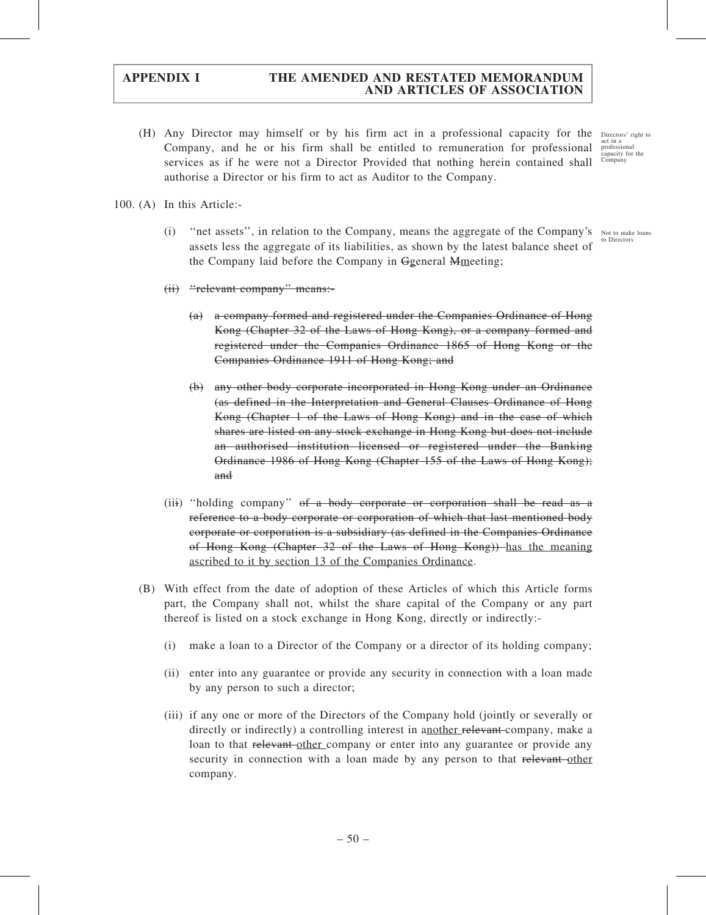(H) Any Director may himself or by his firm act in a professional capacity for the Company, and he or his firm shall be entitled to remuneration for professional services as if he were not a Director Provided that nothing herein contained shall authorise a Director or his firm to act as Auditor to the Company. Directors' right to act in a professional capacity for the Company

100. (A) In this Article:-

(i) "net assets", in relation to the Company, means the aggregate of the Company's Not to make loans assets less the aggregate of its liabilities, as shown by the latest balance sheet of the Company laid before the Company in Ggeneral Mmeeting;

(ii) ''relevant company'' means:-

- (a) a company formed and registered under the Companies Ordinance of Hong Kong (Chapter 32 of the Laws of Hong Kong), or a company formed and registered under the Companies Ordinance 1865 of Hong Kong or the Companies Ordinance 1911 of Hong Kong; and
- (b) any other body corporate incorporated in Hong Kong under an Ordinance (as defined in the Interpretation and General Clauses Ordinance of Hong Kong (Chapter 1 of the Laws of Hong Kong) and in the case of which shares are listed on any stock exchange in Hong Kong but does not include an authorised institution licensed or registered under the Banking Ordinance 1986 of Hong Kong (Chapter 155 of the Laws of Hong Kong); and
- (iii) ''holding company'' of a body corporate or corporation shall be read as a reference to a body corporate or corporation of which that last mentioned body corporate or corporation is a subsidiary (as defined in the Companies Ordinance of Hong Kong (Chapter 32 of the Laws of Hong Kong)) has the meaning ascribed to it by section 13 of the Companies Ordinance.
- (B) With effect from the date of adoption of these Articles of which this Article forms part, the Company shall not, whilst the share capital of the Company or any part thereof is listed on a stock exchange in Hong Kong, directly or indirectly:-
	- (i) make a loan to a Director of the Company or a director of its holding company;
	- (ii) enter into any guarantee or provide any security in connection with a loan made by any person to such a director;
	- (iii) if any one or more of the Directors of the Company hold (jointly or severally or directly or indirectly) a controlling interest in another relevant-company, make a loan to that relevant other company or enter into any guarantee or provide any security in connection with a loan made by any person to that relevant other company.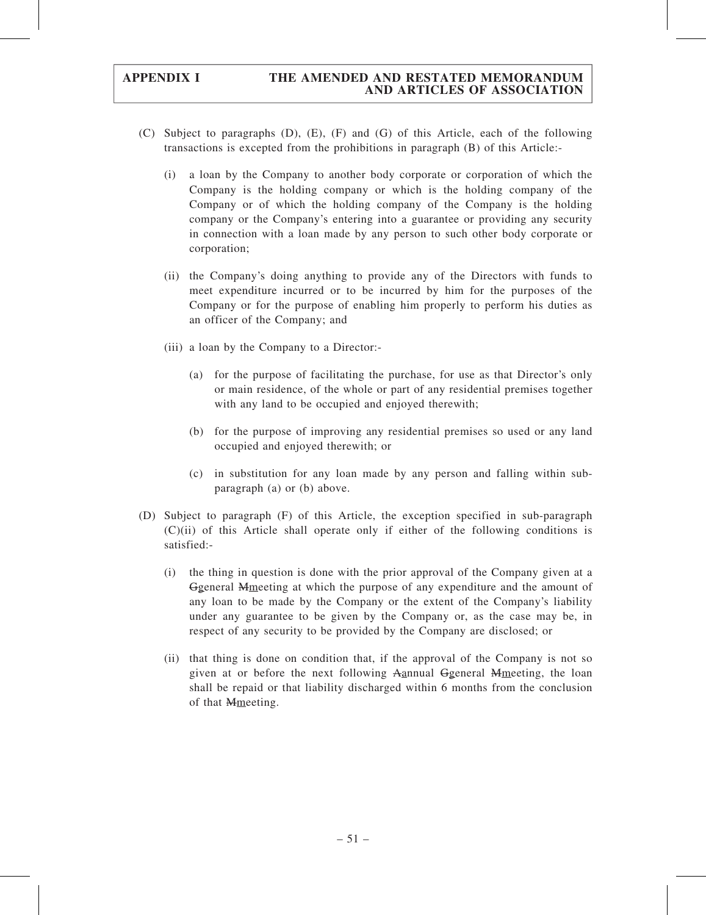- (C) Subject to paragraphs (D), (E), (F) and (G) of this Article, each of the following transactions is excepted from the prohibitions in paragraph (B) of this Article:-
	- (i) a loan by the Company to another body corporate or corporation of which the Company is the holding company or which is the holding company of the Company or of which the holding company of the Company is the holding company or the Company's entering into a guarantee or providing any security in connection with a loan made by any person to such other body corporate or corporation;
	- (ii) the Company's doing anything to provide any of the Directors with funds to meet expenditure incurred or to be incurred by him for the purposes of the Company or for the purpose of enabling him properly to perform his duties as an officer of the Company; and
	- (iii) a loan by the Company to a Director:-
		- (a) for the purpose of facilitating the purchase, for use as that Director's only or main residence, of the whole or part of any residential premises together with any land to be occupied and enjoyed therewith;
		- (b) for the purpose of improving any residential premises so used or any land occupied and enjoyed therewith; or
		- (c) in substitution for any loan made by any person and falling within subparagraph (a) or (b) above.
- (D) Subject to paragraph (F) of this Article, the exception specified in sub-paragraph (C)(ii) of this Article shall operate only if either of the following conditions is satisfied:-
	- (i) the thing in question is done with the prior approval of the Company given at a Ggeneral Mmeeting at which the purpose of any expenditure and the amount of any loan to be made by the Company or the extent of the Company's liability under any guarantee to be given by the Company or, as the case may be, in respect of any security to be provided by the Company are disclosed; or
	- (ii) that thing is done on condition that, if the approval of the Company is not so given at or before the next following Aannual Ggeneral Mmeeting, the loan shall be repaid or that liability discharged within 6 months from the conclusion of that Mmeeting.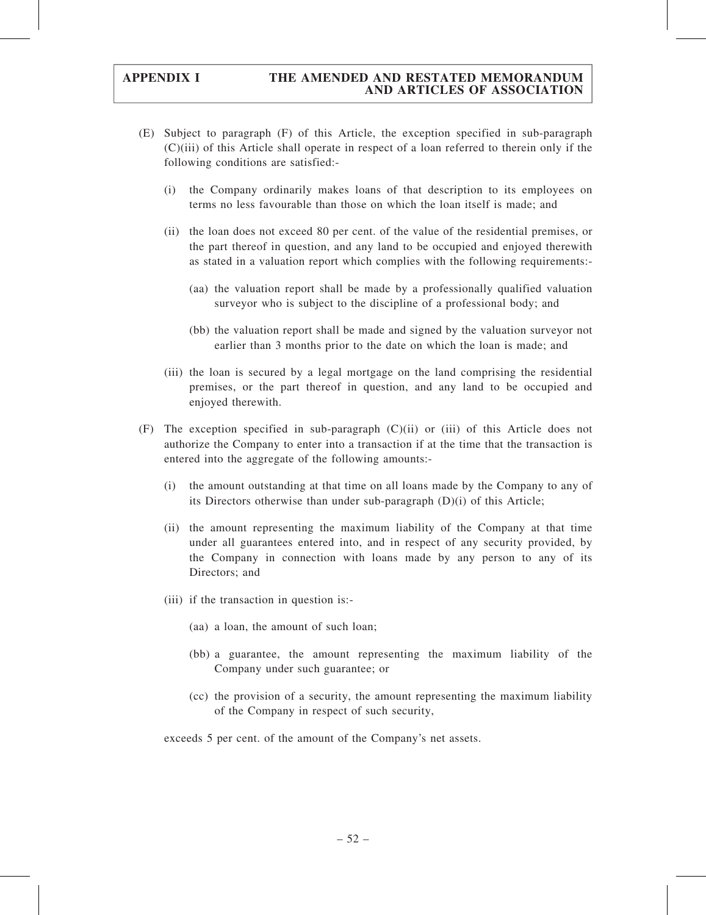- (E) Subject to paragraph (F) of this Article, the exception specified in sub-paragraph (C)(iii) of this Article shall operate in respect of a loan referred to therein only if the following conditions are satisfied:-
	- (i) the Company ordinarily makes loans of that description to its employees on terms no less favourable than those on which the loan itself is made; and
	- (ii) the loan does not exceed 80 per cent. of the value of the residential premises, or the part thereof in question, and any land to be occupied and enjoyed therewith as stated in a valuation report which complies with the following requirements:-
		- (aa) the valuation report shall be made by a professionally qualified valuation surveyor who is subject to the discipline of a professional body; and
		- (bb) the valuation report shall be made and signed by the valuation surveyor not earlier than 3 months prior to the date on which the loan is made; and
	- (iii) the loan is secured by a legal mortgage on the land comprising the residential premises, or the part thereof in question, and any land to be occupied and enjoyed therewith.
- (F) The exception specified in sub-paragraph (C)(ii) or (iii) of this Article does not authorize the Company to enter into a transaction if at the time that the transaction is entered into the aggregate of the following amounts:-
	- (i) the amount outstanding at that time on all loans made by the Company to any of its Directors otherwise than under sub-paragraph (D)(i) of this Article;
	- (ii) the amount representing the maximum liability of the Company at that time under all guarantees entered into, and in respect of any security provided, by the Company in connection with loans made by any person to any of its Directors; and
	- (iii) if the transaction in question is:-
		- (aa) a loan, the amount of such loan;
		- (bb) a guarantee, the amount representing the maximum liability of the Company under such guarantee; or
		- (cc) the provision of a security, the amount representing the maximum liability of the Company in respect of such security,

exceeds 5 per cent. of the amount of the Company's net assets.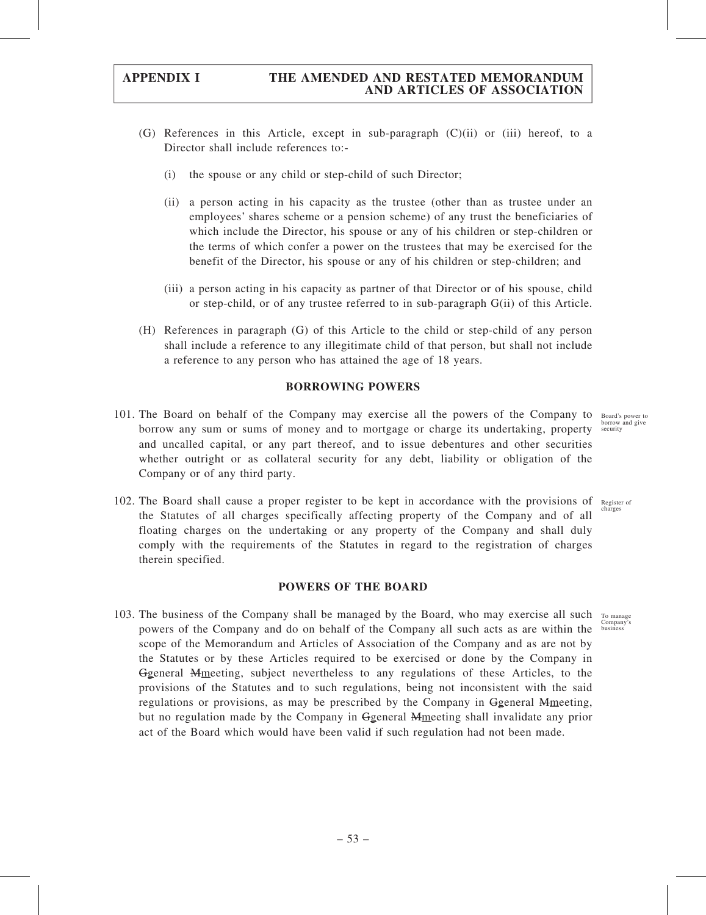- (G) References in this Article, except in sub-paragraph (C)(ii) or (iii) hereof, to a Director shall include references to:-
	- (i) the spouse or any child or step-child of such Director;
	- (ii) a person acting in his capacity as the trustee (other than as trustee under an employees' shares scheme or a pension scheme) of any trust the beneficiaries of which include the Director, his spouse or any of his children or step-children or the terms of which confer a power on the trustees that may be exercised for the benefit of the Director, his spouse or any of his children or step-children; and
	- (iii) a person acting in his capacity as partner of that Director or of his spouse, child or step-child, or of any trustee referred to in sub-paragraph G(ii) of this Article.
- (H) References in paragraph (G) of this Article to the child or step-child of any person shall include a reference to any illegitimate child of that person, but shall not include a reference to any person who has attained the age of 18 years.

### BORROWING POWERS

101. The Board on behalf of the Company may exercise all the powers of the Company to Board's power to borrow any sum or sums of money and to mortgage or charge its undertaking, property and uncalled capital, or any part thereof, and to issue debentures and other securities whether outright or as collateral security for any debt, liability or obligation of the Company or of any third party.

102. The Board shall cause a proper register to be kept in accordance with the provisions of Register of the Statutes of all charges specifically affecting property of the Company and of all floating charges on the undertaking or any property of the Company and shall duly comply with the requirements of the Statutes in regard to the registration of charges therein specified. charges

### POWERS OF THE BOARD

103. The business of the Company shall be managed by the Board, who may exercise all such To manage powers of the Company and do on behalf of the Company all such acts as are within the scope of the Memorandum and Articles of Association of the Company and as are not by the Statutes or by these Articles required to be exercised or done by the Company in Ggeneral Mmeeting, subject nevertheless to any regulations of these Articles, to the provisions of the Statutes and to such regulations, being not inconsistent with the said regulations or provisions, as may be prescribed by the Company in Ggeneral Mmeeting, but no regulation made by the Company in Ggeneral Mmeeting shall invalidate any prior act of the Board which would have been valid if such regulation had not been made.

business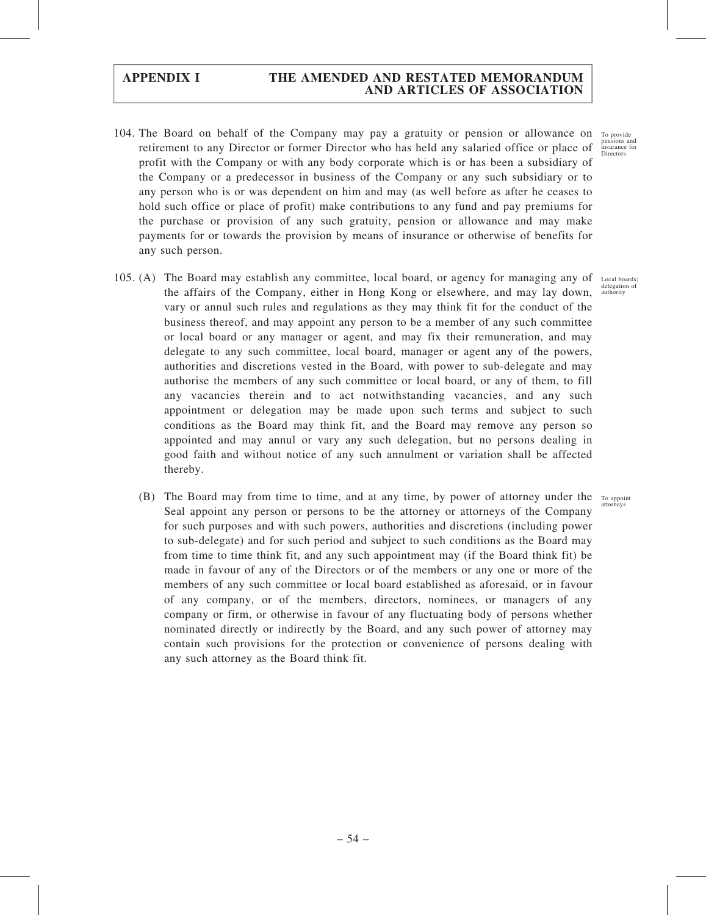- 104. The Board on behalf of the Company may pay a gratuity or pension or allowance on To provide retirement to any Director or former Director who has held any salaried office or place of profit with the Company or with any body corporate which is or has been a subsidiary of the Company or a predecessor in business of the Company or any such subsidiary or to any person who is or was dependent on him and may (as well before as after he ceases to hold such office or place of profit) make contributions to any fund and pay premiums for the purchase or provision of any such gratuity, pension or allowance and may make payments for or towards the provision by means of insurance or otherwise of benefits for any such person.
- 105. (A) The Board may establish any committee, local board, or agency for managing any of the affairs of the Company, either in Hong Kong or elsewhere, and may lay down, vary or annul such rules and regulations as they may think fit for the conduct of the business thereof, and may appoint any person to be a member of any such committee or local board or any manager or agent, and may fix their remuneration, and may delegate to any such committee, local board, manager or agent any of the powers, authorities and discretions vested in the Board, with power to sub-delegate and may authorise the members of any such committee or local board, or any of them, to fill any vacancies therein and to act notwithstanding vacancies, and any such appointment or delegation may be made upon such terms and subject to such conditions as the Board may think fit, and the Board may remove any person so appointed and may annul or vary any such delegation, but no persons dealing in good faith and without notice of any such annulment or variation shall be affected thereby. Local boards;
	- (B) The Board may from time to time, and at any time, by power of attorney under the To appoint Seal appoint any person or persons to be the attorney or attorneys of the Company for such purposes and with such powers, authorities and discretions (including power to sub-delegate) and for such period and subject to such conditions as the Board may from time to time think fit, and any such appointment may (if the Board think fit) be made in favour of any of the Directors or of the members or any one or more of the members of any such committee or local board established as aforesaid, or in favour of any company, or of the members, directors, nominees, or managers of any company or firm, or otherwise in favour of any fluctuating body of persons whether nominated directly or indirectly by the Board, and any such power of attorney may contain such provisions for the protection or convenience of persons dealing with any such attorney as the Board think fit.

pensions and insurance for Directors

delegation of authority

attorneys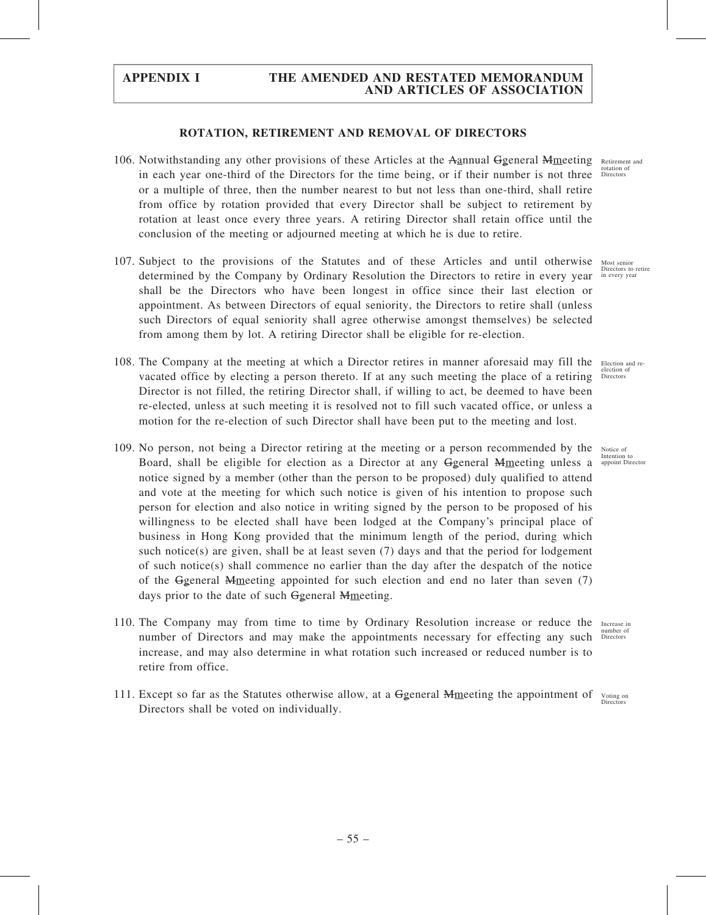### ROTATION, RETIREMENT AND REMOVAL OF DIRECTORS

- 106. Notwithstanding any other provisions of these Articles at the Aannual Ggeneral Mmeeting Retirement and in each year one-third of the Directors for the time being, or if their number is not three Directors or a multiple of three, then the number nearest to but not less than one-third, shall retire from office by rotation provided that every Director shall be subject to retirement by rotation at least once every three years. A retiring Director shall retain office until the conclusion of the meeting or adjourned meeting at which he is due to retire.
- 107. Subject to the provisions of the Statutes and of these Articles and until otherwise Most senior determined by the Company by Ordinary Resolution the Directors to retire in every year shall be the Directors who have been longest in office since their last election or appointment. As between Directors of equal seniority, the Directors to retire shall (unless such Directors of equal seniority shall agree otherwise amongst themselves) be selected from among them by lot. A retiring Director shall be eligible for re-election.
- 108. The Company at the meeting at which a Director retires in manner aforesaid may fill the Election and revacated office by electing a person thereto. If at any such meeting the place of a retiring Directors Director is not filled, the retiring Director shall, if willing to act, be deemed to have been re-elected, unless at such meeting it is resolved not to fill such vacated office, or unless a motion for the re-election of such Director shall have been put to the meeting and lost.
- 109. No person, not being a Director retiring at the meeting or a person recommended by the Notice of Board, shall be eligible for election as a Director at any Ggeneral Mmeeting unless a appoint Director notice signed by a member (other than the person to be proposed) duly qualified to attend and vote at the meeting for which such notice is given of his intention to propose such person for election and also notice in writing signed by the person to be proposed of his willingness to be elected shall have been lodged at the Company's principal place of business in Hong Kong provided that the minimum length of the period, during which such notice(s) are given, shall be at least seven  $(7)$  days and that the period for lodgement of such notice(s) shall commence no earlier than the day after the despatch of the notice of the Ggeneral Mmeeting appointed for such election and end no later than seven (7) days prior to the date of such Ggeneral Mmeeting.
- 110. The Company may from time to time by Ordinary Resolution increase or reduce the Increase in number of Directors and may make the appointments necessary for effecting any such increase, and may also determine in what rotation such increased or reduced number is to retire from office.
- 111. Except so far as the Statutes otherwise allow, at a Ggeneral Mmeeting the appointment of voting on Directors shall be voted on individually. Direct

rotation of

Directors to retire in every year

election of

Intention to

number of Directors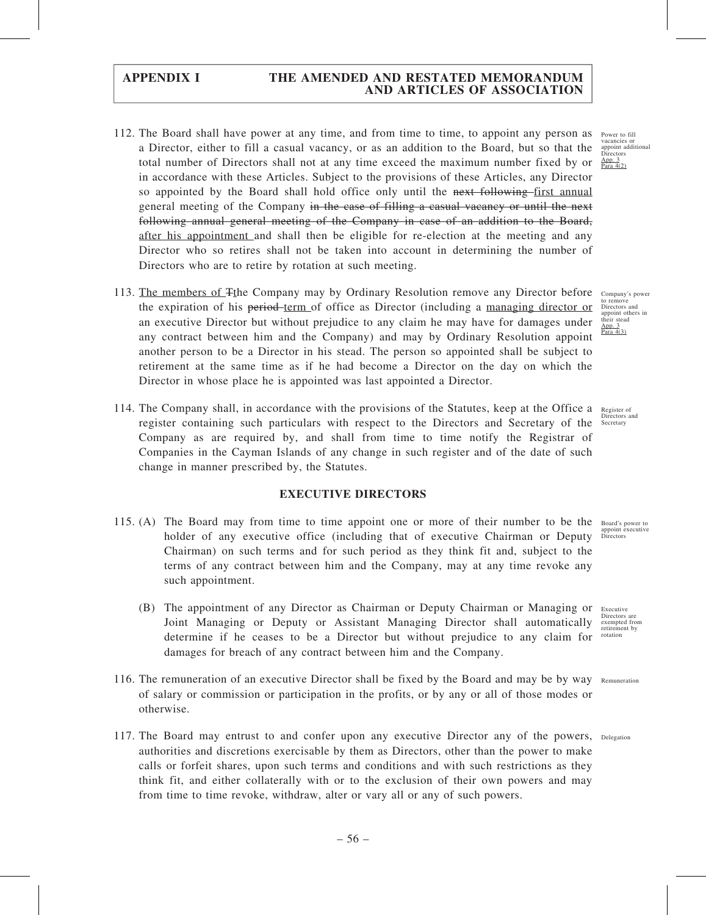- 112. The Board shall have power at any time, and from time to time, to appoint any person as a Director, either to fill a casual vacancy, or as an addition to the Board, but so that the total number of Directors shall not at any time exceed the maximum number fixed by or in accordance with these Articles. Subject to the provisions of these Articles, any Director so appointed by the Board shall hold office only until the next following first annual general meeting of the Company in the case of filling a casual vacancy or until the next following annual general meeting of the Company in case of an addition to the Board, after his appointment and shall then be eligible for re-election at the meeting and any Director who so retires shall not be taken into account in determining the number of Directors who are to retire by rotation at such meeting.
- 113. The members of  $F$ the Company may by Ordinary Resolution remove any Director before the expiration of his period-term of office as Director (including a managing director or an executive Director but without prejudice to any claim he may have for damages under any contract between him and the Company) and may by Ordinary Resolution appoint another person to be a Director in his stead. The person so appointed shall be subject to retirement at the same time as if he had become a Director on the day on which the Director in whose place he is appointed was last appointed a Director.
- 114. The Company shall, in accordance with the provisions of the Statutes, keep at the Office a Register of register containing such particulars with respect to the Directors and Secretary of the Company as are required by, and shall from time to time notify the Registrar of Companies in the Cayman Islands of any change in such register and of the date of such change in manner prescribed by, the Statutes.

### EXECUTIVE DIRECTORS

- 115. (A) The Board may from time to time appoint one or more of their number to be the Board's power to holder of any executive office (including that of executive Chairman or Deputy Chairman) on such terms and for such period as they think fit and, subject to the terms of any contract between him and the Company, may at any time revoke any such appointment.
	- (B) The appointment of any Director as Chairman or Deputy Chairman or Managing or Joint Managing or Deputy or Assistant Managing Director shall automatically determine if he ceases to be a Director but without prejudice to any claim for damages for breach of any contract between him and the Company.
- 116. The remuneration of an executive Director shall be fixed by the Board and may be by way Remuneration of salary or commission or participation in the profits, or by any or all of those modes or otherwise.
- 117. The Board may entrust to and confer upon any executive Director any of the powers, Delegation authorities and discretions exercisable by them as Directors, other than the power to make calls or forfeit shares, upon such terms and conditions and with such restrictions as they think fit, and either collaterally with or to the exclusion of their own powers and may from time to time revoke, withdraw, alter or vary all or any of such powers.

Power to fill<br>vacancies or vacancies or appoint additional Directors App. 3 Para 4(2)

Company's power to remove Directors and appoint others in their stead App. 3 Para  $4(3)$ 

Directors and **Secretary** 

appoint executive Directors

Executive Directors are exempted from retirement by rotation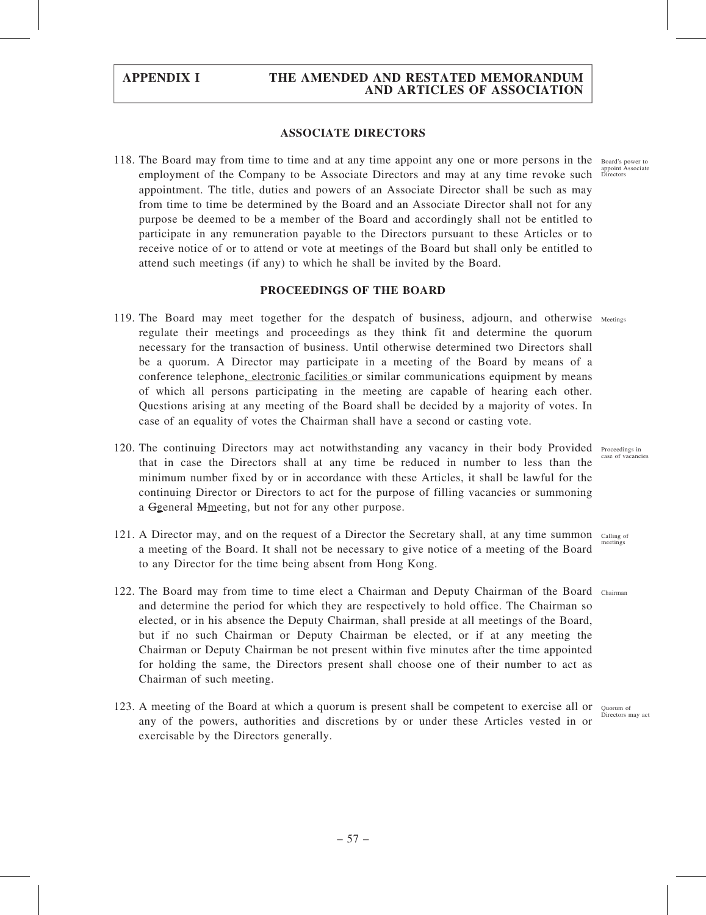### ASSOCIATE DIRECTORS

118. The Board may from time to time and at any time appoint any one or more persons in the Board's power to employment of the Company to be Associate Directors and may at any time revoke such Directors appointment. The title, duties and powers of an Associate Director shall be such as may from time to time be determined by the Board and an Associate Director shall not for any purpose be deemed to be a member of the Board and accordingly shall not be entitled to participate in any remuneration payable to the Directors pursuant to these Articles or to receive notice of or to attend or vote at meetings of the Board but shall only be entitled to attend such meetings (if any) to which he shall be invited by the Board.

### PROCEEDINGS OF THE BOARD

- 119. The Board may meet together for the despatch of business, adjourn, and otherwise Meetings regulate their meetings and proceedings as they think fit and determine the quorum necessary for the transaction of business. Until otherwise determined two Directors shall be a quorum. A Director may participate in a meeting of the Board by means of a conference telephone, electronic facilities or similar communications equipment by means of which all persons participating in the meeting are capable of hearing each other. Questions arising at any meeting of the Board shall be decided by a majority of votes. In case of an equality of votes the Chairman shall have a second or casting vote.
- 120. The continuing Directors may act notwithstanding any vacancy in their body Provided Proceedings in that in case the Directors shall at any time be reduced in number to less than the minimum number fixed by or in accordance with these Articles, it shall be lawful for the continuing Director or Directors to act for the purpose of filling vacancies or summoning a Ggeneral Mmeeting, but not for any other purpose.
- 121. A Director may, and on the request of a Director the Secretary shall, at any time summon calling of a meeting of the Board. It shall not be necessary to give notice of a meeting of the Board to any Director for the time being absent from Hong Kong.
- 122. The Board may from time to time elect a Chairman and Deputy Chairman of the Board Chairman and determine the period for which they are respectively to hold office. The Chairman so elected, or in his absence the Deputy Chairman, shall preside at all meetings of the Board, but if no such Chairman or Deputy Chairman be elected, or if at any meeting the Chairman or Deputy Chairman be not present within five minutes after the time appointed for holding the same, the Directors present shall choose one of their number to act as Chairman of such meeting.
- 123. A meeting of the Board at which a quorum is present shall be competent to exercise all or Quorum of any of the powers, authorities and discretions by or under these Articles vested in or exercisable by the Directors generally.

case of vacancies

meetings

Directors may act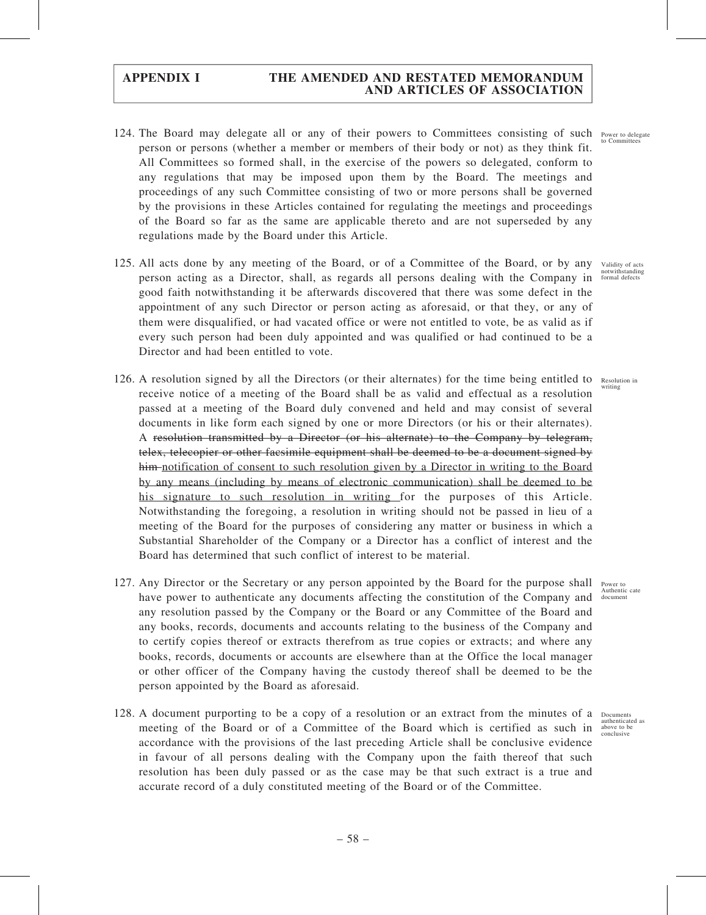- 124. The Board may delegate all or any of their powers to Committees consisting of such person or persons (whether a member or members of their body or not) as they think fit. All Committees so formed shall, in the exercise of the powers so delegated, conform to any regulations that may be imposed upon them by the Board. The meetings and proceedings of any such Committee consisting of two or more persons shall be governed by the provisions in these Articles contained for regulating the meetings and proceedings of the Board so far as the same are applicable thereto and are not superseded by any regulations made by the Board under this Article. Power to delegate to Committee
- 125. All acts done by any meeting of the Board, or of a Committee of the Board, or by any person acting as a Director, shall, as regards all persons dealing with the Company in good faith notwithstanding it be afterwards discovered that there was some defect in the appointment of any such Director or person acting as aforesaid, or that they, or any of them were disqualified, or had vacated office or were not entitled to vote, be as valid as if every such person had been duly appointed and was qualified or had continued to be a Director and had been entitled to vote.
- 126. A resolution signed by all the Directors (or their alternates) for the time being entitled to receive notice of a meeting of the Board shall be as valid and effectual as a resolution passed at a meeting of the Board duly convened and held and may consist of several documents in like form each signed by one or more Directors (or his or their alternates). A resolution transmitted by a Director (or his alternate) to the Company by telegram, telex, telecopier or other facsimile equipment shall be deemed to be a document signed by him notification of consent to such resolution given by a Director in writing to the Board by any means (including by means of electronic communication) shall be deemed to be his signature to such resolution in writing for the purposes of this Article. Notwithstanding the foregoing, a resolution in writing should not be passed in lieu of a meeting of the Board for the purposes of considering any matter or business in which a Substantial Shareholder of the Company or a Director has a conflict of interest and the Board has determined that such conflict of interest to be material.
- 127. Any Director or the Secretary or any person appointed by the Board for the purpose shall have power to authenticate any documents affecting the constitution of the Company and document any resolution passed by the Company or the Board or any Committee of the Board and any books, records, documents and accounts relating to the business of the Company and to certify copies thereof or extracts therefrom as true copies or extracts; and where any books, records, documents or accounts are elsewhere than at the Office the local manager or other officer of the Company having the custody thereof shall be deemed to be the person appointed by the Board as aforesaid.
- 128. A document purporting to be a copy of a resolution or an extract from the minutes of a meeting of the Board or of a Committee of the Board which is certified as such in accordance with the provisions of the last preceding Article shall be conclusive evidence in favour of all persons dealing with the Company upon the faith thereof that such resolution has been duly passed or as the case may be that such extract is a true and accurate record of a duly constituted meeting of the Board or of the Committee.

Validity of acts notwithstanding formal defects

Resolution in writing

Power to

Documents authenticated as above to be conclusive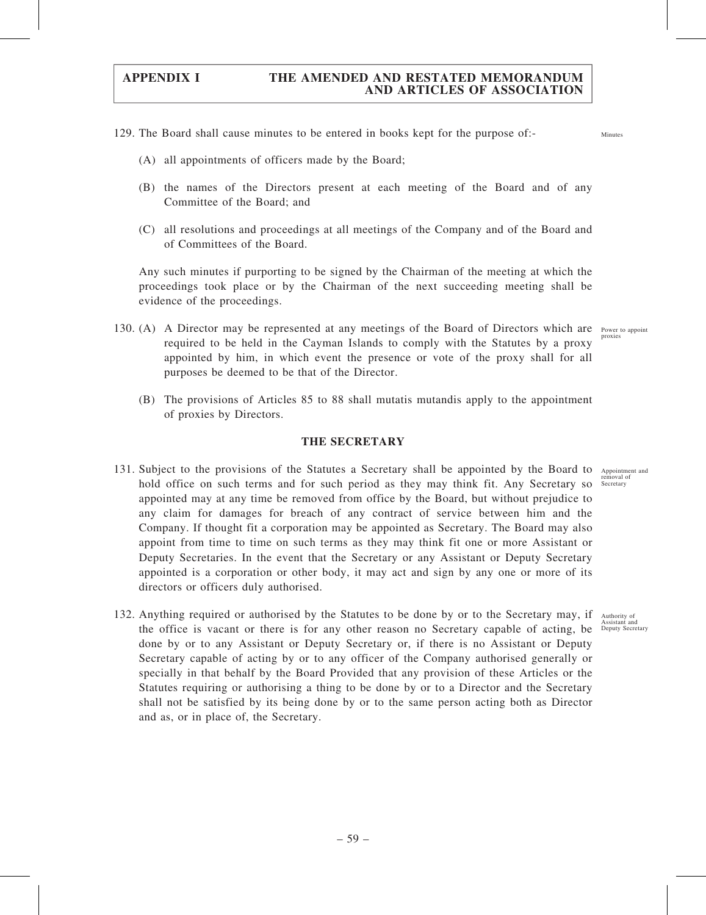- 129. The Board shall cause minutes to be entered in books kept for the purpose of:-
	- (A) all appointments of officers made by the Board;
	- (B) the names of the Directors present at each meeting of the Board and of any Committee of the Board; and
	- (C) all resolutions and proceedings at all meetings of the Company and of the Board and of Committees of the Board.

Any such minutes if purporting to be signed by the Chairman of the meeting at which the proceedings took place or by the Chairman of the next succeeding meeting shall be evidence of the proceedings.

- 130. (A) A Director may be represented at any meetings of the Board of Directors which are Power to appoint required to be held in the Cayman Islands to comply with the Statutes by a proxy appointed by him, in which event the presence or vote of the proxy shall for all purposes be deemed to be that of the Director. proxies
	- (B) The provisions of Articles 85 to 88 shall mutatis mutandis apply to the appointment of proxies by Directors.

### THE SECRETARY

- 131. Subject to the provisions of the Statutes a Secretary shall be appointed by the Board to Appointment and hold office on such terms and for such period as they may think fit. Any Secretary so appointed may at any time be removed from office by the Board, but without prejudice to any claim for damages for breach of any contract of service between him and the Company. If thought fit a corporation may be appointed as Secretary. The Board may also appoint from time to time on such terms as they may think fit one or more Assistant or Deputy Secretaries. In the event that the Secretary or any Assistant or Deputy Secretary appointed is a corporation or other body, it may act and sign by any one or more of its directors or officers duly authorised.
- 132. Anything required or authorised by the Statutes to be done by or to the Secretary may, if the office is vacant or there is for any other reason no Secretary capable of acting, be Deputy Secretary done by or to any Assistant or Deputy Secretary or, if there is no Assistant or Deputy Secretary capable of acting by or to any officer of the Company authorised generally or specially in that behalf by the Board Provided that any provision of these Articles or the Statutes requiring or authorising a thing to be done by or to a Director and the Secretary shall not be satisfied by its being done by or to the same person acting both as Director and as, or in place of, the Secretary.

removal of Secretary

Minutes

Authority of Assistant and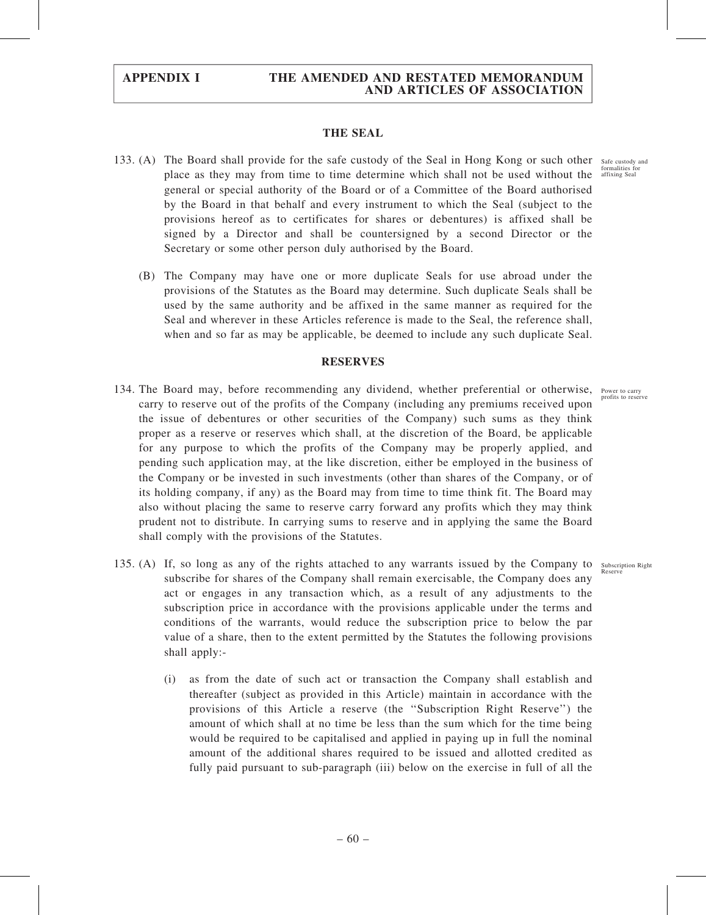### THE SEAL

- 133. (A) The Board shall provide for the safe custody of the Seal in Hong Kong or such other safe custody and place as they may from time to time determine which shall not be used without the affixing Seal general or special authority of the Board or of a Committee of the Board authorised by the Board in that behalf and every instrument to which the Seal (subject to the provisions hereof as to certificates for shares or debentures) is affixed shall be signed by a Director and shall be countersigned by a second Director or the Secretary or some other person duly authorised by the Board.
	- (B) The Company may have one or more duplicate Seals for use abroad under the provisions of the Statutes as the Board may determine. Such duplicate Seals shall be used by the same authority and be affixed in the same manner as required for the Seal and wherever in these Articles reference is made to the Seal, the reference shall, when and so far as may be applicable, be deemed to include any such duplicate Seal.

### **RESERVES**

- 134. The Board may, before recommending any dividend, whether preferential or otherwise, Power to carry carry to reserve out of the profits of the Company (including any premiums received upon the issue of debentures or other securities of the Company) such sums as they think proper as a reserve or reserves which shall, at the discretion of the Board, be applicable for any purpose to which the profits of the Company may be properly applied, and pending such application may, at the like discretion, either be employed in the business of the Company or be invested in such investments (other than shares of the Company, or of its holding company, if any) as the Board may from time to time think fit. The Board may also without placing the same to reserve carry forward any profits which they may think prudent not to distribute. In carrying sums to reserve and in applying the same the Board shall comply with the provisions of the Statutes.
- 135. (A) If, so long as any of the rights attached to any warrants issued by the Company to Subscription Right subscribe for shares of the Company shall remain exercisable, the Company does any act or engages in any transaction which, as a result of any adjustments to the subscription price in accordance with the provisions applicable under the terms and conditions of the warrants, would reduce the subscription price to below the par value of a share, then to the extent permitted by the Statutes the following provisions shall apply:- Reserve
	- (i) as from the date of such act or transaction the Company shall establish and thereafter (subject as provided in this Article) maintain in accordance with the provisions of this Article a reserve (the ''Subscription Right Reserve'') the amount of which shall at no time be less than the sum which for the time being would be required to be capitalised and applied in paying up in full the nominal amount of the additional shares required to be issued and allotted credited as fully paid pursuant to sub-paragraph (iii) below on the exercise in full of all the

formalities fo

profits to reserve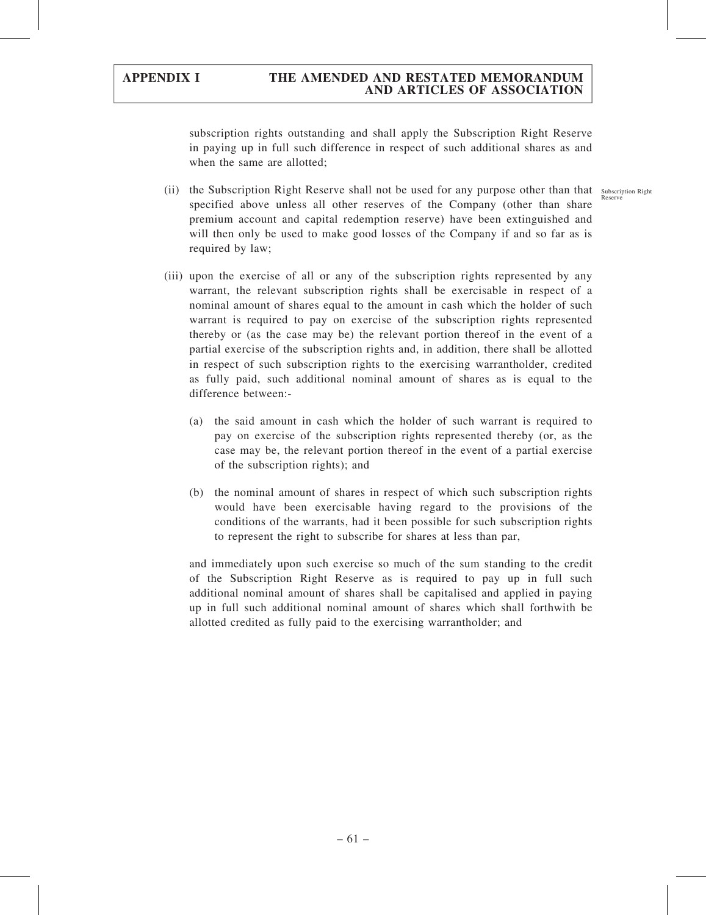subscription rights outstanding and shall apply the Subscription Right Reserve in paying up in full such difference in respect of such additional shares as and when the same are allotted;

(ii) the Subscription Right Reserve shall not be used for any purpose other than that subscription Right specified above unless all other reserves of the Company (other than share premium account and capital redemption reserve) have been extinguished and will then only be used to make good losses of the Company if and so far as is required by law;

(iii) upon the exercise of all or any of the subscription rights represented by any warrant, the relevant subscription rights shall be exercisable in respect of a nominal amount of shares equal to the amount in cash which the holder of such warrant is required to pay on exercise of the subscription rights represented thereby or (as the case may be) the relevant portion thereof in the event of a partial exercise of the subscription rights and, in addition, there shall be allotted in respect of such subscription rights to the exercising warrantholder, credited as fully paid, such additional nominal amount of shares as is equal to the difference between:-

- (a) the said amount in cash which the holder of such warrant is required to pay on exercise of the subscription rights represented thereby (or, as the case may be, the relevant portion thereof in the event of a partial exercise of the subscription rights); and
- (b) the nominal amount of shares in respect of which such subscription rights would have been exercisable having regard to the provisions of the conditions of the warrants, had it been possible for such subscription rights to represent the right to subscribe for shares at less than par,

and immediately upon such exercise so much of the sum standing to the credit of the Subscription Right Reserve as is required to pay up in full such additional nominal amount of shares shall be capitalised and applied in paying up in full such additional nominal amount of shares which shall forthwith be allotted credited as fully paid to the exercising warrantholder; and

o uvsci<br>Recerv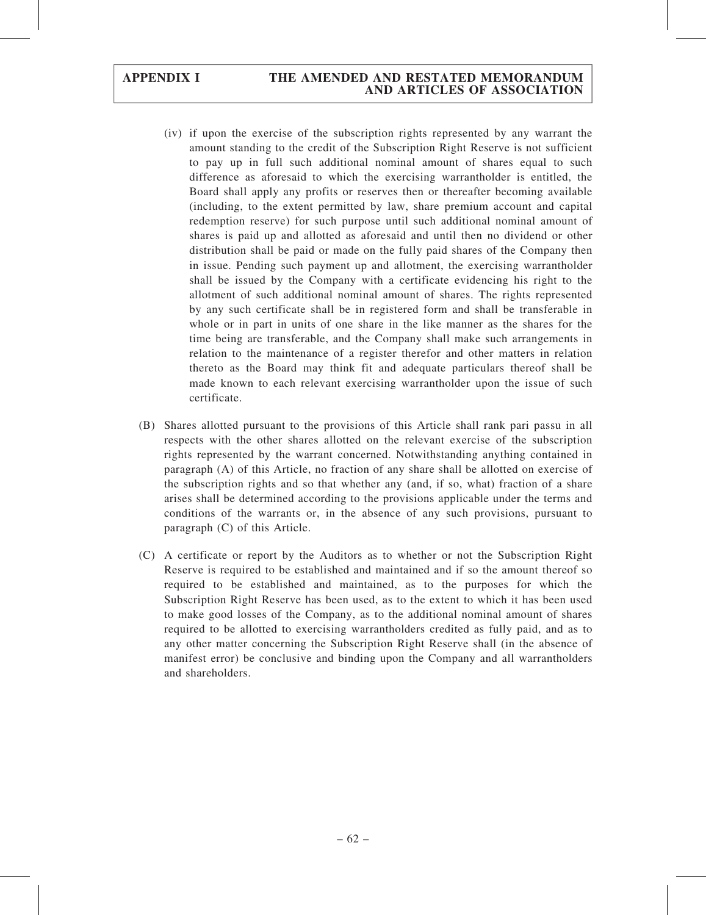- (iv) if upon the exercise of the subscription rights represented by any warrant the amount standing to the credit of the Subscription Right Reserve is not sufficient to pay up in full such additional nominal amount of shares equal to such difference as aforesaid to which the exercising warrantholder is entitled, the Board shall apply any profits or reserves then or thereafter becoming available (including, to the extent permitted by law, share premium account and capital redemption reserve) for such purpose until such additional nominal amount of shares is paid up and allotted as aforesaid and until then no dividend or other distribution shall be paid or made on the fully paid shares of the Company then in issue. Pending such payment up and allotment, the exercising warrantholder shall be issued by the Company with a certificate evidencing his right to the allotment of such additional nominal amount of shares. The rights represented by any such certificate shall be in registered form and shall be transferable in whole or in part in units of one share in the like manner as the shares for the time being are transferable, and the Company shall make such arrangements in relation to the maintenance of a register therefor and other matters in relation thereto as the Board may think fit and adequate particulars thereof shall be made known to each relevant exercising warrantholder upon the issue of such certificate.
- (B) Shares allotted pursuant to the provisions of this Article shall rank pari passu in all respects with the other shares allotted on the relevant exercise of the subscription rights represented by the warrant concerned. Notwithstanding anything contained in paragraph (A) of this Article, no fraction of any share shall be allotted on exercise of the subscription rights and so that whether any (and, if so, what) fraction of a share arises shall be determined according to the provisions applicable under the terms and conditions of the warrants or, in the absence of any such provisions, pursuant to paragraph (C) of this Article.
- (C) A certificate or report by the Auditors as to whether or not the Subscription Right Reserve is required to be established and maintained and if so the amount thereof so required to be established and maintained, as to the purposes for which the Subscription Right Reserve has been used, as to the extent to which it has been used to make good losses of the Company, as to the additional nominal amount of shares required to be allotted to exercising warrantholders credited as fully paid, and as to any other matter concerning the Subscription Right Reserve shall (in the absence of manifest error) be conclusive and binding upon the Company and all warrantholders and shareholders.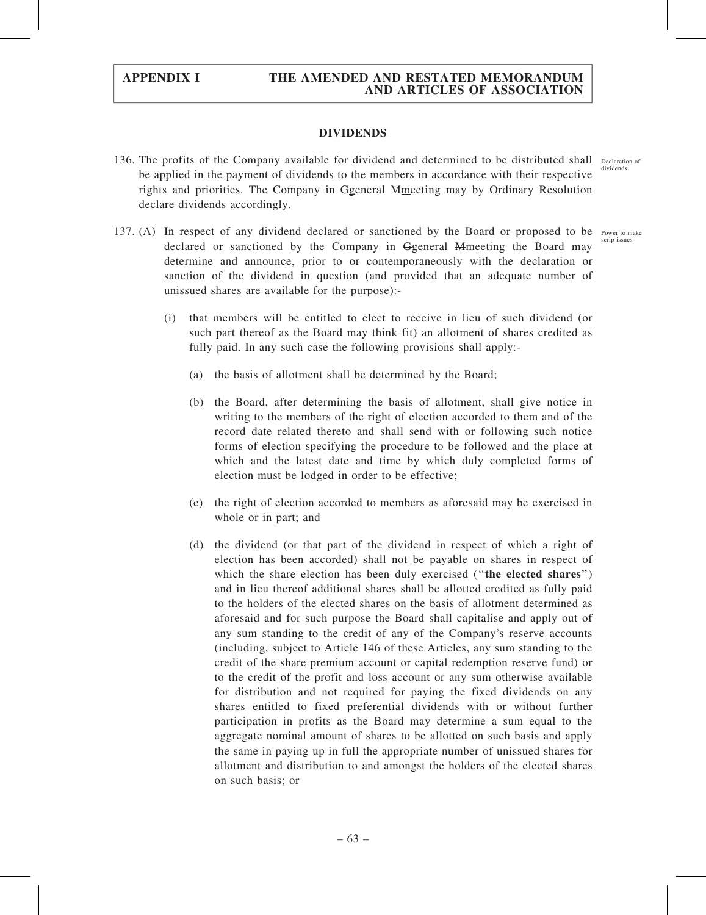### DIVIDENDS

- 136. The profits of the Company available for dividend and determined to be distributed shall Declaration of be applied in the payment of dividends to the members in accordance with their respective rights and priorities. The Company in Ggeneral Mmeeting may by Ordinary Resolution declare dividends accordingly. dividends
- 137. (A) In respect of any dividend declared or sanctioned by the Board or proposed to be Power to make declared or sanctioned by the Company in General Memeeting the Board may determine and announce, prior to or contemporaneously with the declaration or sanction of the dividend in question (and provided that an adequate number of unissued shares are available for the purpose): scrip issue
	- (i) that members will be entitled to elect to receive in lieu of such dividend (or such part thereof as the Board may think fit) an allotment of shares credited as fully paid. In any such case the following provisions shall apply:-
		- (a) the basis of allotment shall be determined by the Board;
		- (b) the Board, after determining the basis of allotment, shall give notice in writing to the members of the right of election accorded to them and of the record date related thereto and shall send with or following such notice forms of election specifying the procedure to be followed and the place at which and the latest date and time by which duly completed forms of election must be lodged in order to be effective;
		- (c) the right of election accorded to members as aforesaid may be exercised in whole or in part; and
		- (d) the dividend (or that part of the dividend in respect of which a right of election has been accorded) shall not be payable on shares in respect of which the share election has been duly exercised ("the elected shares") and in lieu thereof additional shares shall be allotted credited as fully paid to the holders of the elected shares on the basis of allotment determined as aforesaid and for such purpose the Board shall capitalise and apply out of any sum standing to the credit of any of the Company's reserve accounts (including, subject to Article 146 of these Articles, any sum standing to the credit of the share premium account or capital redemption reserve fund) or to the credit of the profit and loss account or any sum otherwise available for distribution and not required for paying the fixed dividends on any shares entitled to fixed preferential dividends with or without further participation in profits as the Board may determine a sum equal to the aggregate nominal amount of shares to be allotted on such basis and apply the same in paying up in full the appropriate number of unissued shares for allotment and distribution to and amongst the holders of the elected shares on such basis; or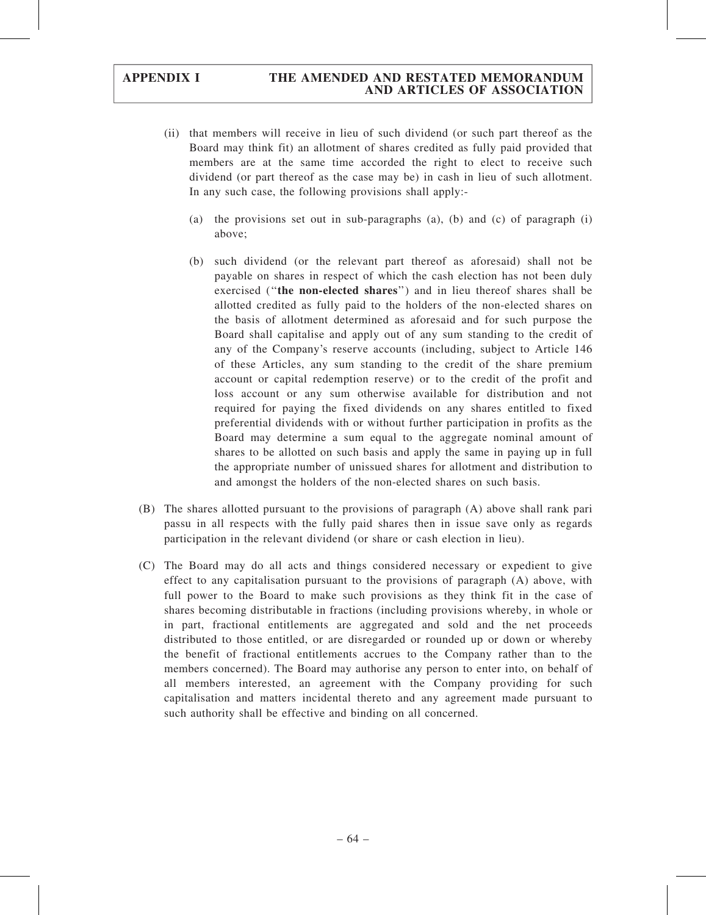- (ii) that members will receive in lieu of such dividend (or such part thereof as the Board may think fit) an allotment of shares credited as fully paid provided that members are at the same time accorded the right to elect to receive such dividend (or part thereof as the case may be) in cash in lieu of such allotment. In any such case, the following provisions shall apply:-
	- (a) the provisions set out in sub-paragraphs  $(a)$ ,  $(b)$  and  $(c)$  of paragraph  $(i)$ above;
	- (b) such dividend (or the relevant part thereof as aforesaid) shall not be payable on shares in respect of which the cash election has not been duly exercised (''the non-elected shares'') and in lieu thereof shares shall be allotted credited as fully paid to the holders of the non-elected shares on the basis of allotment determined as aforesaid and for such purpose the Board shall capitalise and apply out of any sum standing to the credit of any of the Company's reserve accounts (including, subject to Article 146 of these Articles, any sum standing to the credit of the share premium account or capital redemption reserve) or to the credit of the profit and loss account or any sum otherwise available for distribution and not required for paying the fixed dividends on any shares entitled to fixed preferential dividends with or without further participation in profits as the Board may determine a sum equal to the aggregate nominal amount of shares to be allotted on such basis and apply the same in paying up in full the appropriate number of unissued shares for allotment and distribution to and amongst the holders of the non-elected shares on such basis.
- (B) The shares allotted pursuant to the provisions of paragraph (A) above shall rank pari passu in all respects with the fully paid shares then in issue save only as regards participation in the relevant dividend (or share or cash election in lieu).
- (C) The Board may do all acts and things considered necessary or expedient to give effect to any capitalisation pursuant to the provisions of paragraph (A) above, with full power to the Board to make such provisions as they think fit in the case of shares becoming distributable in fractions (including provisions whereby, in whole or in part, fractional entitlements are aggregated and sold and the net proceeds distributed to those entitled, or are disregarded or rounded up or down or whereby the benefit of fractional entitlements accrues to the Company rather than to the members concerned). The Board may authorise any person to enter into, on behalf of all members interested, an agreement with the Company providing for such capitalisation and matters incidental thereto and any agreement made pursuant to such authority shall be effective and binding on all concerned.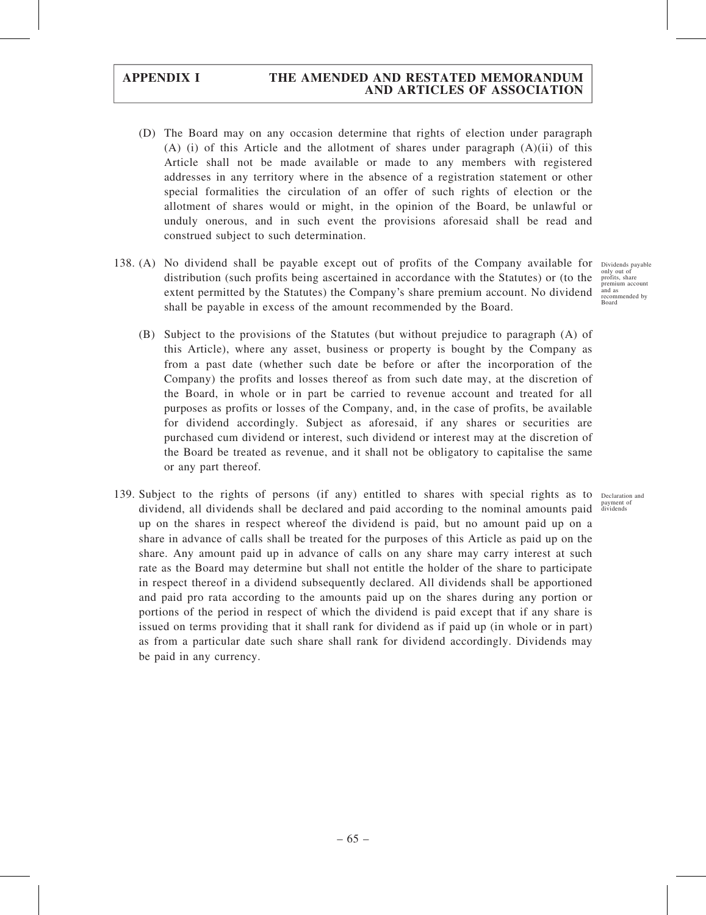- (D) The Board may on any occasion determine that rights of election under paragraph  $(A)$  (i) of this Article and the allotment of shares under paragraph  $(A)(ii)$  of this Article shall not be made available or made to any members with registered addresses in any territory where in the absence of a registration statement or other special formalities the circulation of an offer of such rights of election or the allotment of shares would or might, in the opinion of the Board, be unlawful or unduly onerous, and in such event the provisions aforesaid shall be read and construed subject to such determination.
- 138. (A) No dividend shall be payable except out of profits of the Company available for Dividends payable distribution (such profits being ascertained in accordance with the Statutes) or (to the extent permitted by the Statutes) the Company's share premium account. No dividend shall be payable in excess of the amount recommended by the Board.

(B) Subject to the provisions of the Statutes (but without prejudice to paragraph (A) of this Article), where any asset, business or property is bought by the Company as from a past date (whether such date be before or after the incorporation of the Company) the profits and losses thereof as from such date may, at the discretion of the Board, in whole or in part be carried to revenue account and treated for all purposes as profits or losses of the Company, and, in the case of profits, be available for dividend accordingly. Subject as aforesaid, if any shares or securities are purchased cum dividend or interest, such dividend or interest may at the discretion of the Board be treated as revenue, and it shall not be obligatory to capitalise the same or any part thereof.

139. Subject to the rights of persons (if any) entitled to shares with special rights as to Declaration and dividend, all dividends shall be declared and paid according to the nominal amounts paid up on the shares in respect whereof the dividend is paid, but no amount paid up on a share in advance of calls shall be treated for the purposes of this Article as paid up on the share. Any amount paid up in advance of calls on any share may carry interest at such rate as the Board may determine but shall not entitle the holder of the share to participate in respect thereof in a dividend subsequently declared. All dividends shall be apportioned and paid pro rata according to the amounts paid up on the shares during any portion or portions of the period in respect of which the dividend is paid except that if any share is issued on terms providing that it shall rank for dividend as if paid up (in whole or in part) as from a particular date such share shall rank for dividend accordingly. Dividends may be paid in any currency.

only out of profits, share premium account and as recommended by Board

payment of dividends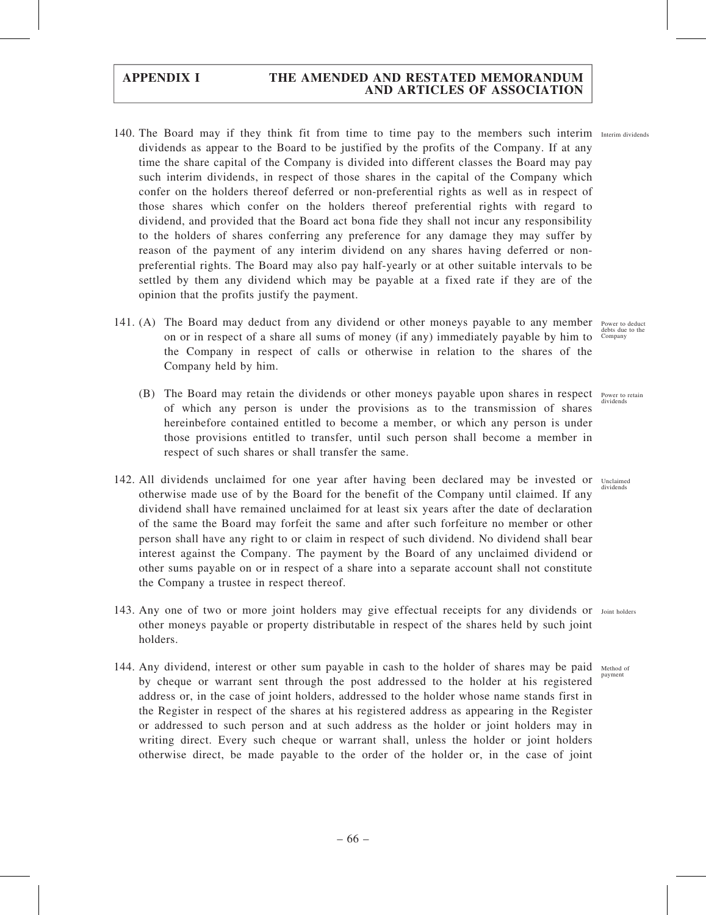- 140. The Board may if they think fit from time to time pay to the members such interim Interim dividends dividends as appear to the Board to be justified by the profits of the Company. If at any time the share capital of the Company is divided into different classes the Board may pay such interim dividends, in respect of those shares in the capital of the Company which confer on the holders thereof deferred or non-preferential rights as well as in respect of those shares which confer on the holders thereof preferential rights with regard to dividend, and provided that the Board act bona fide they shall not incur any responsibility to the holders of shares conferring any preference for any damage they may suffer by reason of the payment of any interim dividend on any shares having deferred or nonpreferential rights. The Board may also pay half-yearly or at other suitable intervals to be settled by them any dividend which may be payable at a fixed rate if they are of the opinion that the profits justify the payment.
- 141. (A) The Board may deduct from any dividend or other moneys payable to any member Power to deduct on or in respect of a share all sums of money (if any) immediately payable by him to the Company in respect of calls or otherwise in relation to the shares of the Company held by him.
	- (B) The Board may retain the dividends or other moneys payable upon shares in respect Power to retain of which any person is under the provisions as to the transmission of shares hereinbefore contained entitled to become a member, or which any person is under those provisions entitled to transfer, until such person shall become a member in respect of such shares or shall transfer the same.
- 142. All dividends unclaimed for one year after having been declared may be invested or Unclaimed otherwise made use of by the Board for the benefit of the Company until claimed. If any dividend shall have remained unclaimed for at least six years after the date of declaration of the same the Board may forfeit the same and after such forfeiture no member or other person shall have any right to or claim in respect of such dividend. No dividend shall bear interest against the Company. The payment by the Board of any unclaimed dividend or other sums payable on or in respect of a share into a separate account shall not constitute the Company a trustee in respect thereof.
- 143. Any one of two or more joint holders may give effectual receipts for any dividends or Joint holders other moneys payable or property distributable in respect of the shares held by such joint holders.
- 144. Any dividend, interest or other sum payable in cash to the holder of shares may be paid Method of by cheque or warrant sent through the post addressed to the holder at his registered address or, in the case of joint holders, addressed to the holder whose name stands first in the Register in respect of the shares at his registered address as appearing in the Register or addressed to such person and at such address as the holder or joint holders may in writing direct. Every such cheque or warrant shall, unless the holder or joint holders otherwise direct, be made payable to the order of the holder or, in the case of joint

debts due to the Company

rower to<br>dividend

dividends

payment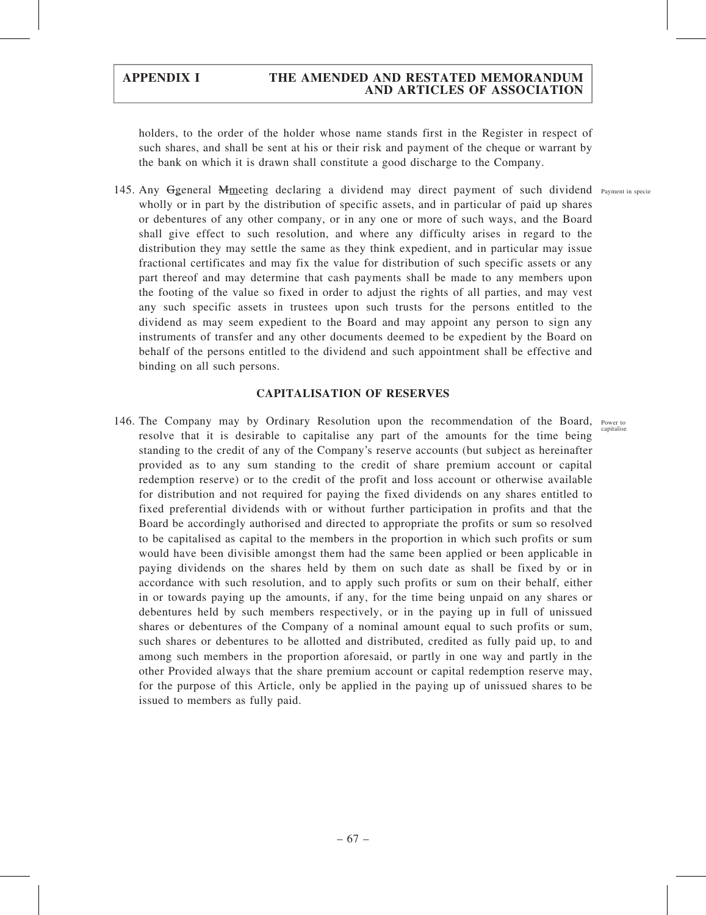holders, to the order of the holder whose name stands first in the Register in respect of such shares, and shall be sent at his or their risk and payment of the cheque or warrant by the bank on which it is drawn shall constitute a good discharge to the Company.

145. Any Ggeneral Mmeeting declaring a dividend may direct payment of such dividend Payment in specie wholly or in part by the distribution of specific assets, and in particular of paid up shares or debentures of any other company, or in any one or more of such ways, and the Board shall give effect to such resolution, and where any difficulty arises in regard to the distribution they may settle the same as they think expedient, and in particular may issue fractional certificates and may fix the value for distribution of such specific assets or any part thereof and may determine that cash payments shall be made to any members upon the footing of the value so fixed in order to adjust the rights of all parties, and may vest any such specific assets in trustees upon such trusts for the persons entitled to the dividend as may seem expedient to the Board and may appoint any person to sign any instruments of transfer and any other documents deemed to be expedient by the Board on behalf of the persons entitled to the dividend and such appointment shall be effective and binding on all such persons.

### CAPITALISATION OF RESERVES

146. The Company may by Ordinary Resolution upon the recommendation of the Board, Power to resolve that it is desirable to capitalise any part of the amounts for the time being standing to the credit of any of the Company's reserve accounts (but subject as hereinafter provided as to any sum standing to the credit of share premium account or capital redemption reserve) or to the credit of the profit and loss account or otherwise available for distribution and not required for paying the fixed dividends on any shares entitled to fixed preferential dividends with or without further participation in profits and that the Board be accordingly authorised and directed to appropriate the profits or sum so resolved to be capitalised as capital to the members in the proportion in which such profits or sum would have been divisible amongst them had the same been applied or been applicable in paying dividends on the shares held by them on such date as shall be fixed by or in accordance with such resolution, and to apply such profits or sum on their behalf, either in or towards paying up the amounts, if any, for the time being unpaid on any shares or debentures held by such members respectively, or in the paying up in full of unissued shares or debentures of the Company of a nominal amount equal to such profits or sum, such shares or debentures to be allotted and distributed, credited as fully paid up, to and among such members in the proportion aforesaid, or partly in one way and partly in the other Provided always that the share premium account or capital redemption reserve may, for the purpose of this Article, only be applied in the paying up of unissued shares to be issued to members as fully paid.

capitalise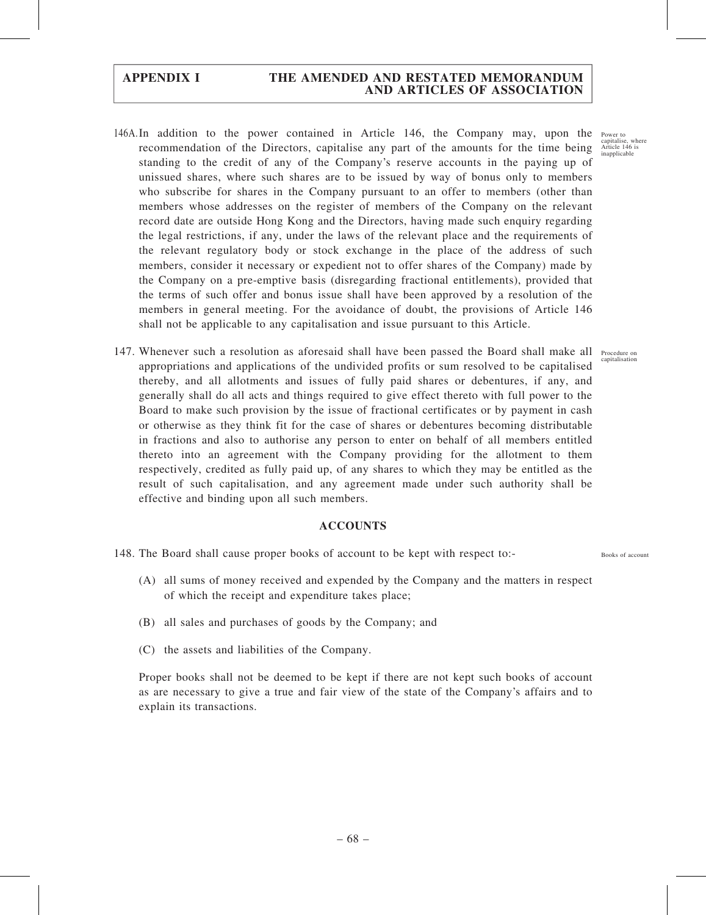- 146A.In addition to the power contained in Article 146, the Company may, upon the recommendation of the Directors, capitalise any part of the amounts for the time being standing to the credit of any of the Company's reserve accounts in the paying up of unissued shares, where such shares are to be issued by way of bonus only to members who subscribe for shares in the Company pursuant to an offer to members (other than members whose addresses on the register of members of the Company on the relevant record date are outside Hong Kong and the Directors, having made such enquiry regarding the legal restrictions, if any, under the laws of the relevant place and the requirements of the relevant regulatory body or stock exchange in the place of the address of such members, consider it necessary or expedient not to offer shares of the Company) made by the Company on a pre-emptive basis (disregarding fractional entitlements), provided that the terms of such offer and bonus issue shall have been approved by a resolution of the members in general meeting. For the avoidance of doubt, the provisions of Article 146 shall not be applicable to any capitalisation and issue pursuant to this Article.
- 147. Whenever such a resolution as aforesaid shall have been passed the Board shall make all Procedure on appropriations and applications of the undivided profits or sum resolved to be capitalised thereby, and all allotments and issues of fully paid shares or debentures, if any, and generally shall do all acts and things required to give effect thereto with full power to the Board to make such provision by the issue of fractional certificates or by payment in cash or otherwise as they think fit for the case of shares or debentures becoming distributable in fractions and also to authorise any person to enter on behalf of all members entitled thereto into an agreement with the Company providing for the allotment to them respectively, credited as fully paid up, of any shares to which they may be entitled as the result of such capitalisation, and any agreement made under such authority shall be effective and binding upon all such members.

### ACCOUNTS

148. The Board shall cause proper books of account to be kept with respect to:-

- (A) all sums of money received and expended by the Company and the matters in respect of which the receipt and expenditure takes place;
- (B) all sales and purchases of goods by the Company; and
- (C) the assets and liabilities of the Company.

Proper books shall not be deemed to be kept if there are not kept such books of account as are necessary to give a true and fair view of the state of the Company's affairs and to explain its transactions.

Power to capitalise, where Article 146 is inapplicable

. .cccaare o<br>capitalisatio

Books of account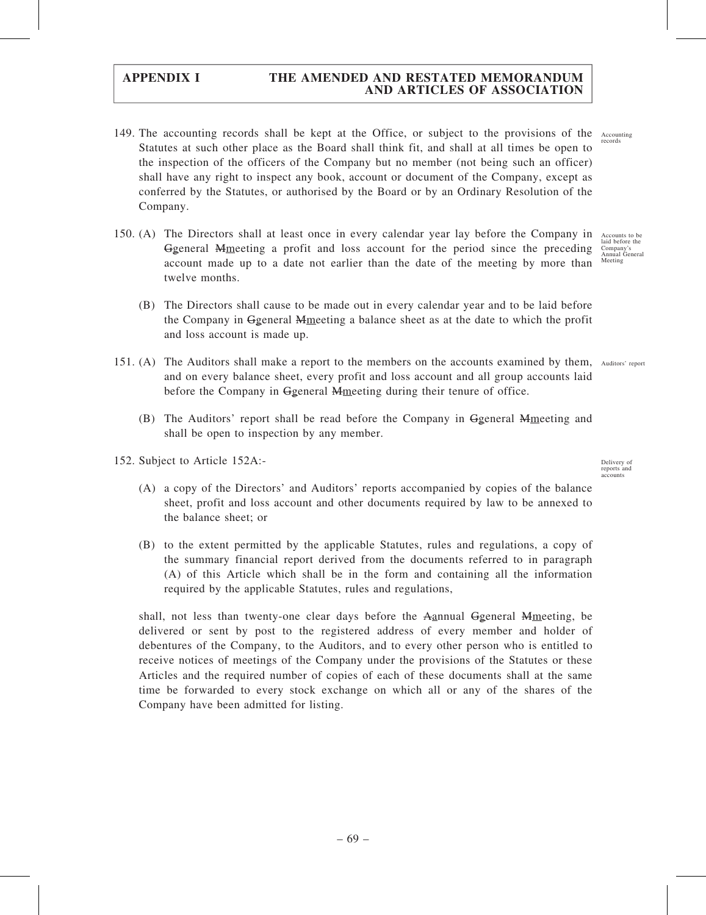- 149. The accounting records shall be kept at the Office, or subject to the provisions of the Statutes at such other place as the Board shall think fit, and shall at all times be open to the inspection of the officers of the Company but no member (not being such an officer) shall have any right to inspect any book, account or document of the Company, except as conferred by the Statutes, or authorised by the Board or by an Ordinary Resolution of the Company.
- 150. (A) The Directors shall at least once in every calendar year lay before the Company in Ggeneral Mmeeting a profit and loss account for the period since the preceding account made up to a date not earlier than the date of the meeting by more than twelve months. Accounts to be laid before the Company's Annual General Meeting
	- (B) The Directors shall cause to be made out in every calendar year and to be laid before the Company in Ggeneral Mmeeting a balance sheet as at the date to which the profit and loss account is made up.
- 151. (A) The Auditors shall make a report to the members on the accounts examined by them, Auditors' report and on every balance sheet, every profit and loss account and all group accounts laid before the Company in Ggeneral Mmeeting during their tenure of office.
	- (B) The Auditors' report shall be read before the Company in Ggeneral Mmeeting and shall be open to inspection by any member.
- 152. Subject to Article 152A:-
	- (A) a copy of the Directors' and Auditors' reports accompanied by copies of the balance sheet, profit and loss account and other documents required by law to be annexed to the balance sheet; or
	- (B) to the extent permitted by the applicable Statutes, rules and regulations, a copy of the summary financial report derived from the documents referred to in paragraph (A) of this Article which shall be in the form and containing all the information required by the applicable Statutes, rules and regulations,

shall, not less than twenty-one clear days before the Aannual Ggeneral Mmeeting, be delivered or sent by post to the registered address of every member and holder of debentures of the Company, to the Auditors, and to every other person who is entitled to receive notices of meetings of the Company under the provisions of the Statutes or these Articles and the required number of copies of each of these documents shall at the same time be forwarded to every stock exchange on which all or any of the shares of the Company have been admitted for listing.

Accounting records

Delivery of reports and

accounts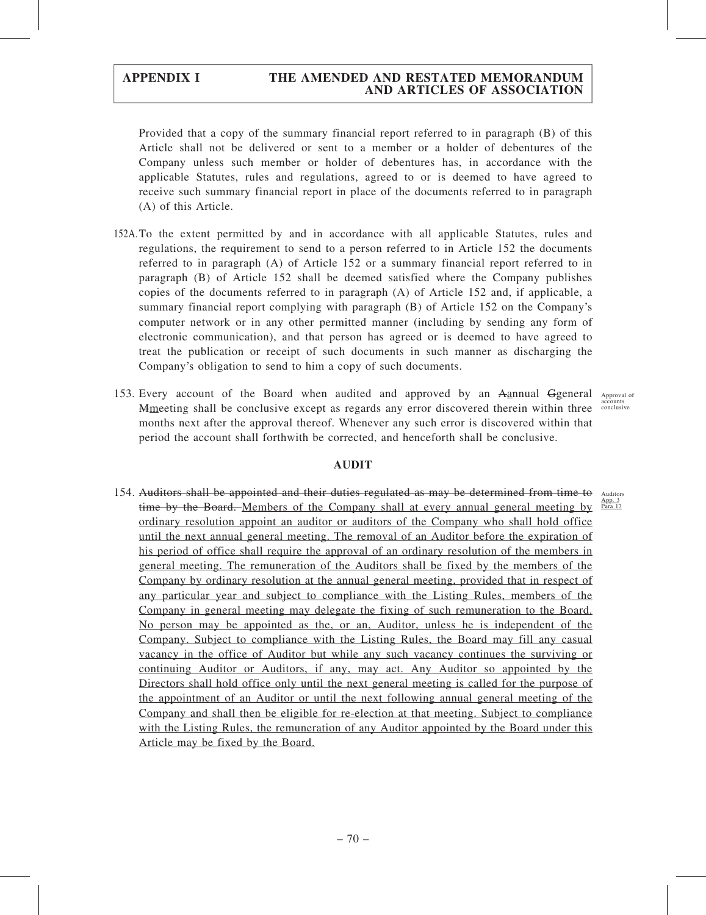Provided that a copy of the summary financial report referred to in paragraph (B) of this Article shall not be delivered or sent to a member or a holder of debentures of the Company unless such member or holder of debentures has, in accordance with the applicable Statutes, rules and regulations, agreed to or is deemed to have agreed to receive such summary financial report in place of the documents referred to in paragraph (A) of this Article.

- 152A.To the extent permitted by and in accordance with all applicable Statutes, rules and regulations, the requirement to send to a person referred to in Article 152 the documents referred to in paragraph (A) of Article 152 or a summary financial report referred to in paragraph (B) of Article 152 shall be deemed satisfied where the Company publishes copies of the documents referred to in paragraph (A) of Article 152 and, if applicable, a summary financial report complying with paragraph (B) of Article 152 on the Company's computer network or in any other permitted manner (including by sending any form of electronic communication), and that person has agreed or is deemed to have agreed to treat the publication or receipt of such documents in such manner as discharging the Company's obligation to send to him a copy of such documents.
- 153. Every account of the Board when audited and approved by an Aannual Ggeneral Approval of Mmeeting shall be conclusive except as regards any error discovered therein within three accounts months next after the approval thereof. Whenever any such error is discovered within that period the account shall forthwith be corrected, and henceforth shall be conclusive.

# AUDIT

154. Auditors shall be appointed and their duties regulated as may be determined from time to time by the Board. Members of the Company shall at every annual general meeting by <sup>App 3</sup> ordinary resolution appoint an auditor or auditors of the Company who shall hold office until the next annual general meeting. The removal of an Auditor before the expiration of his period of office shall require the approval of an ordinary resolution of the members in general meeting. The remuneration of the Auditors shall be fixed by the members of the Company by ordinary resolution at the annual general meeting, provided that in respect of any particular year and subject to compliance with the Listing Rules, members of the Company in general meeting may delegate the fixing of such remuneration to the Board. No person may be appointed as the, or an, Auditor, unless he is independent of the Company. Subject to compliance with the Listing Rules, the Board may fill any casual vacancy in the office of Auditor but while any such vacancy continues the surviving or continuing Auditor or Auditors, if any, may act. Any Auditor so appointed by the Directors shall hold office only until the next general meeting is called for the purpose of the appointment of an Auditor or until the next following annual general meeting of the Company and shall then be eligible for re-election at that meeting. Subject to compliance with the Listing Rules, the remuneration of any Auditor appointed by the Board under this Article may be fixed by the Board. Auditors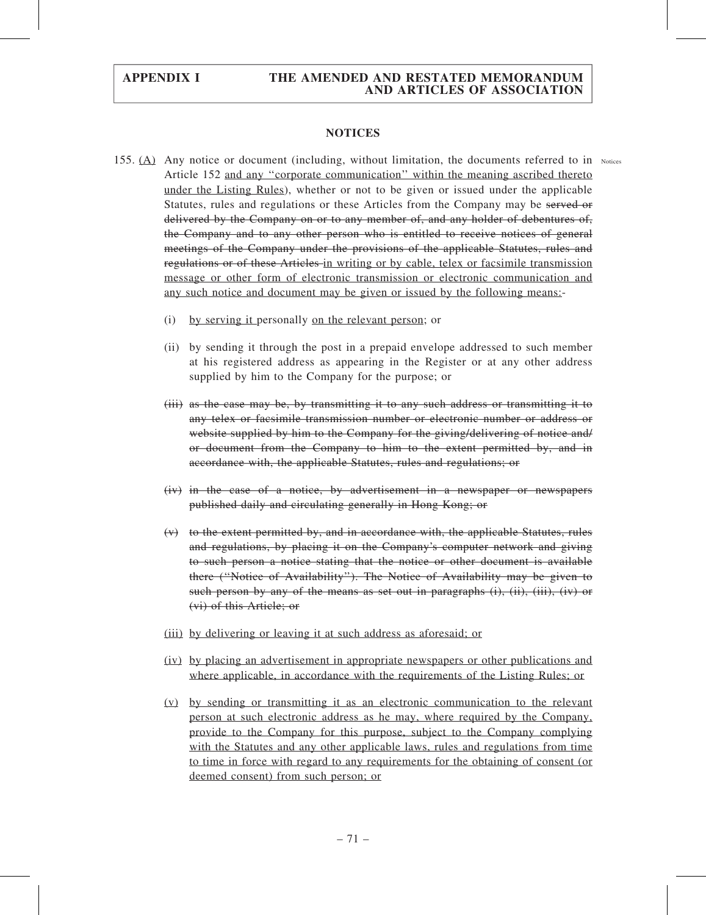### NOTICES

- 155.  $(A)$  Any notice or document (including, without limitation, the documents referred to in Notices Article 152 and any ''corporate communication'' within the meaning ascribed thereto under the Listing Rules), whether or not to be given or issued under the applicable Statutes, rules and regulations or these Articles from the Company may be served or delivered by the Company on or to any member of, and any holder of debentures of, the Company and to any other person who is entitled to receive notices of general meetings of the Company under the provisions of the applicable Statutes, rules and regulations or of these Articles in writing or by cable, telex or facsimile transmission message or other form of electronic transmission or electronic communication and any such notice and document may be given or issued by the following means:-
	- (i) by serving it personally on the relevant person; or
	- (ii) by sending it through the post in a prepaid envelope addressed to such member at his registered address as appearing in the Register or at any other address supplied by him to the Company for the purpose; or
	- (iii) as the case may be, by transmitting it to any such address or transmitting it to any telex or facsimile transmission number or electronic number or address or website supplied by him to the Company for the giving/delivering of notice and/ or document from the Company to him to the extent permitted by, and in accordance with, the applicable Statutes, rules and regulations; or
	- (iv) in the case of a notice, by advertisement in a newspaper or newspapers published daily and circulating generally in Hong Kong; or
	- (v) to the extent permitted by, and in accordance with, the applicable Statutes, rules and regulations, by placing it on the Company's computer network and giving to such person a notice stating that the notice or other document is available there (''Notice of Availability''). The Notice of Availability may be given to such person by any of the means as set out in paragraphs  $(i)$ ,  $(ii)$ ,  $(iii)$ ,  $(iv)$  or (vi) of this Article; or
	- (iii) by delivering or leaving it at such address as aforesaid; or
	- (iv) by placing an advertisement in appropriate newspapers or other publications and where applicable, in accordance with the requirements of the Listing Rules; or
	- (v) by sending or transmitting it as an electronic communication to the relevant person at such electronic address as he may, where required by the Company, provide to the Company for this purpose, subject to the Company complying with the Statutes and any other applicable laws, rules and regulations from time to time in force with regard to any requirements for the obtaining of consent (or deemed consent) from such person; or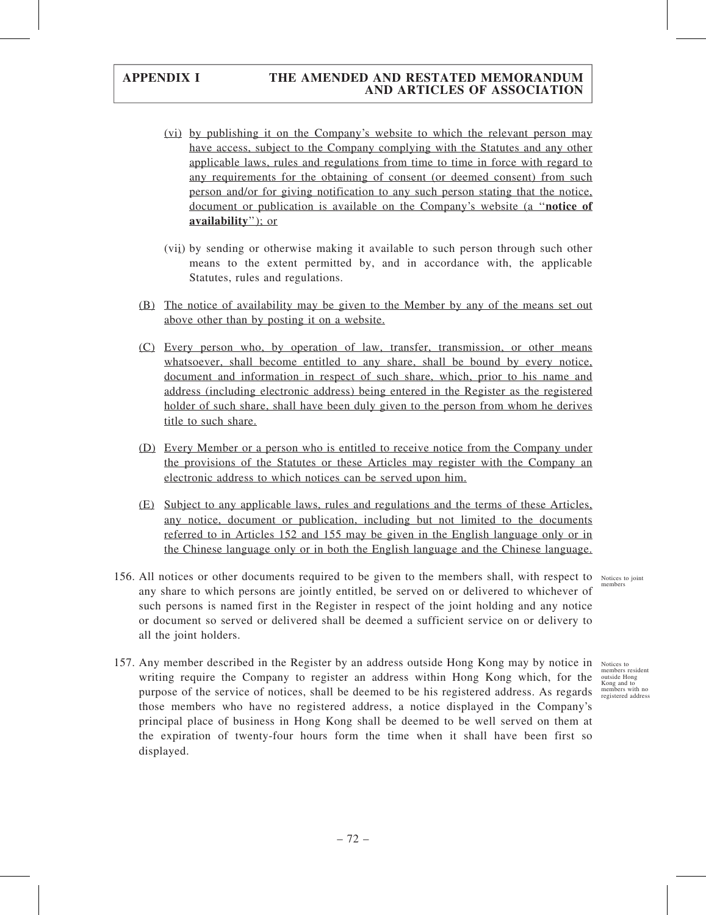- (vi) by publishing it on the Company's website to which the relevant person may have access, subject to the Company complying with the Statutes and any other applicable laws, rules and regulations from time to time in force with regard to any requirements for the obtaining of consent (or deemed consent) from such person and/or for giving notification to any such person stating that the notice, document or publication is available on the Company's website (a ''notice of availability"); or
- (vii) by sending or otherwise making it available to such person through such other means to the extent permitted by, and in accordance with, the applicable Statutes, rules and regulations.
- (B) The notice of availability may be given to the Member by any of the means set out above other than by posting it on a website.
- (C) Every person who, by operation of law, transfer, transmission, or other means whatsoever, shall become entitled to any share, shall be bound by every notice, document and information in respect of such share, which, prior to his name and address (including electronic address) being entered in the Register as the registered holder of such share, shall have been duly given to the person from whom he derives title to such share.
- (D) Every Member or a person who is entitled to receive notice from the Company under the provisions of the Statutes or these Articles may register with the Company an electronic address to which notices can be served upon him.
- (E) Subject to any applicable laws, rules and regulations and the terms of these Articles, any notice, document or publication, including but not limited to the documents referred to in Articles 152 and 155 may be given in the English language only or in the Chinese language only or in both the English language and the Chinese language.
- 156. All notices or other documents required to be given to the members shall, with respect to Notices to joint any share to which persons are jointly entitled, be served on or delivered to whichever of such persons is named first in the Register in respect of the joint holding and any notice or document so served or delivered shall be deemed a sufficient service on or delivery to all the joint holders.
- 157. Any member described in the Register by an address outside Hong Kong may by notice in Notices to writing require the Company to register an address within Hong Kong which, for the purpose of the service of notices, shall be deemed to be his registered address. As regards those members who have no registered address, a notice displayed in the Company's principal place of business in Hong Kong shall be deemed to be well served on them at the expiration of twenty-four hours form the time when it shall have been first so displayed.

members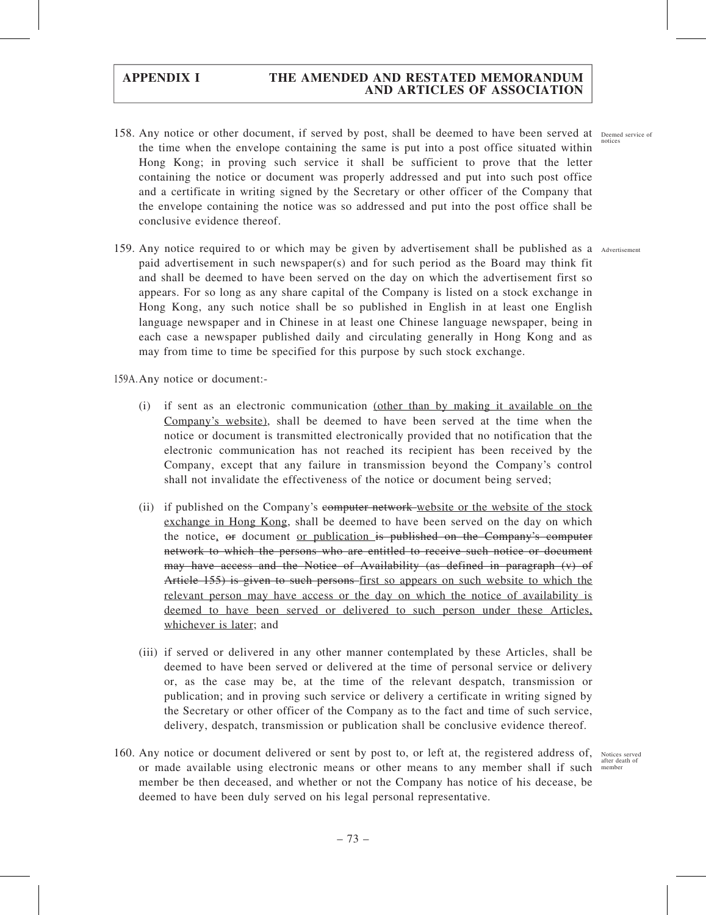- 158. Any notice or other document, if served by post, shall be deemed to have been served at Deemed service of the time when the envelope containing the same is put into a post office situated within Hong Kong; in proving such service it shall be sufficient to prove that the letter containing the notice or document was properly addressed and put into such post office and a certificate in writing signed by the Secretary or other officer of the Company that the envelope containing the notice was so addressed and put into the post office shall be conclusive evidence thereof.
- 159. Any notice required to or which may be given by advertisement shall be published as a Advertisement paid advertisement in such newspaper(s) and for such period as the Board may think fit and shall be deemed to have been served on the day on which the advertisement first so appears. For so long as any share capital of the Company is listed on a stock exchange in Hong Kong, any such notice shall be so published in English in at least one English language newspaper and in Chinese in at least one Chinese language newspaper, being in each case a newspaper published daily and circulating generally in Hong Kong and as may from time to time be specified for this purpose by such stock exchange.

159A.Any notice or document:-

- (i) if sent as an electronic communication (other than by making it available on the Company's website), shall be deemed to have been served at the time when the notice or document is transmitted electronically provided that no notification that the electronic communication has not reached its recipient has been received by the Company, except that any failure in transmission beyond the Company's control shall not invalidate the effectiveness of the notice or document being served;
- (ii) if published on the Company's computer network website or the website of the stock exchange in Hong Kong, shall be deemed to have been served on the day on which the notice, or document or publication is published on the Company's computer network to which the persons who are entitled to receive such notice or document may have access and the Notice of Availability (as defined in paragraph (v) of Article 155) is given to such persons first so appears on such website to which the relevant person may have access or the day on which the notice of availability is deemed to have been served or delivered to such person under these Articles, whichever is later; and
- (iii) if served or delivered in any other manner contemplated by these Articles, shall be deemed to have been served or delivered at the time of personal service or delivery or, as the case may be, at the time of the relevant despatch, transmission or publication; and in proving such service or delivery a certificate in writing signed by the Secretary or other officer of the Company as to the fact and time of such service, delivery, despatch, transmission or publication shall be conclusive evidence thereof.
- 160. Any notice or document delivered or sent by post to, or left at, the registered address of, Notices served or made available using electronic means or other means to any member shall if such member be then deceased, and whether or not the Company has notice of his decease, be deemed to have been duly served on his legal personal representative.

after death of member

notices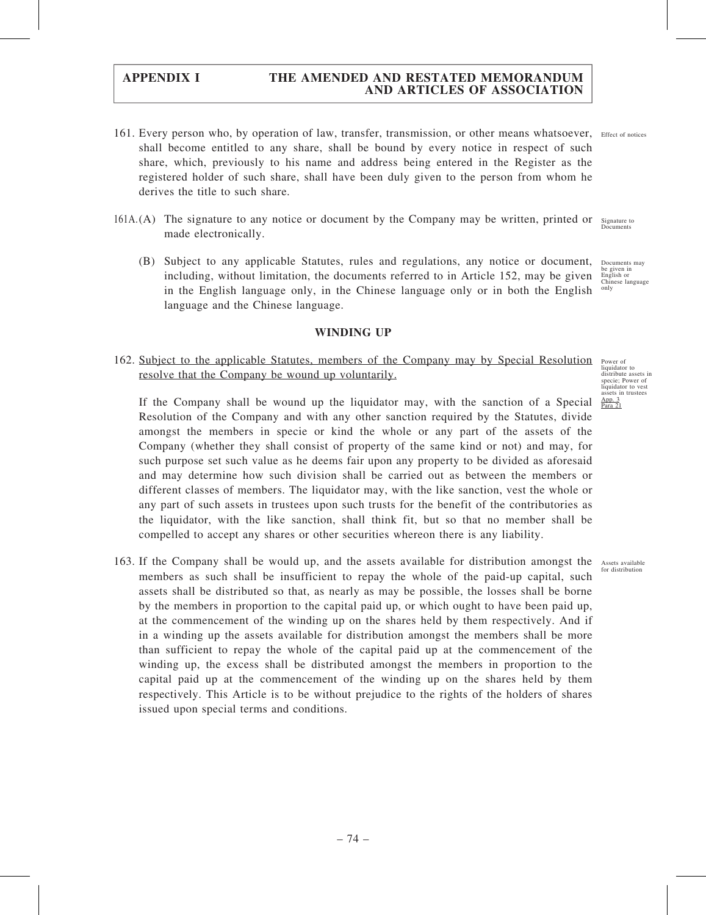- 161. Every person who, by operation of law, transfer, transmission, or other means whatsoever, Effect of notices shall become entitled to any share, shall be bound by every notice in respect of such share, which, previously to his name and address being entered in the Register as the registered holder of such share, shall have been duly given to the person from whom he derives the title to such share.
- 161A.(A) The signature to any notice or document by the Company may be written, printed or Signature to made electronically. Documents
	- (B) Subject to any applicable Statutes, rules and regulations, any notice or document, including, without limitation, the documents referred to in Article 152, may be given in the English language only, in the Chinese language only or in both the English language and the Chinese language. Documents may be given in English or Chinese language only

#### WINDING UP

### 162. Subject to the applicable Statutes, members of the Company may by Special Resolution resolve that the Company be wound up voluntarily.

If the Company shall be wound up the liquidator may, with the sanction of a Special Resolution of the Company and with any other sanction required by the Statutes, divide amongst the members in specie or kind the whole or any part of the assets of the Company (whether they shall consist of property of the same kind or not) and may, for such purpose set such value as he deems fair upon any property to be divided as aforesaid and may determine how such division shall be carried out as between the members or different classes of members. The liquidator may, with the like sanction, vest the whole or any part of such assets in trustees upon such trusts for the benefit of the contributories as the liquidator, with the like sanction, shall think fit, but so that no member shall be compelled to accept any shares or other securities whereon there is any liability.

163. If the Company shall be would up, and the assets available for distribution amongst the Assets available members as such shall be insufficient to repay the whole of the paid-up capital, such assets shall be distributed so that, as nearly as may be possible, the losses shall be borne by the members in proportion to the capital paid up, or which ought to have been paid up, at the commencement of the winding up on the shares held by them respectively. And if in a winding up the assets available for distribution amongst the members shall be more than sufficient to repay the whole of the capital paid up at the commencement of the winding up, the excess shall be distributed amongst the members in proportion to the capital paid up at the commencement of the winding up on the shares held by them respectively. This Article is to be without prejudice to the rights of the holders of shares issued upon special terms and conditions.

Power of liquidator to distribute assets in specie; Power of liquidator to vest assets in trustees App. 3 Para 21

for distribution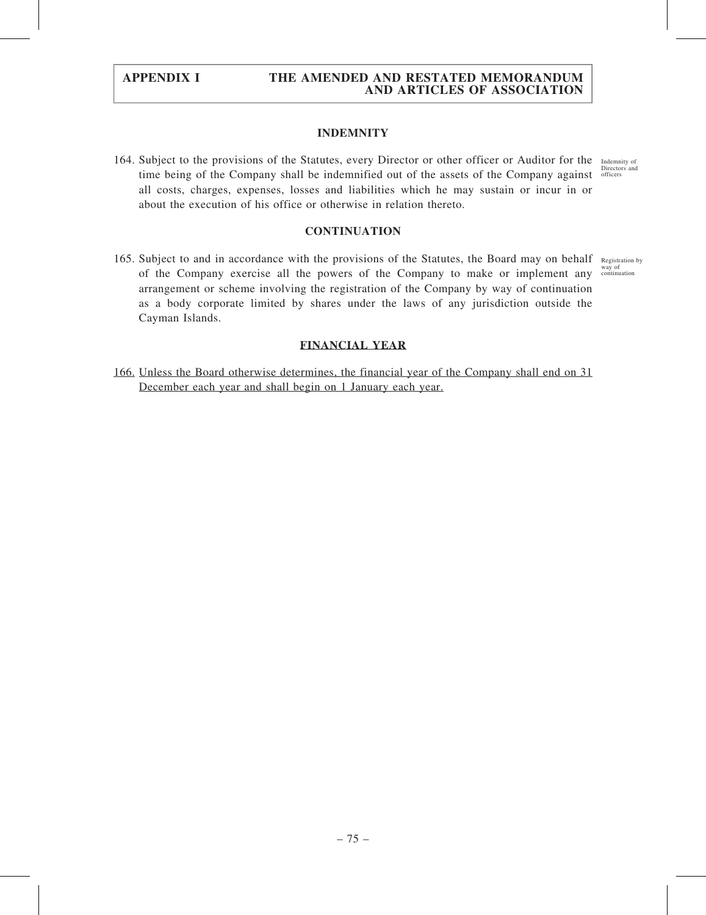### INDEMNITY

164. Subject to the provisions of the Statutes, every Director or other officer or Auditor for the Indemnity of time being of the Company shall be indemnified out of the assets of the Company against officers all costs, charges, expenses, losses and liabilities which he may sustain or incur in or about the execution of his office or otherwise in relation thereto. Directors and

#### **CONTINUATION**

165. Subject to and in accordance with the provisions of the Statutes, the Board may on behalf Registration by of the Company exercise all the powers of the Company to make or implement any <sup>way of</sup> continuation arrangement or scheme involving the registration of the Company by way of continuation as a body corporate limited by shares under the laws of any jurisdiction outside the Cayman Islands.

### FINANCIAL YEAR

166. Unless the Board otherwise determines, the financial year of the Company shall end on 31 December each year and shall begin on 1 January each year.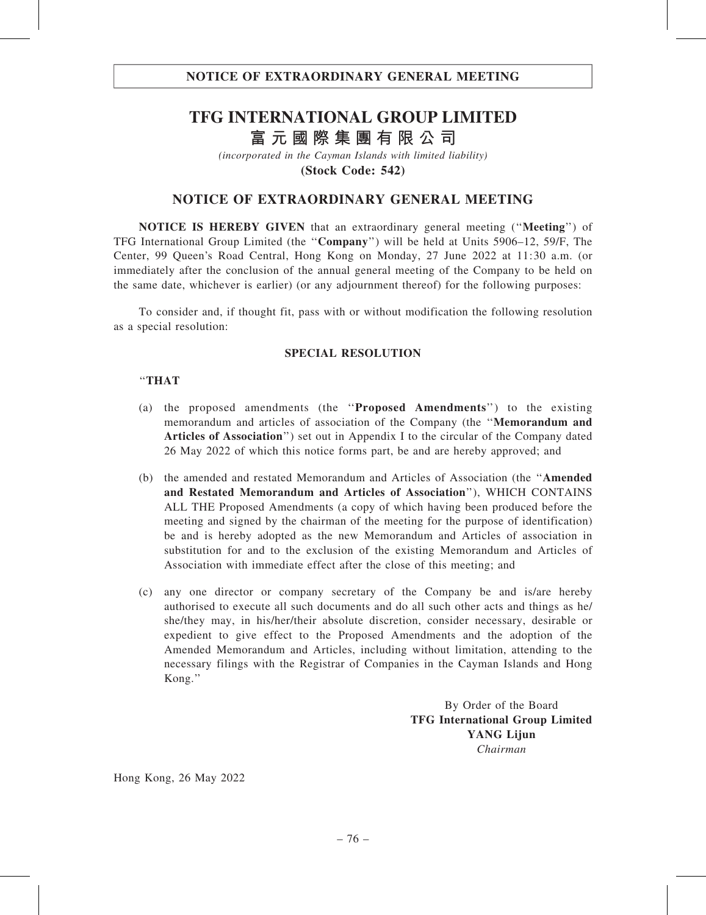# **TFG INTERNATIONAL GROUP LIMITED 富元國際集團有限公司**

*(incorporated in the Cayman Islands with limited liability)* **(Stock Code: 542)**

# NOTICE OF EXTRAORDINARY GENERAL MEETING

NOTICE IS HEREBY GIVEN that an extraordinary general meeting (''Meeting'') of TFG International Group Limited (the ''Company'') will be held at Units 5906–12, 59/F, The Center, 99 Queen's Road Central, Hong Kong on Monday, 27 June 2022 at 11:30 a.m. (or immediately after the conclusion of the annual general meeting of the Company to be held on the same date, whichever is earlier) (or any adjournment thereof) for the following purposes:

To consider and, if thought fit, pass with or without modification the following resolution as a special resolution:

#### SPECIAL RESOLUTION

#### ''THAT

- (a) the proposed amendments (the ''Proposed Amendments'') to the existing memorandum and articles of association of the Company (the ''Memorandum and Articles of Association'') set out in Appendix I to the circular of the Company dated 26 May 2022 of which this notice forms part, be and are hereby approved; and
- (b) the amended and restated Memorandum and Articles of Association (the ''Amended and Restated Memorandum and Articles of Association''), WHICH CONTAINS ALL THE Proposed Amendments (a copy of which having been produced before the meeting and signed by the chairman of the meeting for the purpose of identification) be and is hereby adopted as the new Memorandum and Articles of association in substitution for and to the exclusion of the existing Memorandum and Articles of Association with immediate effect after the close of this meeting; and
- (c) any one director or company secretary of the Company be and is/are hereby authorised to execute all such documents and do all such other acts and things as he/ she/they may, in his/her/their absolute discretion, consider necessary, desirable or expedient to give effect to the Proposed Amendments and the adoption of the Amended Memorandum and Articles, including without limitation, attending to the necessary filings with the Registrar of Companies in the Cayman Islands and Hong Kong.''

By Order of the Board TFG International Group Limited YANG Lijun Chairman

Hong Kong, 26 May 2022